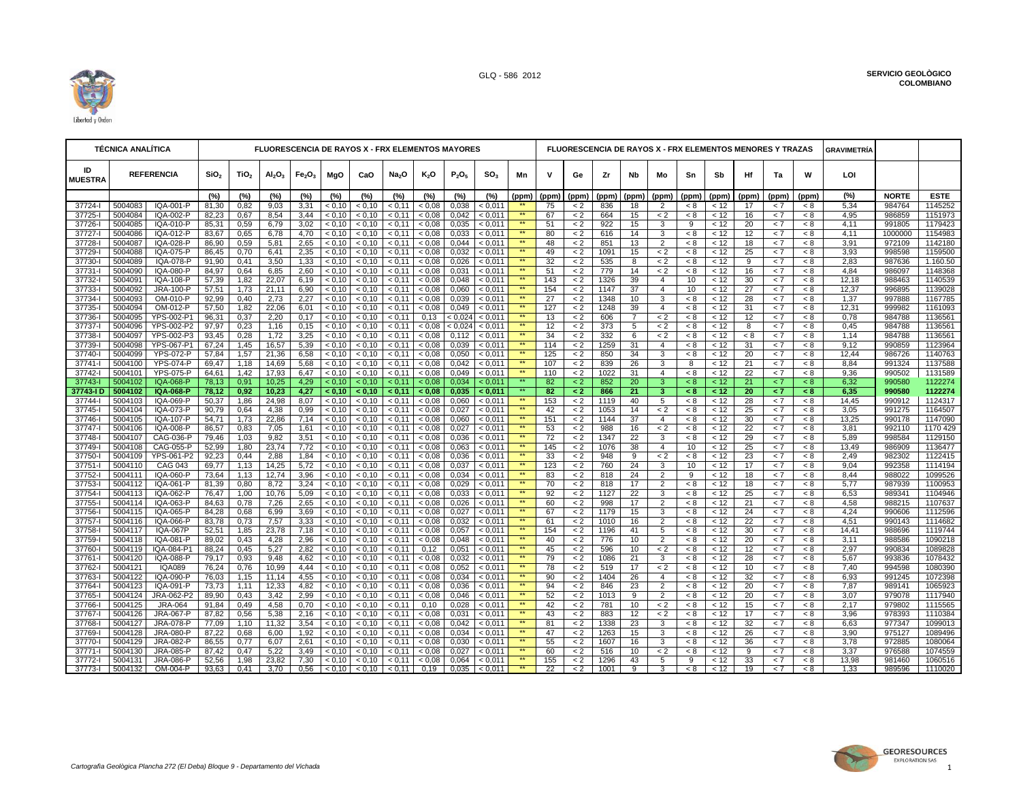

|                      | <b>TÉCNICA ANALÍTICA</b><br><b>REFERENCIA</b> |                        |                  |                  |                                |                                |                  | <b>FLUORESCENCIA DE RAYOS X - FRX ELEMENTOS MAYORES</b> |                     |                  |                |                    |                                 |                 |                    |            |                |                           |                     |              |                 | <b>FLUORESCENCIA DE RAYOS X - FRX ELEMENTOS MENORES Y TRAZAS</b> |            | <b>GRAVIMETRÍA</b> |                  |                     |
|----------------------|-----------------------------------------------|------------------------|------------------|------------------|--------------------------------|--------------------------------|------------------|---------------------------------------------------------|---------------------|------------------|----------------|--------------------|---------------------------------|-----------------|--------------------|------------|----------------|---------------------------|---------------------|--------------|-----------------|------------------------------------------------------------------|------------|--------------------|------------------|---------------------|
| ID<br><b>MUESTRA</b> |                                               |                        | SiO <sub>2</sub> | TiO <sub>2</sub> | Al <sub>2</sub> O <sub>3</sub> | Fe <sub>2</sub> O <sub>3</sub> | MgO              | CaO                                                     | Na <sub>2</sub> O   | $K_2O$           | $P_2O_5$       | SO <sub>3</sub>    | Mn                              | v               | Ge                 | Zr         | Nb             | Mo                        | Sn                  | Sb           | Hf              | Ta                                                               | W          | LOI                |                  |                     |
|                      |                                               |                        | (%)              | (%)              | (%)                            | (%)                            | (%)              | (%)                                                     | (%)                 | (%)              | (%)            | (%)                | (ppm)                           | (ppm)           | (ppm)              | (ppm)      | (ppm)          | (ppm)                     | (ppm)               | (ppm)        | (ppm)           | (ppm)                                                            | (ppm)      | (%)                | <b>NORTE</b>     | <b>ESTE</b>         |
| 37724-l              | 5004083                                       | IQA-001-P              | 81,30            | 0.82             | 9,03                           | 3,31                           | < 0.10           | < 0.10                                                  | < 0.11              | < 0.08           | 0,038          | < 0.011            |                                 | 75              | < 2                | 836        | 18             | 2                         | < 8                 | < 12         | 17              | < 7                                                              | < 8        | 5,34               | 984764           | 1145252             |
| 37725-               | 5004084                                       | IQA-002-P              | 82,23            | 0,67             | 8,54                           | 3,44                           | < 0,10           | < 0.10                                                  | < 0,11              | < 0.08           | 0,042          | < 0,011            | $\star\star$                    | 67              | < 2                | 664        | 15             | $\lt 2$                   | < 8                 | < 12         | 16              | < 7                                                              | < 8        | 4,95               | 986859           | 1151973             |
| 37726-               | 5004085                                       | IQA-010-P              | 85,31            | 0,59             | 6,79                           | 3,02                           | < 0.10           | < 0.10                                                  | < 0.11              | < 0.08           | 0,035          | < 0.011            | $**$                            | 51              | $\lt 2$            | 922        | 15             | $\overline{3}$            | 9                   | < 12         | 20              | < 7                                                              | < 8        | 4,11               | 991805           | 1179423             |
| 37727-               | 5004086                                       | IQA-012-P              | 83,67            | 0,65             | 6,78                           | 4,70                           | < 0.10           | < 0.10                                                  | < 0.11              | < 0.08           | 0,033          | < 0.011            | $\star\star$                    | 80              | $\lt 2$            | 616        | 14             | 3                         | < 8                 | < 12         | 12              | < 7                                                              | < 8        | 4,11               | 1000000          | 1154983             |
| 37728-               | 5004087                                       | IQA-028-P              | 86,90            | 0,59             | 5,81                           | 2,65                           | < 0.10           | < 0.10                                                  | < 0.11              | < 0.08           | 0,044          | < 0.011            | $\star\star$<br>$\star\star$    | 48              | $\lt 2$            | 851        | 13             | $\overline{2}$            | < 8                 | < 12         | 18              | < 7                                                              | < 8        | 3,91               | 972109           | 1142180             |
| 37729-               | 5004088                                       | IQA-075-P              | 86,45            | 0,70             | 6,41                           | 2,35                           | < 0,10           | < 0,10                                                  | < 0,11              | < 0.08           | 0,032          | < 0,011            | $\star\star$                    | 49              | $\lt 2$            | 1091       | 15             | $\lt 2$                   | $< 8\,$             | < 12         | 25<br>g         | < 7                                                              | < 8        | 3,93               | 998598           | 1159500             |
| 37730-<br>37731-     | 5004089<br>5004090                            | IQA-078-P              | 91,90            | 0,41             | 3,50<br>6,85                   | 1,33                           | < 0.10           | < 0.10                                                  | < 0.11              | < 0.08           | 0,026          | < 0.011            | $**$                            | 32<br>51        | $\lt 2$            | 535<br>779 | 8<br>14        | $\lt 2$                   | < 8<br>< 8          | < 12         | 16              | < 7<br>< 7                                                       | < 8<br>< 8 | 2,83<br>4,84       | 987636<br>986097 | 1.160.50<br>1148368 |
| 37732-               | 5004091                                       | IQA-080-P<br>IQA-108-P | 84,97<br>57,39   | 0,64<br>1,82     | 22,07                          | 2,60<br>6,19                   | < 0,10<br>< 0.10 | < 0,10<br>< 0.10                                        | < 0,11<br>< 0.11    | < 0.08<br>< 0.08 | 0,031<br>0,048 | < 0,011<br>< 0.011 | $\star\star$                    | 143             | $\lt 2$<br>$\lt 2$ | 1326       | 39             | $\lt 2$<br>$\overline{4}$ | 10                  | < 12<br>< 12 | 30              | < 7                                                              | < 8        | 12,18              | 988463           | 1140539             |
| 37733-               | 5004092                                       | JRA-100-P              | 57,51            | 1,73             | 21,11                          | 6,90                           | < 0.10           | < 0.10                                                  | < 0.11              | < 0.08           | 0,060          | < 0.011            | $***$                           | 154             | $\lt 2$            | 1147       | 37             | $\overline{4}$            | 10                  | < 12         | 27              | < 7                                                              | < 8        | 12,37              | 996895           | 1139028             |
| 37734-               | 5004093                                       | OM-010-P               | 92,99            | 0,40             | 2,73                           | 2,27                           | < 0.10           | < 0.10                                                  | < 0.11              | < 0.08           | 0,039          | < 0.011            | $\star\star$                    | 27              | $\lt 2$            | 1348       | 10             | 3                         | < 8                 | < 12         | 28              | < 7                                                              | < 8        | 1,37               | 997888           | 1167785             |
| 37735-               | 5004094                                       | OM-012-P               | 57,50            | 1,82             | 22,06                          | 6,01                           | < 0.10           | < 0.10                                                  | < 0.11              | < 0.08           | 0,049          | < 0.011            | $**$                            | 127             | < 2                | 1248       | 39             | $\overline{4}$            | < 8                 | < 12         | 31              | < 7                                                              | < 8        | 12,31              | 999982           | 1161093             |
| 37736-               | 5004095                                       | YPS-002-P1             | 96,31            | 0,37             | 2,20                           | 0,17                           | < 0,10           | < 0,10                                                  | < 0.11              | 0,13             | < 0.024        | < 0.011            | $**$                            | 13              | $\lt 2$            | 606        | $\overline{7}$ | $\lt 2$                   | < 8                 | < 12         | 12              | < 7                                                              | < 8        | 0,78               | 984788           | 1136561             |
| 37737-               | 5004096                                       | YPS-002-P2             | 97,97            | 0,23             | 1,16                           | 0.15                           | < 0.10           | < 0.10                                                  | < 0.11              | < 0.08           | < 0.024        | < 0.011            | $**$                            | 12              | $\lt 2$            | 373        | 5              | $\lt 2$                   | < 8                 | < 12         | 8               | < 7                                                              | < 8        | 0.45               | 984788           | 1136561             |
| 37738-               | 5004097                                       | YPS-002-P3             | 93,45            | 0,28             | 1,72                           | 3,25                           | < 0.10           | < 0.10                                                  | < 0.11              | < 0.08           | 0,112          | < 0.011            | $\star\star$                    | 34              | $\lt 2$            | 332        | 6              | $\lt 2$                   | < 8                 | < 12         | < 8             | < 7                                                              | < 8        | 1,14               | 984788           | 1136561             |
| 37739-               | 5004098                                       | YPS-067-P1             | 67,24            | 1,45             | 16,57                          | 5,39                           | < 0.10           | < 0.10                                                  | < 0.11              | < 0.08           | 0.039          | < 0.011            | $\star\star$                    | 114             | $\lt 2$            | 1259       | 31             | $\overline{4}$            | < 8                 | < 12         | 31              | < 7                                                              | < 8        | 9.12               | 990859           | 1123964             |
| 37740-               | 5004099                                       | <b>YPS-072-P</b>       | 57,84            | 1,57             | 21,36                          | 6,58                           | < 0,10           | < 0,10                                                  | < 0.11              | < 0.08           | 0,050          | < 0.011            | $\star\star$                    | 125             | $\lt 2$            | 850        | 34             | 3                         | < 8                 | < 12         | 20              | < 7                                                              | < 8        | 12,44              | 986726           | 1140763             |
| 37741-               | 5004100                                       | <b>YPS-074-P</b>       | 69,47            | 1,18             | 14,69                          | 5,68                           | < 0.10           | < 0.10                                                  | < 0.11              | < 0.08           | 0,042          | < 0.011            | $\star\star$                    | 107             | $\lt 2$            | 839        | 26             | 3                         | 8                   | < 12         | 21              | < 7                                                              | < 8        | 8,84               | 991324           | 1137588             |
| 37742-               | 5004101                                       | <b>YPS-075-P</b>       | 64,61            | 1,42             | 17,93                          | 6,47                           | < 0,10           | < 0,10                                                  | < 0,11              | < 0.08           | 0,049          | < 0,011            | $\star\star$                    | 110             | $\lt 2$            | 1022       | 31             | $\overline{4}$            | < 8                 | < 12         | 22              | < 7                                                              | < 8        | 9,36               | 990502           | 1131589             |
| 37743-               | 5004102                                       | <b>IQA-068-P</b>       | 78,13            | 0,91             | 10,25                          | 4,29                           | < 0.10           | < 0.10                                                  | < 0.11              | < 0.08           | 0,034          | < 0.011            | $\star\star$                    | 82              | $\leq$ 2           | 852        | 20             | $\overline{3}$            | < 8                 | < 12         | 21              | < 7                                                              | < 8        | 6,32               | 990580           | 1122274             |
| 37743-ID             | 5004102                                       | IQA-068-P              | 78,12            | 0,92             | 10,23                          | 4,27                           | < 0,10           | < 0,10                                                  | < 0,11              | < 0.08           | 0,035          | < 0.011            | $\star\star$                    | 82              | $\leq$ 2           | 866        | 21             | 3                         | < 8                 | < 12         | 20              | $\leq 7$                                                         | < 8        | 6,35               | 990580           | 1122274             |
| 37744-               | 5004103                                       | IQA-069-P              | 50,37            | 1,86             | 24,98                          | 8,07                           | < 0.10           | < 0.10                                                  | < 0.11              | < 0.08           | 0,060          | < 0,011            | $**$                            | 153             | $\lt 2$            | 1119       | 40             | 5                         | < 8                 | < 12         | 28              | < 7                                                              | $< 8$      | 14,45              | 990912           | 1124317             |
| 37745-               | 5004104                                       | IQA-073-P              | 90,79            | 0,64             | 4,38                           | 0,99                           | < 0,10           | < 0,10                                                  | < 0,11              | < 0.08           | 0,027          | < 0,011            | $**$                            | 42              | $\lt 2$            | 1053       | 14             | $\leq 2$                  | $< 8\,$             | < 12         | 25              | < 7                                                              | < 8        | 3,05               | 991275           | 1164507             |
| 37746-               | 5004105                                       | IQA-107-P              | 54,71            | 1,73             | 22,86                          | 7,14                           | < 0,10           | < 0,10                                                  | < 0.11              | < 0.08           | 0,060          | < 0.011            | $\star\star$                    | 151             | < 2                | 1144       | 37             | $\overline{4}$            | < 8                 | < 12         | 30              | < 7                                                              | < 8        | 13,25              | 990178           | 1147090             |
| 37747-               | 5004106                                       | IQA-008-P              | 86,57            | 0.83             | 7,05                           | 1,61                           | < 0.10           | < 0.10                                                  | < 0.11              | < 0.08           | 0.027          | < 0.011            | $***$                           | 53              | < 2                | 988        | 16             | < 2                       | < 8                 | < 12         | 22              | < 7                                                              | < 8        | 3.81               | 992110           | 1170 429            |
| 37748-               | 5004107                                       | CAG-036-P              | 79,46            | 1,03             | 9,82                           | 3,51                           | < 0.10           | < 0.10                                                  | < 0.11              | < 0.08           | 0,036          | < 0.011            |                                 | 72              | $\lt 2$            | 1347       | 22             | 3                         | < 8                 | < 12         | 29              | < 7                                                              | < 8        | 5,89               | 998584           | 1129150             |
| 37749-               | 5004108                                       | CAG-055-P              | 52,99            | 1,80             | 23,74                          | 7,72                           | < 0.10           | < 0.10                                                  | < 0.11              | < 0.08           | 0,063          | < 0.011            | $\star\star$<br>$\star\star$    | 145             | $\lt 2$            | 1076       | 38             | $\overline{4}$            | 10                  | < 12         | 25              | < 7                                                              | < 8        | 13,49              | 986909           | 1136477             |
| 37750-               | 5004109                                       | YPS-061-P2             | 92,23            | 0,44             | 2,88                           | 1,84                           | < 0,10           | < 0.10                                                  | < 0.11              | < 0.08           | 0,036          | < 0.011            | $**$                            | 33              | $\lt 2$            | 948        | 9              | $\leq 2$                  | < 8                 | < 12         | 23              | < 7                                                              | < 8        | 2,49               | 982302           | 1122415             |
| $37751 -$            | 5004110                                       | <b>CAG 043</b>         | 69,77            | 1,13             | 14,25                          | 5,72                           | < 0.10           | < 0.10                                                  | < 0.11              | < 0.08           | 0,037          | < 0.011            | $***$                           | 123             | $\lt 2$            | 760        | 24             | 3                         | 10                  | < 12         | 17              | < 7                                                              | < 8        | 9.04               | 992358           | 1114194             |
| 37752-               | 5004111                                       | IQA-060-P              | 73,64            | 1,13             | 12,74                          | 3,96                           | < 0.10           | < 0.10                                                  | < 0.11              | < 0.08           | 0,034<br>0.029 | < 0,011            | $\star\star$                    | 83<br>70        | $\lt 2$            | 818<br>818 | 24<br>17       | $\overline{2}$            | 9<br>$\overline{8}$ | < 12         | 18<br>18        | < 7<br>< 7                                                       | < 8<br>< 8 | 8,44<br>5.77       | 988022           | 1099526<br>1100953  |
| 37753-<br>37754-     | 5004112<br>5004113                            | IQA-061-P<br>IQA-062-P | 81,39<br>76,47   | 0,80<br>1,00     | 8,72<br>10,76                  | 3,24<br>5,09                   | < 0.10<br>< 0.10 | < 0.10<br>< 0.10                                        | < 0.11<br>< 0.11    | < 0.08<br>< 0.08 | 0,033          | < 0.011<br>< 0,011 | $\star\star$                    | 92              | $\lt 2$<br>$\lt 2$ | 1127       | 22             | $\overline{2}$<br>3       | < 8                 | < 12<br>< 12 | 25              | < 7                                                              | < 8        | 6,53               | 987939<br>989341 | 1104946             |
| 37755-               | 5004114                                       | <b>IQA-063-P</b>       | 84,63            | 0,78             | 7,26                           | 2,65                           | < 0.10           | < 0.10                                                  | < 0.11              | < 0.08           | 0,026          | < 0.011            | $**$                            | 60              | $\lt 2$            | 998        | 17             | $\overline{2}$            | < 8                 | < 12         | 21              | < 7                                                              | < 8        | 4,58               | 988215           | 1107637             |
| 37756-               | 5004115                                       | IQA-065-P              | 84,28            | 0,68             | 6,99                           | 3,69                           | < 0,10           | < 0,10                                                  | < 0,11              | < 0.08           | 0,027          | < 0,011            | $\star\star$                    | 67              | $\lt 2$            | 1179       | 15             | 3                         | < 8                 | < 12         | 24              | < 7                                                              | < 8        | 4,24               | 990606           | 1112596             |
| 37757-               | 5004116                                       | IQA-066-P              | 83,78            | 0,73             | 7,57                           | 3,33                           | < 0.10           | < 0.10                                                  | < 0.11              | < 0.08           | 0,032          | < 0.011            | $\star\star$                    | 61              | $\lt 2$            | 1010       | 16             | $\overline{2}$            | < 8                 | < 12         | 22              | < 7                                                              | < 8        | 4,51               | 990143           | 1114682             |
| 37758-               | 5004117                                       | <b>IQA-067P</b>        | 52,51            | 1,85             | 23,78                          | 7,18                           | < 0.10           | < 0.10                                                  | < 0.11              | < 0.08           | 0,057          | < 0.011            | $\star\star$                    | 154             | < 2                | 1196       | 41             | 5                         | < 8                 | < 12         | 30              | < 7                                                              | < 8        | 14,41              | 988696           | 1119744             |
| 37759-               | 5004118                                       | IQA-081-P              | 89,02            | 0,43             | 4,28                           | 2,96                           | < 0.10           | < 0.10                                                  | < 0.11              | < 0.08           | 0,048          | < 0.011            | $**$                            | 40              | $\lt 2$            | 776        | 10             | $\overline{2}$            | < 8                 | < 12         | 20              | < 7                                                              | < 8        | 3,11               | 988586           | 1090218             |
| 37760-               | 5004119                                       | IQA-084-P1             | 88,24            | 0,45             | 5,27                           | 2,82                           | < 0.10           | < 0.10                                                  | < 0.11              | 0,12             | 0,051          | < 0.011            | $\star\star$                    | 45              | $\lt 2$            | 596        | 10             | $\lt 2$                   | < 8                 | < 12         | 12              | < 7                                                              | < 8        | 2,97               | 990834           | 1089828             |
| 37761-               | 5004120                                       | IQA-088-P              | 79,17            | 0,93             | 9,48                           | 4,62                           | < 0,10           | < 0.10                                                  | < 0.11              | < 0.08           | 0,032          | < 0,011            | $\star\star$                    | 79              | $< 2$              | 1086       | 21             | $\overline{3}$            | < 8                 | < 12         | 28              | < 7                                                              | < 8        | 5,67               | 993836           | 1078432             |
| 37762-               | 5004121                                       | <b>IQA089</b>          | 76,24            | 0,76             | 10,99                          | 4,44                           | < 0.10           | < 0.10                                                  | < 0.11              | < 0.08           | 0,052          | < 0.011            | $\star\star$                    | 78              | $\lt 2$            | 519        | 17             | $\lt 2$                   | < 8                 | < 12         | 10              | < 7                                                              | < 8        | 7.40               | 994598           | 1080390             |
| 37763-               | 5004122                                       | IQA-090-P              | 76,03            | 1,15             | 11,14                          | 4,55                           | < 0.10           | < 0.10                                                  | < 0.11              | < 0.08           | 0,034          | < 0.011            | $**$                            | 90              | $\lt 2$            | 1404       | 26             | $\overline{4}$            | < 8                 | < 12         | 32              | < 7                                                              | < 8        | 6,93               | 991245           | 1072398             |
| 37764-               | 5004123                                       | IQA-091-P              | 73,73            | 1,11             | 12,33                          | 4,82                           | < 0.10           | < 0.10                                                  | < 0.11              | < 0.08           | 0,036          | < 0.011            | $\star\star$                    | 94              | $\lt 2$            | 846        | 23             | $\overline{2}$            | < 8                 | < 12         | 20              | < 7                                                              | < 8        | 7.87               | 989141           | 1065923             |
| 37765-               | 5004124                                       | JRA-062-P2             | 89,90            | 0,43             | 3,42                           | 2,99                           | < 0,10           | < 0,10                                                  | < 0,11              | < 0.08           | 0,046          | < 0,011            | $\star\star$                    | 52              | $\lt 2$            | 1013       | 9              | $\overline{2}$            | < 8                 | < 12         | 20              | < 7                                                              | < 8        | 3,07               | 979078           | 1117940             |
| 37766-               | 5004125                                       | <b>JRA-064</b>         | 91,84            | 0,49             | 4,58                           | 0.70                           | < 0.10           | < 0.10                                                  | < 0.11              | 0,10             | 0,028          | < 0.011            | $\star\star$                    | 42              | < 2                | 781        | 10             | < 2                       | < 8                 | < 12         | 15              | < 7                                                              | < 8        | 2,17               | 979802           | 1115565             |
| 37767-               | 5004126                                       | JRA-067-P              | 87,82            | 0,56             | 5,38                           | 2,16                           | < 0,10           | < 0,10                                                  | < 0,11              | < 0.08           | 0,031          | < 0,011            | $\star\star$                    | 43              | $\lt 2$            | 883        | 12             | $\lt 2$                   | < 8                 | < 12         | 17              | < 7                                                              | < 8        | 3,96               | 978393           | 1110384             |
| 37768-               | 5004127                                       | <b>JRA-078-P</b>       | 77,09            | 1,10             | 11,32                          | 3,54                           | < 0.10           | < 0.10                                                  | < 0.11              | < 0.08           | 0,042          | < 0.011            | $\star\star$                    | 81              | $\lt 2$            | 1338       | 23             | 3                         | < 8                 | < 12         | 32              | < 7                                                              | < 8        | 6,63               | 977347           | 1099013             |
| 37769-               | 5004128                                       | JRA-080-P              | 87,22            | 0,68             | 6,00                           | 1,92                           | < 0,10           | < 0,10                                                  | < 0.11              | < 0.08           | 0,034          | < 0,011            | $***$                           | 47              | $\lt 2$            | 1263       | 15             | 3                         | < 8                 | < 12         | 26              | < 7                                                              | < 8        | 3,90               | 975127           | 1089496             |
| 37770-               | 5004129                                       | JRA-082-P              | 86,55            | 0,77             | 6,07                           | 2,61                           | < 0.10           | < 0.10                                                  | < 0.11              | < 0.08           | 0,030          | < 0.011            | $\star\star$                    | 55              | $\lt 2$            | 1607       | 16             | 3                         | < 8                 | < 12         | 36              | < 7                                                              | < 8        | 3,78               | 972885           | 1080064             |
| 37771-l              | 5004130                                       | JRA-085-P              | 87,42            | 0,47             | 5,22                           | 3,49                           | < 0.10           | < 0.10                                                  | < 0.11              | 0.08             | 0,027          | < 0.011            | $\star\star$                    | 60              | $\lt 2$            | 516        | 10             | $\lt 2$                   | < 8                 | < 12         | 9               | < 7                                                              | < 8        | 3,37               | 976588           | 1074559             |
| 37772-               | 5004131                                       | <b>JRA-086-P</b>       | 52,56            | 1,98             | 23,82                          | 7,30                           | < 0.10           | < 0.10                                                  | < 0.11              | < 0.08           | 0,064          | < 0.011            | $\star\star$<br>$\overline{**}$ | 155             | $\lt 2$            | 1296       | 43             | $5\overline{)}$           | 9                   | < 12         | 33              | < 7                                                              | $< 8$      | 13,98              | 981460           | 1060516             |
| 37773-l              | 5004132                                       | OM-004-P               | 93,63            | 0,41             | 3,70                           | 0,56                           | < 0.10           |                                                         | $< 0.10$   $< 0.11$ |                  | $0.19$ 0.035   | < 0.011            |                                 | $\overline{22}$ | $\lt 2$            | 1001       | ु              | $\overline{\overline{3}}$ | $\overline{8}$      | < 12         | $\overline{19}$ | $\leq 7$                                                         | $\leq 8$   | 1,33               | 989596           | 1110020             |

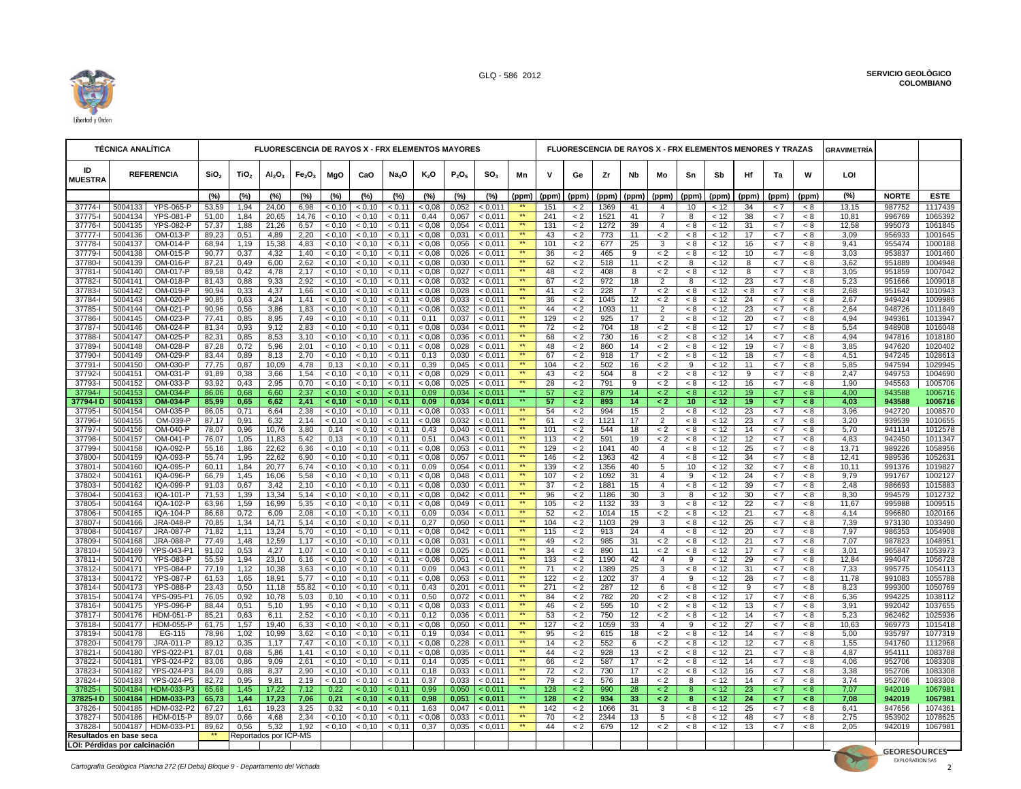

|                      | <b>TÉCNICA ANALÍTICA</b>                                                                                                                                                                                                                                                                                                                                                                                                                                                                                                                                                                                                                                                                                                                                                                                                                                                                                                                                                                                                                                                                                                                                                                                                                                                                                                                                                                                                                                                                                                                                                                                                                                                                                                                                                                                                                                                                                                                                                                                                                                                                                                                                                                                                                                                                                                                                                                                                                                                                                                                                                                                                                                                                                                                                                                                                                                                                                                                                                                                                                                                                                                                                                                                                                                                                                                                                                                                                                                                                                                                                                                                                                                                                                                                                                                                                                                                                                                                                                                                                                                                                                                                                                                                                                                                                                                                                                                                                                                                                                                                                                                                                                                                                                                                                                                                                                                                                                                                                                                                                                                                                                                                                                                                                                                                                                                                                                                                                                                                                                                                                                                                                                                                                                                                                                                                                                                                                                                                                                                                                                                                                                                                                                                                                                                                                                                                                                                                                                                                                                                                                                                                                                                                                                                                                                                                                                                                                                                                                                                                                                                                                                                                                                                                                                                                                                                                                                                                                                                                                                                                                                                                                                                                                                                                                                                                                                                                                                                                                                                                                                                                                                                                                                                                                                                                                                                                                                                                                                                                                                                                                                                                                                                                                                                                                                                                 |                                                                                 |                  |                  |                                |                                |                  | FLUORESCENCIA DE RAYOS X - FRX ELEMENTOS MAYORES |                   |                  |                |                    |                                    |                  |                    |             |          |                           |                |              | FLUORESCENCIA DE RAYOS X - FRX ELEMENTOS MENORES Y TRAZAS |            |              | GRAVIMETRÍA   |                        |                    |
|----------------------|----------------------------------------------------------------------------------------------------------------------------------------------------------------------------------------------------------------------------------------------------------------------------------------------------------------------------------------------------------------------------------------------------------------------------------------------------------------------------------------------------------------------------------------------------------------------------------------------------------------------------------------------------------------------------------------------------------------------------------------------------------------------------------------------------------------------------------------------------------------------------------------------------------------------------------------------------------------------------------------------------------------------------------------------------------------------------------------------------------------------------------------------------------------------------------------------------------------------------------------------------------------------------------------------------------------------------------------------------------------------------------------------------------------------------------------------------------------------------------------------------------------------------------------------------------------------------------------------------------------------------------------------------------------------------------------------------------------------------------------------------------------------------------------------------------------------------------------------------------------------------------------------------------------------------------------------------------------------------------------------------------------------------------------------------------------------------------------------------------------------------------------------------------------------------------------------------------------------------------------------------------------------------------------------------------------------------------------------------------------------------------------------------------------------------------------------------------------------------------------------------------------------------------------------------------------------------------------------------------------------------------------------------------------------------------------------------------------------------------------------------------------------------------------------------------------------------------------------------------------------------------------------------------------------------------------------------------------------------------------------------------------------------------------------------------------------------------------------------------------------------------------------------------------------------------------------------------------------------------------------------------------------------------------------------------------------------------------------------------------------------------------------------------------------------------------------------------------------------------------------------------------------------------------------------------------------------------------------------------------------------------------------------------------------------------------------------------------------------------------------------------------------------------------------------------------------------------------------------------------------------------------------------------------------------------------------------------------------------------------------------------------------------------------------------------------------------------------------------------------------------------------------------------------------------------------------------------------------------------------------------------------------------------------------------------------------------------------------------------------------------------------------------------------------------------------------------------------------------------------------------------------------------------------------------------------------------------------------------------------------------------------------------------------------------------------------------------------------------------------------------------------------------------------------------------------------------------------------------------------------------------------------------------------------------------------------------------------------------------------------------------------------------------------------------------------------------------------------------------------------------------------------------------------------------------------------------------------------------------------------------------------------------------------------------------------------------------------------------------------------------------------------------------------------------------------------------------------------------------------------------------------------------------------------------------------------------------------------------------------------------------------------------------------------------------------------------------------------------------------------------------------------------------------------------------------------------------------------------------------------------------------------------------------------------------------------------------------------------------------------------------------------------------------------------------------------------------------------------------------------------------------------------------------------------------------------------------------------------------------------------------------------------------------------------------------------------------------------------------------------------------------------------------------------------------------------------------------------------------------------------------------------------------------------------------------------------------------------------------------------------------------------------------------------------------------------------------------------------------------------------------------------------------------------------------------------------------------------------------------------------------------------------------------------------------------------------------------------------------------------------------------------------------------------------------------------------------------------------------------------------------------------------------------------------------------------------------------------------------------------------------------------------------------------------------------------------------------------------------------------------------------------------------------------------------------------------------------------------------------------------------------------------------------------------------------------------------------------------------------------------------------------------------------------------------------------------------------------------------------------------------------------------------------------------------------------------------------------------------------------------------------------------------------------------------------------------------------------------------------------------------------------------------------------------------------------------------------------------------------------------------------------------------------------------------------------------------------------------------------------------------------------------------------------------------------------------------------------------------------------------------------------------------------------------------------------------------------------------------------------------------------------------------------------------------------------------------------------------------------------------------------------------------------------------------------------------------------------------------------------------------------------------------------------------------|---------------------------------------------------------------------------------|------------------|------------------|--------------------------------|--------------------------------|------------------|--------------------------------------------------|-------------------|------------------|----------------|--------------------|------------------------------------|------------------|--------------------|-------------|----------|---------------------------|----------------|--------------|-----------------------------------------------------------|------------|--------------|---------------|------------------------|--------------------|
| ID<br><b>MUESTRA</b> |                                                                                                                                                                                                                                                                                                                                                                                                                                                                                                                                                                                                                                                                                                                                                                                                                                                                                                                                                                                                                                                                                                                                                                                                                                                                                                                                                                                                                                                                                                                                                                                                                                                                                                                                                                                                                                                                                                                                                                                                                                                                                                                                                                                                                                                                                                                                                                                                                                                                                                                                                                                                                                                                                                                                                                                                                                                                                                                                                                                                                                                                                                                                                                                                                                                                                                                                                                                                                                                                                                                                                                                                                                                                                                                                                                                                                                                                                                                                                                                                                                                                                                                                                                                                                                                                                                                                                                                                                                                                                                                                                                                                                                                                                                                                                                                                                                                                                                                                                                                                                                                                                                                                                                                                                                                                                                                                                                                                                                                                                                                                                                                                                                                                                                                                                                                                                                                                                                                                                                                                                                                                                                                                                                                                                                                                                                                                                                                                                                                                                                                                                                                                                                                                                                                                                                                                                                                                                                                                                                                                                                                                                                                                                                                                                                                                                                                                                                                                                                                                                                                                                                                                                                                                                                                                                                                                                                                                                                                                                                                                                                                                                                                                                                                                                                                                                                                                                                                                                                                                                                                                                                                                                                                                                                                                                                                                          | <b>REFERENCIA</b>                                                               | SiO <sub>2</sub> | TiO <sub>2</sub> | AI <sub>2</sub> O <sub>3</sub> | Fe <sub>2</sub> O <sub>3</sub> | MgO              | CaO                                              | Na <sub>2</sub> O | $K_2O$           | $P_2O_5$       | SO <sub>3</sub>    | Mn                                 | $\mathbf v$      | Ge                 | Zr          | Nb       | Mo                        | Sn             | Sb           | Ηf                                                        | Та         | W            | LOI           |                        |                    |
|                      |                                                                                                                                                                                                                                                                                                                                                                                                                                                                                                                                                                                                                                                                                                                                                                                                                                                                                                                                                                                                                                                                                                                                                                                                                                                                                                                                                                                                                                                                                                                                                                                                                                                                                                                                                                                                                                                                                                                                                                                                                                                                                                                                                                                                                                                                                                                                                                                                                                                                                                                                                                                                                                                                                                                                                                                                                                                                                                                                                                                                                                                                                                                                                                                                                                                                                                                                                                                                                                                                                                                                                                                                                                                                                                                                                                                                                                                                                                                                                                                                                                                                                                                                                                                                                                                                                                                                                                                                                                                                                                                                                                                                                                                                                                                                                                                                                                                                                                                                                                                                                                                                                                                                                                                                                                                                                                                                                                                                                                                                                                                                                                                                                                                                                                                                                                                                                                                                                                                                                                                                                                                                                                                                                                                                                                                                                                                                                                                                                                                                                                                                                                                                                                                                                                                                                                                                                                                                                                                                                                                                                                                                                                                                                                                                                                                                                                                                                                                                                                                                                                                                                                                                                                                                                                                                                                                                                                                                                                                                                                                                                                                                                                                                                                                                                                                                                                                                                                                                                                                                                                                                                                                                                                                                                                                                                                                                          |                                                                                 | (%)              | (%)              | (%)                            | (%)                            | (%)              | (%)                                              | (%)               | (%)              | (%)            | (%)                | (ppm)                              | (ppm)            | (ppm) (ppm)        |             | (ppm)    | (ppm)                     | (ppm)          | (ppm)        | (ppm)                                                     | (ppm)      | (ppm)        | (%)           | <b>NORTE</b>           | <b>ESTE</b>        |
| 37774-l              | 5004133                                                                                                                                                                                                                                                                                                                                                                                                                                                                                                                                                                                                                                                                                                                                                                                                                                                                                                                                                                                                                                                                                                                                                                                                                                                                                                                                                                                                                                                                                                                                                                                                                                                                                                                                                                                                                                                                                                                                                                                                                                                                                                                                                                                                                                                                                                                                                                                                                                                                                                                                                                                                                                                                                                                                                                                                                                                                                                                                                                                                                                                                                                                                                                                                                                                                                                                                                                                                                                                                                                                                                                                                                                                                                                                                                                                                                                                                                                                                                                                                                                                                                                                                                                                                                                                                                                                                                                                                                                                                                                                                                                                                                                                                                                                                                                                                                                                                                                                                                                                                                                                                                                                                                                                                                                                                                                                                                                                                                                                                                                                                                                                                                                                                                                                                                                                                                                                                                                                                                                                                                                                                                                                                                                                                                                                                                                                                                                                                                                                                                                                                                                                                                                                                                                                                                                                                                                                                                                                                                                                                                                                                                                                                                                                                                                                                                                                                                                                                                                                                                                                                                                                                                                                                                                                                                                                                                                                                                                                                                                                                                                                                                                                                                                                                                                                                                                                                                                                                                                                                                                                                                                                                                                                                                                                                                                                                  | <b>YPS-065-P</b>                                                                | 53,59            | 1,94             | 24,00                          | 6,98                           | < 0.10           | < 0.10                                           | < 0.11            | < 0.08           | 0,052          | < 0.011            |                                    | 151              | $\lt 2$            | 1369        | 41       | $\overline{4}$            | 10             | < 12         | 34                                                        | < 7        | < 8          | 13,15         | 987752                 | 1117439            |
| 37775-l              | 5004134                                                                                                                                                                                                                                                                                                                                                                                                                                                                                                                                                                                                                                                                                                                                                                                                                                                                                                                                                                                                                                                                                                                                                                                                                                                                                                                                                                                                                                                                                                                                                                                                                                                                                                                                                                                                                                                                                                                                                                                                                                                                                                                                                                                                                                                                                                                                                                                                                                                                                                                                                                                                                                                                                                                                                                                                                                                                                                                                                                                                                                                                                                                                                                                                                                                                                                                                                                                                                                                                                                                                                                                                                                                                                                                                                                                                                                                                                                                                                                                                                                                                                                                                                                                                                                                                                                                                                                                                                                                                                                                                                                                                                                                                                                                                                                                                                                                                                                                                                                                                                                                                                                                                                                                                                                                                                                                                                                                                                                                                                                                                                                                                                                                                                                                                                                                                                                                                                                                                                                                                                                                                                                                                                                                                                                                                                                                                                                                                                                                                                                                                                                                                                                                                                                                                                                                                                                                                                                                                                                                                                                                                                                                                                                                                                                                                                                                                                                                                                                                                                                                                                                                                                                                                                                                                                                                                                                                                                                                                                                                                                                                                                                                                                                                                                                                                                                                                                                                                                                                                                                                                                                                                                                                                                                                                                                                                  | <b>YPS-081-P</b>                                                                | 51,00            | 1,84             | 20,65                          | 14,76                          | < 0.10           | < 0.10                                           | < 0.11            | 0,44             | 0,067          | < 0.011            | $\overline{**}$<br>$^{\star\star}$ | 241              | $\lt 2$            | 1521        | 41       | 7                         | 8              | < 12         | 38                                                        | $\lt$ 7    | < 8          | 10,81         | 996769                 | 1065392            |
| 37776-l<br>37777-l   | 5004135<br>5004136                                                                                                                                                                                                                                                                                                                                                                                                                                                                                                                                                                                                                                                                                                                                                                                                                                                                                                                                                                                                                                                                                                                                                                                                                                                                                                                                                                                                                                                                                                                                                                                                                                                                                                                                                                                                                                                                                                                                                                                                                                                                                                                                                                                                                                                                                                                                                                                                                                                                                                                                                                                                                                                                                                                                                                                                                                                                                                                                                                                                                                                                                                                                                                                                                                                                                                                                                                                                                                                                                                                                                                                                                                                                                                                                                                                                                                                                                                                                                                                                                                                                                                                                                                                                                                                                                                                                                                                                                                                                                                                                                                                                                                                                                                                                                                                                                                                                                                                                                                                                                                                                                                                                                                                                                                                                                                                                                                                                                                                                                                                                                                                                                                                                                                                                                                                                                                                                                                                                                                                                                                                                                                                                                                                                                                                                                                                                                                                                                                                                                                                                                                                                                                                                                                                                                                                                                                                                                                                                                                                                                                                                                                                                                                                                                                                                                                                                                                                                                                                                                                                                                                                                                                                                                                                                                                                                                                                                                                                                                                                                                                                                                                                                                                                                                                                                                                                                                                                                                                                                                                                                                                                                                                                                                                                                                                                       | <b>YPS-082-P</b><br>OM-013-P                                                    | 57,37<br>89,23   | 1,88<br>0,51     | 21,26<br>4,89                  | 6,57<br>2,20                   | < 0,10<br>< 0.10 | < 0,10<br>< 0.10                                 | < 0,11<br>< 0.11  | < 0.08<br>< 0.08 | 0,054<br>0.031 | < 0,011<br>< 0.011 | $\star\star$                       | 131<br>43        | $\lt 2$<br>< 2     | 1272<br>773 | 39<br>11 | $\overline{4}$<br>$\lt 2$ | $< 8\,$<br>< 8 | < 12<br>< 12 | 31<br>17                                                  | < 7<br>< 7 | $< 8$<br>< 8 | 12,58<br>3,09 | 995073<br>956933       | 1061845<br>1001645 |
| 37778-l              | 5004137                                                                                                                                                                                                                                                                                                                                                                                                                                                                                                                                                                                                                                                                                                                                                                                                                                                                                                                                                                                                                                                                                                                                                                                                                                                                                                                                                                                                                                                                                                                                                                                                                                                                                                                                                                                                                                                                                                                                                                                                                                                                                                                                                                                                                                                                                                                                                                                                                                                                                                                                                                                                                                                                                                                                                                                                                                                                                                                                                                                                                                                                                                                                                                                                                                                                                                                                                                                                                                                                                                                                                                                                                                                                                                                                                                                                                                                                                                                                                                                                                                                                                                                                                                                                                                                                                                                                                                                                                                                                                                                                                                                                                                                                                                                                                                                                                                                                                                                                                                                                                                                                                                                                                                                                                                                                                                                                                                                                                                                                                                                                                                                                                                                                                                                                                                                                                                                                                                                                                                                                                                                                                                                                                                                                                                                                                                                                                                                                                                                                                                                                                                                                                                                                                                                                                                                                                                                                                                                                                                                                                                                                                                                                                                                                                                                                                                                                                                                                                                                                                                                                                                                                                                                                                                                                                                                                                                                                                                                                                                                                                                                                                                                                                                                                                                                                                                                                                                                                                                                                                                                                                                                                                                                                                                                                                                                                  | OM-014-P                                                                        | 68,94            | 1,19             | 15,38                          | 4,83                           | < 0,10           | < 0,10                                           | < 0.11            | < 0.08           | 0,056          | < 0,011            | $\star\star$                       | 101              | $\lt 2$            | 677         | 25       | 3                         | < 8            | < 12         | 16                                                        | < 7        | < 8          | 9,41          | 955474                 | 1000188            |
| 37779-l              | 5004138                                                                                                                                                                                                                                                                                                                                                                                                                                                                                                                                                                                                                                                                                                                                                                                                                                                                                                                                                                                                                                                                                                                                                                                                                                                                                                                                                                                                                                                                                                                                                                                                                                                                                                                                                                                                                                                                                                                                                                                                                                                                                                                                                                                                                                                                                                                                                                                                                                                                                                                                                                                                                                                                                                                                                                                                                                                                                                                                                                                                                                                                                                                                                                                                                                                                                                                                                                                                                                                                                                                                                                                                                                                                                                                                                                                                                                                                                                                                                                                                                                                                                                                                                                                                                                                                                                                                                                                                                                                                                                                                                                                                                                                                                                                                                                                                                                                                                                                                                                                                                                                                                                                                                                                                                                                                                                                                                                                                                                                                                                                                                                                                                                                                                                                                                                                                                                                                                                                                                                                                                                                                                                                                                                                                                                                                                                                                                                                                                                                                                                                                                                                                                                                                                                                                                                                                                                                                                                                                                                                                                                                                                                                                                                                                                                                                                                                                                                                                                                                                                                                                                                                                                                                                                                                                                                                                                                                                                                                                                                                                                                                                                                                                                                                                                                                                                                                                                                                                                                                                                                                                                                                                                                                                                                                                                                                                  | OM-015-P                                                                        | 90,77            | 0,37             | 4,32                           | 1,40                           | < 0,10           | < 0,10                                           | < 0,11            | < 0,08           | 0,026          | < 0,011            | $\star\star$                       | 36               | $\lt 2$            | 465         | 9        | $\lt 2$                   | < 8            | < 12         | 10                                                        | < 7        | < 8          | 3,03          | 953837                 | 1001460            |
| 37780-l              |                                                                                                                                                                                                                                                                                                                                                                                                                                                                                                                                                                                                                                                                                                                                                                                                                                                                                                                                                                                                                                                                                                                                                                                                                                                                                                                                                                                                                                                                                                                                                                                                                                                                                                                                                                                                                                                                                                                                                                                                                                                                                                                                                                                                                                                                                                                                                                                                                                                                                                                                                                                                                                                                                                                                                                                                                                                                                                                                                                                                                                                                                                                                                                                                                                                                                                                                                                                                                                                                                                                                                                                                                                                                                                                                                                                                                                                                                                                                                                                                                                                                                                                                                                                                                                                                                                                                                                                                                                                                                                                                                                                                                                                                                                                                                                                                                                                                                                                                                                                                                                                                                                                                                                                                                                                                                                                                                                                                                                                                                                                                                                                                                                                                                                                                                                                                                                                                                                                                                                                                                                                                                                                                                                                                                                                                                                                                                                                                                                                                                                                                                                                                                                                                                                                                                                                                                                                                                                                                                                                                                                                                                                                                                                                                                                                                                                                                                                                                                                                                                                                                                                                                                                                                                                                                                                                                                                                                                                                                                                                                                                                                                                                                                                                                                                                                                                                                                                                                                                                                                                                                                                                                                                                                                                                                                                                                          |                                                                                 |                  |                  |                                |                                |                  |                                                  |                   |                  |                |                    |                                    |                  |                    |             |          |                           |                |              |                                                           |            |              |               | 951889                 | 1004948            |
| 37781-<br>37782-l    |                                                                                                                                                                                                                                                                                                                                                                                                                                                                                                                                                                                                                                                                                                                                                                                                                                                                                                                                                                                                                                                                                                                                                                                                                                                                                                                                                                                                                                                                                                                                                                                                                                                                                                                                                                                                                                                                                                                                                                                                                                                                                                                                                                                                                                                                                                                                                                                                                                                                                                                                                                                                                                                                                                                                                                                                                                                                                                                                                                                                                                                                                                                                                                                                                                                                                                                                                                                                                                                                                                                                                                                                                                                                                                                                                                                                                                                                                                                                                                                                                                                                                                                                                                                                                                                                                                                                                                                                                                                                                                                                                                                                                                                                                                                                                                                                                                                                                                                                                                                                                                                                                                                                                                                                                                                                                                                                                                                                                                                                                                                                                                                                                                                                                                                                                                                                                                                                                                                                                                                                                                                                                                                                                                                                                                                                                                                                                                                                                                                                                                                                                                                                                                                                                                                                                                                                                                                                                                                                                                                                                                                                                                                                                                                                                                                                                                                                                                                                                                                                                                                                                                                                                                                                                                                                                                                                                                                                                                                                                                                                                                                                                                                                                                                                                                                                                                                                                                                                                                                                                                                                                                                                                                                                                                                                                                                                          |                                                                                 |                  |                  |                                |                                |                  |                                                  |                   |                  |                |                    |                                    |                  |                    |             |          |                           |                |              |                                                           |            |              |               | 951859<br>951666       | 1007042<br>1009018 |
| 37783-l              |                                                                                                                                                                                                                                                                                                                                                                                                                                                                                                                                                                                                                                                                                                                                                                                                                                                                                                                                                                                                                                                                                                                                                                                                                                                                                                                                                                                                                                                                                                                                                                                                                                                                                                                                                                                                                                                                                                                                                                                                                                                                                                                                                                                                                                                                                                                                                                                                                                                                                                                                                                                                                                                                                                                                                                                                                                                                                                                                                                                                                                                                                                                                                                                                                                                                                                                                                                                                                                                                                                                                                                                                                                                                                                                                                                                                                                                                                                                                                                                                                                                                                                                                                                                                                                                                                                                                                                                                                                                                                                                                                                                                                                                                                                                                                                                                                                                                                                                                                                                                                                                                                                                                                                                                                                                                                                                                                                                                                                                                                                                                                                                                                                                                                                                                                                                                                                                                                                                                                                                                                                                                                                                                                                                                                                                                                                                                                                                                                                                                                                                                                                                                                                                                                                                                                                                                                                                                                                                                                                                                                                                                                                                                                                                                                                                                                                                                                                                                                                                                                                                                                                                                                                                                                                                                                                                                                                                                                                                                                                                                                                                                                                                                                                                                                                                                                                                                                                                                                                                                                                                                                                                                                                                                                                                                                                                                          |                                                                                 |                  |                  |                                |                                |                  |                                                  |                   |                  |                |                    | $\overline{**}$                    |                  |                    |             |          |                           |                |              |                                                           |            |              |               | 951642                 | 1010943            |
| 37784-l              | 5004143                                                                                                                                                                                                                                                                                                                                                                                                                                                                                                                                                                                                                                                                                                                                                                                                                                                                                                                                                                                                                                                                                                                                                                                                                                                                                                                                                                                                                                                                                                                                                                                                                                                                                                                                                                                                                                                                                                                                                                                                                                                                                                                                                                                                                                                                                                                                                                                                                                                                                                                                                                                                                                                                                                                                                                                                                                                                                                                                                                                                                                                                                                                                                                                                                                                                                                                                                                                                                                                                                                                                                                                                                                                                                                                                                                                                                                                                                                                                                                                                                                                                                                                                                                                                                                                                                                                                                                                                                                                                                                                                                                                                                                                                                                                                                                                                                                                                                                                                                                                                                                                                                                                                                                                                                                                                                                                                                                                                                                                                                                                                                                                                                                                                                                                                                                                                                                                                                                                                                                                                                                                                                                                                                                                                                                                                                                                                                                                                                                                                                                                                                                                                                                                                                                                                                                                                                                                                                                                                                                                                                                                                                                                                                                                                                                                                                                                                                                                                                                                                                                                                                                                                                                                                                                                                                                                                                                                                                                                                                                                                                                                                                                                                                                                                                                                                                                                                                                                                                                                                                                                                                                                                                                                                                                                                                                                                  | OM-020-P                                                                        | 90,85            | 0,63             | 4,24                           | 1,41                           | < 0,10           | < 0,10                                           |                   | < 0,08           | 0,033          | < 0,011            | $\star\star$                       | 36               | $\leq$ 2           | 1045        | 12       | $\lt 2$                   | $< 8\,$        | < 12         | 24                                                        | < 7        | $< 8$        | 2,67          | 949424                 | 1009986            |
| 37785-l              | 5004144                                                                                                                                                                                                                                                                                                                                                                                                                                                                                                                                                                                                                                                                                                                                                                                                                                                                                                                                                                                                                                                                                                                                                                                                                                                                                                                                                                                                                                                                                                                                                                                                                                                                                                                                                                                                                                                                                                                                                                                                                                                                                                                                                                                                                                                                                                                                                                                                                                                                                                                                                                                                                                                                                                                                                                                                                                                                                                                                                                                                                                                                                                                                                                                                                                                                                                                                                                                                                                                                                                                                                                                                                                                                                                                                                                                                                                                                                                                                                                                                                                                                                                                                                                                                                                                                                                                                                                                                                                                                                                                                                                                                                                                                                                                                                                                                                                                                                                                                                                                                                                                                                                                                                                                                                                                                                                                                                                                                                                                                                                                                                                                                                                                                                                                                                                                                                                                                                                                                                                                                                                                                                                                                                                                                                                                                                                                                                                                                                                                                                                                                                                                                                                                                                                                                                                                                                                                                                                                                                                                                                                                                                                                                                                                                                                                                                                                                                                                                                                                                                                                                                                                                                                                                                                                                                                                                                                                                                                                                                                                                                                                                                                                                                                                                                                                                                                                                                                                                                                                                                                                                                                                                                                                                                                                                                                                                  | OM-021-P                                                                        | 90,96            | 0,56             | 3,86                           | 1,83                           | < 0.10           | < 0.10                                           |                   | < 0.08           | 0,032          | < 0.011            |                                    | 44               | $\lt 2$            | 1093        | 11       |                           | < 8            | < 12         | 23                                                        | < 7        | < 8          | 2,64          | 948726                 | 1011849            |
| 37786-l<br>37787-l   |                                                                                                                                                                                                                                                                                                                                                                                                                                                                                                                                                                                                                                                                                                                                                                                                                                                                                                                                                                                                                                                                                                                                                                                                                                                                                                                                                                                                                                                                                                                                                                                                                                                                                                                                                                                                                                                                                                                                                                                                                                                                                                                                                                                                                                                                                                                                                                                                                                                                                                                                                                                                                                                                                                                                                                                                                                                                                                                                                                                                                                                                                                                                                                                                                                                                                                                                                                                                                                                                                                                                                                                                                                                                                                                                                                                                                                                                                                                                                                                                                                                                                                                                                                                                                                                                                                                                                                                                                                                                                                                                                                                                                                                                                                                                                                                                                                                                                                                                                                                                                                                                                                                                                                                                                                                                                                                                                                                                                                                                                                                                                                                                                                                                                                                                                                                                                                                                                                                                                                                                                                                                                                                                                                                                                                                                                                                                                                                                                                                                                                                                                                                                                                                                                                                                                                                                                                                                                                                                                                                                                                                                                                                                                                                                                                                                                                                                                                                                                                                                                                                                                                                                                                                                                                                                                                                                                                                                                                                                                                                                                                                                                                                                                                                                                                                                                                                                                                                                                                                                                                                                                                                                                                                                                                                                                                                                          |                                                                                 |                  |                  |                                |                                |                  |                                                  |                   |                  |                |                    |                                    |                  |                    |             |          |                           |                |              |                                                           |            |              |               | 949361<br>948908       | 1013947<br>1016048 |
| 37788-l              |                                                                                                                                                                                                                                                                                                                                                                                                                                                                                                                                                                                                                                                                                                                                                                                                                                                                                                                                                                                                                                                                                                                                                                                                                                                                                                                                                                                                                                                                                                                                                                                                                                                                                                                                                                                                                                                                                                                                                                                                                                                                                                                                                                                                                                                                                                                                                                                                                                                                                                                                                                                                                                                                                                                                                                                                                                                                                                                                                                                                                                                                                                                                                                                                                                                                                                                                                                                                                                                                                                                                                                                                                                                                                                                                                                                                                                                                                                                                                                                                                                                                                                                                                                                                                                                                                                                                                                                                                                                                                                                                                                                                                                                                                                                                                                                                                                                                                                                                                                                                                                                                                                                                                                                                                                                                                                                                                                                                                                                                                                                                                                                                                                                                                                                                                                                                                                                                                                                                                                                                                                                                                                                                                                                                                                                                                                                                                                                                                                                                                                                                                                                                                                                                                                                                                                                                                                                                                                                                                                                                                                                                                                                                                                                                                                                                                                                                                                                                                                                                                                                                                                                                                                                                                                                                                                                                                                                                                                                                                                                                                                                                                                                                                                                                                                                                                                                                                                                                                                                                                                                                                                                                                                                                                                                                                                                                          |                                                                                 |                  |                  |                                |                                |                  |                                                  |                   |                  |                |                    | $\star\star$                       |                  |                    |             |          |                           |                |              |                                                           |            |              |               | 947816                 | 1018180            |
| 37789-l              | 5004148                                                                                                                                                                                                                                                                                                                                                                                                                                                                                                                                                                                                                                                                                                                                                                                                                                                                                                                                                                                                                                                                                                                                                                                                                                                                                                                                                                                                                                                                                                                                                                                                                                                                                                                                                                                                                                                                                                                                                                                                                                                                                                                                                                                                                                                                                                                                                                                                                                                                                                                                                                                                                                                                                                                                                                                                                                                                                                                                                                                                                                                                                                                                                                                                                                                                                                                                                                                                                                                                                                                                                                                                                                                                                                                                                                                                                                                                                                                                                                                                                                                                                                                                                                                                                                                                                                                                                                                                                                                                                                                                                                                                                                                                                                                                                                                                                                                                                                                                                                                                                                                                                                                                                                                                                                                                                                                                                                                                                                                                                                                                                                                                                                                                                                                                                                                                                                                                                                                                                                                                                                                                                                                                                                                                                                                                                                                                                                                                                                                                                                                                                                                                                                                                                                                                                                                                                                                                                                                                                                                                                                                                                                                                                                                                                                                                                                                                                                                                                                                                                                                                                                                                                                                                                                                                                                                                                                                                                                                                                                                                                                                                                                                                                                                                                                                                                                                                                                                                                                                                                                                                                                                                                                                                                                                                                                                                  | OM-028-P                                                                        | 87,28            | 0,72             | 5,96                           | 2,01                           | < 0,10           | < 0,10                                           | < 0,11            | < 0,08           | 0,028          | < 0,011            | $***$                              | 48               | $\lt 2$            | 860         | 14       | $\leq 2$                  | < 8            | < 12         | 19                                                        | $\lt$ 7    | < 8          | 3,85          | 947620                 | 1020402            |
| 37790-l              | 5004149                                                                                                                                                                                                                                                                                                                                                                                                                                                                                                                                                                                                                                                                                                                                                                                                                                                                                                                                                                                                                                                                                                                                                                                                                                                                                                                                                                                                                                                                                                                                                                                                                                                                                                                                                                                                                                                                                                                                                                                                                                                                                                                                                                                                                                                                                                                                                                                                                                                                                                                                                                                                                                                                                                                                                                                                                                                                                                                                                                                                                                                                                                                                                                                                                                                                                                                                                                                                                                                                                                                                                                                                                                                                                                                                                                                                                                                                                                                                                                                                                                                                                                                                                                                                                                                                                                                                                                                                                                                                                                                                                                                                                                                                                                                                                                                                                                                                                                                                                                                                                                                                                                                                                                                                                                                                                                                                                                                                                                                                                                                                                                                                                                                                                                                                                                                                                                                                                                                                                                                                                                                                                                                                                                                                                                                                                                                                                                                                                                                                                                                                                                                                                                                                                                                                                                                                                                                                                                                                                                                                                                                                                                                                                                                                                                                                                                                                                                                                                                                                                                                                                                                                                                                                                                                                                                                                                                                                                                                                                                                                                                                                                                                                                                                                                                                                                                                                                                                                                                                                                                                                                                                                                                                                                                                                                                                                  | OM-029-P                                                                        | 83,44            | 0,89             | 8,13                           | 2,70                           | < 0,10           | < 0,10                                           | < 0,11            | 0,13             | 0,030          | < 0,011            |                                    | 67               | $\lt 2$            | 918         | 17       | $\leq 2$                  | < 8            | < 12         | 18                                                        | < 7        | < 8          | 4,51          | 947245                 | 1028613            |
| 37791-l              |                                                                                                                                                                                                                                                                                                                                                                                                                                                                                                                                                                                                                                                                                                                                                                                                                                                                                                                                                                                                                                                                                                                                                                                                                                                                                                                                                                                                                                                                                                                                                                                                                                                                                                                                                                                                                                                                                                                                                                                                                                                                                                                                                                                                                                                                                                                                                                                                                                                                                                                                                                                                                                                                                                                                                                                                                                                                                                                                                                                                                                                                                                                                                                                                                                                                                                                                                                                                                                                                                                                                                                                                                                                                                                                                                                                                                                                                                                                                                                                                                                                                                                                                                                                                                                                                                                                                                                                                                                                                                                                                                                                                                                                                                                                                                                                                                                                                                                                                                                                                                                                                                                                                                                                                                                                                                                                                                                                                                                                                                                                                                                                                                                                                                                                                                                                                                                                                                                                                                                                                                                                                                                                                                                                                                                                                                                                                                                                                                                                                                                                                                                                                                                                                                                                                                                                                                                                                                                                                                                                                                                                                                                                                                                                                                                                                                                                                                                                                                                                                                                                                                                                                                                                                                                                                                                                                                                                                                                                                                                                                                                                                                                                                                                                                                                                                                                                                                                                                                                                                                                                                                                                                                                                                                                                                                                                                          |                                                                                 |                  |                  |                                |                                |                  |                                                  |                   |                  |                |                    |                                    |                  |                    |             |          |                           |                |              |                                                           |            |              |               | 947594                 | 1029945            |
| 37792-l<br>37793-l   |                                                                                                                                                                                                                                                                                                                                                                                                                                                                                                                                                                                                                                                                                                                                                                                                                                                                                                                                                                                                                                                                                                                                                                                                                                                                                                                                                                                                                                                                                                                                                                                                                                                                                                                                                                                                                                                                                                                                                                                                                                                                                                                                                                                                                                                                                                                                                                                                                                                                                                                                                                                                                                                                                                                                                                                                                                                                                                                                                                                                                                                                                                                                                                                                                                                                                                                                                                                                                                                                                                                                                                                                                                                                                                                                                                                                                                                                                                                                                                                                                                                                                                                                                                                                                                                                                                                                                                                                                                                                                                                                                                                                                                                                                                                                                                                                                                                                                                                                                                                                                                                                                                                                                                                                                                                                                                                                                                                                                                                                                                                                                                                                                                                                                                                                                                                                                                                                                                                                                                                                                                                                                                                                                                                                                                                                                                                                                                                                                                                                                                                                                                                                                                                                                                                                                                                                                                                                                                                                                                                                                                                                                                                                                                                                                                                                                                                                                                                                                                                                                                                                                                                                                                                                                                                                                                                                                                                                                                                                                                                                                                                                                                                                                                                                                                                                                                                                                                                                                                                                                                                                                                                                                                                                                                                                                                                                          |                                                                                 |                  |                  |                                |                                |                  |                                                  |                   |                  |                |                    | $\overline{\star\star}$            |                  |                    |             |          |                           |                |              |                                                           |            |              |               | 949753<br>945563       | 1004690<br>1005706 |
| 37794-l              | 5004153                                                                                                                                                                                                                                                                                                                                                                                                                                                                                                                                                                                                                                                                                                                                                                                                                                                                                                                                                                                                                                                                                                                                                                                                                                                                                                                                                                                                                                                                                                                                                                                                                                                                                                                                                                                                                                                                                                                                                                                                                                                                                                                                                                                                                                                                                                                                                                                                                                                                                                                                                                                                                                                                                                                                                                                                                                                                                                                                                                                                                                                                                                                                                                                                                                                                                                                                                                                                                                                                                                                                                                                                                                                                                                                                                                                                                                                                                                                                                                                                                                                                                                                                                                                                                                                                                                                                                                                                                                                                                                                                                                                                                                                                                                                                                                                                                                                                                                                                                                                                                                                                                                                                                                                                                                                                                                                                                                                                                                                                                                                                                                                                                                                                                                                                                                                                                                                                                                                                                                                                                                                                                                                                                                                                                                                                                                                                                                                                                                                                                                                                                                                                                                                                                                                                                                                                                                                                                                                                                                                                                                                                                                                                                                                                                                                                                                                                                                                                                                                                                                                                                                                                                                                                                                                                                                                                                                                                                                                                                                                                                                                                                                                                                                                                                                                                                                                                                                                                                                                                                                                                                                                                                                                                                                                                                                                                  | OM-034-P                                                                        | 86,06            |                  | 6,60                           |                                |                  |                                                  | < 0.11            | 0,09             | 0,034          | < 0.011            | $\star\star$                       | 57               |                    | 879         | 14       |                           | < 8            |              | 19                                                        | < 7        | < 8          | 4.00          | 943588                 | 1006716            |
| 37794-I D            | 5004153                                                                                                                                                                                                                                                                                                                                                                                                                                                                                                                                                                                                                                                                                                                                                                                                                                                                                                                                                                                                                                                                                                                                                                                                                                                                                                                                                                                                                                                                                                                                                                                                                                                                                                                                                                                                                                                                                                                                                                                                                                                                                                                                                                                                                                                                                                                                                                                                                                                                                                                                                                                                                                                                                                                                                                                                                                                                                                                                                                                                                                                                                                                                                                                                                                                                                                                                                                                                                                                                                                                                                                                                                                                                                                                                                                                                                                                                                                                                                                                                                                                                                                                                                                                                                                                                                                                                                                                                                                                                                                                                                                                                                                                                                                                                                                                                                                                                                                                                                                                                                                                                                                                                                                                                                                                                                                                                                                                                                                                                                                                                                                                                                                                                                                                                                                                                                                                                                                                                                                                                                                                                                                                                                                                                                                                                                                                                                                                                                                                                                                                                                                                                                                                                                                                                                                                                                                                                                                                                                                                                                                                                                                                                                                                                                                                                                                                                                                                                                                                                                                                                                                                                                                                                                                                                                                                                                                                                                                                                                                                                                                                                                                                                                                                                                                                                                                                                                                                                                                                                                                                                                                                                                                                                                                                                                                                                  | <b>OM-034-P</b>                                                                 | 85,99            | 0,65             | 6,62                           | 2,41                           | < 0,10           | < 0,10                                           | < 0,11            | 0,09             | 0,034          | < 0,011            | $\star\star$                       | 57               | $\leq$ 2           | 893         | 14       | $\leq$ 2                  | 10             | < 12         | 19                                                        | $\leq 7$   | < 8          | 4,03          | 943588                 | 1006716            |
| 37795-l              | 5004154                                                                                                                                                                                                                                                                                                                                                                                                                                                                                                                                                                                                                                                                                                                                                                                                                                                                                                                                                                                                                                                                                                                                                                                                                                                                                                                                                                                                                                                                                                                                                                                                                                                                                                                                                                                                                                                                                                                                                                                                                                                                                                                                                                                                                                                                                                                                                                                                                                                                                                                                                                                                                                                                                                                                                                                                                                                                                                                                                                                                                                                                                                                                                                                                                                                                                                                                                                                                                                                                                                                                                                                                                                                                                                                                                                                                                                                                                                                                                                                                                                                                                                                                                                                                                                                                                                                                                                                                                                                                                                                                                                                                                                                                                                                                                                                                                                                                                                                                                                                                                                                                                                                                                                                                                                                                                                                                                                                                                                                                                                                                                                                                                                                                                                                                                                                                                                                                                                                                                                                                                                                                                                                                                                                                                                                                                                                                                                                                                                                                                                                                                                                                                                                                                                                                                                                                                                                                                                                                                                                                                                                                                                                                                                                                                                                                                                                                                                                                                                                                                                                                                                                                                                                                                                                                                                                                                                                                                                                                                                                                                                                                                                                                                                                                                                                                                                                                                                                                                                                                                                                                                                                                                                                                                                                                                                                                  | OM-035-P                                                                        | 86,05            | 0,71             | 6,64                           | 2,38                           | < 0.10           | < 0.10                                           | < 0.11            | < 0.08           | 0,033          | < 0.011            |                                    | 54               | $\lt 2$            | 994         | 15       | 2                         | < 8            | < 12         |                                                           | < 7        | < 8          | 3,96          | 942720                 | 1008570            |
| 37796-l<br>37797-l   | $\star\star$<br>5004139<br>OM-016-P<br>87,21<br>11<br>0,49<br>6,00<br>2,62<br>< 0.10<br>< 0.10<br>< 0.11<br>0.08<br>0,030<br>< 0.011<br>62<br>$\lt 2$<br>518<br>$\lt 2$<br>8<br>< 12<br>8<br>< 7<br>< 8<br>3,62<br>$\star\star$<br>5004140<br>OM-017-P<br>89,58<br>0,42<br>4,78<br>2.17<br>< 0,10<br>< 0.10<br>< 0.11<br>${}_{< 0.08}$<br>0,027<br>< 0.011<br>48<br>$\lt 2$<br>408<br>8<br>$\lt 2$<br>< 8<br>< 12<br>8<br>< 7<br>$< 8$<br>3,05<br>$\star\star$<br>5004141<br>OM-018-P<br>2,92<br>18<br>81,43<br>0,88<br>9,33<br>< 0,10<br>< 0,10<br>< 0.11<br>< 0,08<br>0,032<br>< 0,011<br>67<br>< 2<br>972<br>2<br>8<br>< 12<br>23<br>< 8<br>5,23<br>< 7<br>5004142<br>OM-019-P<br>90,94<br>0,33<br>4,37<br>1,66<br>< 0,10<br>< 0,10<br>< 0,11<br>< 0,08<br>0,028<br>< 0,011<br>41<br>$\lt 2$<br>228<br>$\overline{7}$<br>$\leq 2$<br>< 8<br>< 12<br>< 8<br>< 7<br>$< 8$<br>2,68<br>< 0,11<br>$\star\star$<br>$\overline{2}$<br>< 0.11<br>$\star\star$<br>5004145<br>OM-023-P<br>77,41<br>0,85<br>8,95<br>7,49<br>< 0,10<br>< 0,10<br>< 0.11<br>0,11<br>0,037<br>< 0.011<br>129<br>$\lt 2$<br>925<br>17<br>$\overline{2}$<br>< 8<br>< 12<br>20<br>$\lt$ 7<br>< 8<br>4,94<br>$\star\star$<br>5004146<br>OM-024-P<br>81,34<br>0,93<br>2,83<br>< 0.10<br>< 0.10<br>< 0.11<br>< 0.08<br>0,034<br>< 0.011<br>72<br>704<br>18<br>< 8<br>< 12<br>17<br>$< 8$<br>9,12<br>$\leq$ 2<br>$\lt 2$<br>$\lt$ 7<br>5,54<br>5004147<br>OM-025-P<br>82,31<br>0,85<br>8,53<br>3,10<br>< 0.10<br>< 0.10<br>< 0.11<br>< 0.08<br>0,036<br>< 0.011<br>68<br>$\lt 2$<br>730<br>16<br>$\lt 2$<br>< 8<br>< 12<br>14<br>$\lt$ 7<br>< 8<br>4,94<br>$\star\star$<br>$\star\star$<br>5004150<br>OM-030-P<br>77,75<br>0,87<br>10,09<br>4,78<br>0,13<br>< 0.11<br>0,39<br>0,045<br>< 0.011<br>104<br>$\lt 2$<br>502<br>16<br>$\lt 2$<br>9<br>< 12<br>11<br>< 7<br>< 0.10<br>< 8<br>5.85<br>$\star\star$<br>5004151<br>OM-031-P<br>91,89<br>0,38<br>3,66<br>1,54<br>< 0,10<br>< 0,10<br>< 0,11<br>0,08<br>0,029<br>< 0,011<br>43<br>$\lt 2$<br>504<br>8<br>$\lt 2$<br>$< 8\,$<br>< 12<br>$< 8$<br>9<br>< 7<br>2,47<br>OM-033-P<br>0,70<br>$\lt 2$<br>791<br>$\lt 2$<br>< 12<br>5004152<br>93,92<br>0,43<br>2,95<br>< 0,10<br>< 0,10<br>< 0,11<br>< 0.08<br>0,025<br>< 0,011<br>28<br>9<br>< 8<br>16<br>< 7<br>< 8<br>1,90<br>0,68<br>2,37<br>< 0,10<br>< 0,10<br>$\leq$ 2<br>$\lt 2$<br>< 12<br>$\overline{**}$<br>23<br>$\star\star$<br>5004155<br>OM-039-P<br>87,17<br>0,91<br>6,32<br>2,14<br>< 0,10<br>< 0,10<br>< 0,11<br>< 0,08<br>0,032<br>< 0,011<br>61<br>$\lt 2$<br>1121<br>17<br>$\overline{c}$<br>$< 8$<br>< 12<br>23<br>$< 8$<br>3,20<br>< 7<br>$\star\star$<br>OM-040-P<br>5004156<br>78,07<br>0,96<br>10,76<br>3,80<br>0,14<br>< 0.10<br>< 0.11<br>0,43<br>0,040<br>< 0.011<br>101<br>< 2<br>544<br>18<br>$\lt 2$<br>< 8<br>< 12<br>14<br>< 8<br>< 7<br>5,70<br>$\star\star$<br>5004157<br>OM-041-P<br>76,07<br>1,05<br>11,83<br>5,42<br>0,13<br>< 0,10<br>< 0.11<br>0,51<br>0,043<br>< 0,011<br>113<br>< 2<br>591<br>19<br>$\lt 2$<br>< 8<br>< 12<br>12<br>< 7<br>< 8<br>4,83<br>$\star\star$<br>5004158<br>IQA-092-P<br>55,16<br>22,62<br>< 0,10<br>< 0,08<br>0,053<br>< 0,011<br>129<br>$\lt 2$<br>1041<br>40<br>$\lt$ 7<br>13,71<br>1,86<br>6,36<br>< 0,10<br>< 0,11<br>$\overline{4}$<br>$< 8\,$<br>< 12<br>25<br>$< 8$<br>$\star\star$<br>5004159<br>IQA-093-P<br>55,74<br>1,95<br>22,62<br>< 0.10<br>0,057<br>$\lt 2$<br>1363<br>42<br>34<br>6,90<br>< 0.10<br>< 0.11<br>< 0.08<br>< 0.011<br>146<br>4<br>< 8<br>< 12<br>< 7<br>< 8<br>12.41<br>$\star\star$<br>IQA-095-P<br>20,77<br>6,74<br>40<br>5<br>32<br>5004160<br>60,11<br>1,84<br>< 0,10<br>< 0,10<br>< 0.11<br>0,09<br>0,054<br>< 0,011<br>139<br>< 2<br>1356<br>10<br>< 12<br>< 7<br>< 8<br>10.11<br>**<br>5,58<br>0,048<br>< 0,011<br>31<br>$\lt 8$<br>5004161<br>IQA-096-P<br>66,79<br>1,45<br>16,06<br>< 0,10<br>< 0,10<br>< 0,11<br>< 0,08<br>107<br>< 2<br>1092<br>$\overline{4}$<br>9<br>< 12<br>24<br>< 7<br>9,79<br>$\star\star$<br>IQA-099-P<br>3,42<br>2,10<br>0,030<br>< 2<br>1881<br>39<br>5004162<br>91,03<br>0,67<br>< 0.10<br>< 0.10<br>< 0.11<br>< 0.08<br>< 0.011<br>37<br>15<br>$\overline{4}$<br>< 8<br>< 12<br>< 7<br>< 8<br>2.48<br>$\star\star$<br>5004163<br>IQA-101-P<br>71,53<br>1,39<br>13,34<br>5,14<br>< 0,10<br>< 0,10<br>< 0,11<br>< 0,08<br>0,042<br>< 0,011<br>96<br>$\lt 2$<br>1186<br>30<br>3<br>8<br>< 12<br>30<br>< 7<br>$< 8$<br>8,30<br>$\star\star$<br>22<br>5004164<br>IQA-102-P<br>63,96<br>1,59<br>16,99<br>5,35<br>< 0,10<br>< 0,10<br>< 0,11<br>< 0,08<br>0,049<br>< 0,011<br>105<br>$\lt 2$<br>1132<br>33<br>3<br>< 8<br>< 12<br>< 7<br>< 8<br>11,67<br>$\overline{\star\star}$<br>5004165<br>IQA-104-P<br>86,68<br>0,72<br>6,09<br>2,08<br>< 0,10<br>< 0,10<br>< 0.11<br>0,09<br>0,034<br>< 0,011<br>52<br>$\lt 2$<br>1014<br>15<br>$\leq 2$<br>< 8<br>< 12<br>21<br>< 7<br>$< 8$<br>4,14<br>$\star\star$<br>5004166<br>JRA-048-P<br>14,71<br>5,14<br>< 0,10<br>< 0,10<br>< 0.11<br>0,27<br>< 0.011<br>104<br>$\lt 2$<br>1103<br>29<br>3<br>< 12<br>< 8<br>7,39<br>70,85<br>1,34<br>0,050<br>< 8<br>26<br>< 7<br>$\star\star$<br>5004167<br>JRA-087-P<br>71,82<br>5,70<br>< 0,10<br>< 0,10<br>< 0.08<br>0,042<br>< 0,011<br>$\leq$ 2<br>913<br>24<br>< 12<br>20<br>< 8<br>7,97<br>1,11<br>13,24<br>< 0.11<br>115<br>4<br>< 8<br>< 7<br><b>JRA-088-P</b><br>< 0,011<br>$\star\star$<br>5004168<br>77,49<br>1,48<br>12,59<br>1,17<br>< 0,10<br>< 0,10<br>< 0,11<br>< 0,08<br>0,031<br>49<br>$\lt 2$<br>985<br>31<br>$\leq$ 2<br>< 8<br>< 12<br>21<br>< 7<br>< 8<br>7,07<br>$\star\star$<br>YPS-043-P1<br>0,53<br>5004169<br>91,02<br>4,27<br>1,07<br>< 0.10<br>< 0.10<br>< 0.11<br>< 0.08<br>0,025<br>< 0,011<br>34<br>$\lt 2$<br>890<br>11<br>$\lt 2$<br>< 8<br>< 12<br>17<br>< 7<br>3,01<br>< 8<br>$\star\star$<br><b>YPS-083-P</b><br>23,10<br>5004170<br>55,59<br>1,94<br>6,16<br>< 0.10<br>< 0.10<br>< 0.11<br>< 0.08<br>0,051<br>< 0.011<br>133<br>$\lt 2$<br>1190<br>42<br>4<br>9<br>< 12<br>29<br>< 7<br>< 8<br>12,84<br>$\star\star$<br><b>YPS-084-P</b><br>5004171<br>77,19<br>1,12<br>10,38<br>3,63<br>< 0,10<br>< 0,10<br>< 0,11<br>0,09<br>0,043<br>< 0,011<br>71<br>< 2<br>1389<br>25<br>3<br>< 8<br>< 12<br>31<br>< 7<br>< 8<br>7,33<br>$\star\star$<br><b>YPS-087-P</b><br>< 12<br>5004172<br>61,53<br>1,65<br>18,91<br>5.77<br>< 0,10<br>< 0,10<br>< 0,11<br>< 0,08<br>0,053<br>< 0,011<br>122<br>$\lt 2$<br>1202<br>37<br>$\overline{4}$<br>9<br>28<br>< 7<br>< 8<br>11.78<br>$\star\star$<br>5004173<br><b>YPS-088-P</b><br>23,43<br>0,50<br>11,18<br>55,82<br>< 0.10<br>< 0.10<br>< 0.11<br>0,43<br>0,201<br>< 0.011<br>271<br>< 2<br>287<br>12<br>6<br>< 12<br>< 7<br>< 8<br>8.23<br>< 8<br>9<br>$\star\star$<br>5004174<br>YPS-095-P1<br>0,92<br>10,78<br>5,03<br>0, 10<br>< 0,10<br>0,50<br>< 0,011<br>84<br>$\lt 2$<br>782<br>20<br>17<br>$< 7\,$<br>$< 8$<br>6,36<br>76,05<br>< 0,11<br>0,072<br>$\lt 2$<br>< 8<br>< 12<br>$\overline{\star\star}$<br><b>YPS-096-P</b><br>88,44<br>0,51<br>1,95<br>$\lt 2$<br>595<br>10<br>$\lt 2$<br>13<br>3,91<br>5004175<br>5,10<br>< 0,10<br>< 0,10<br>< 0,11<br>< 0.08<br>0,033<br>< 0,011<br>46<br>< 8<br>< 12<br>< 7<br>< 8<br>$\star\star$<br>HDM-051-P<br>85,21<br>0,63<br>2,52<br>< 0.10<br>< 0.011<br>750<br>12<br>5004176<br>6.11<br>< 0.10<br>< 0.11<br>0,12<br>0,036<br>53<br>< 2<br>$\lt 2$<br>< 8<br>< 12<br>14<br>< 7<br>< 8<br>5,23<br>$\star\star$<br><b>HDM-055-P</b><br>6,33<br>< 0.10<br>< 0.10<br>< 0.11<br>< 0.08<br>< 0.011<br>127<br>1059<br>33<br>$\overline{4}$<br>9<br>< 12<br>27<br>$< 8$<br>5004177<br>61,75<br>1,57<br>19,40<br>0,050<br>$\lt 2$<br>< 7<br>10,63<br>$\star\star$<br>5004178<br>EG-115<br>78,96<br>1,02<br>10,99<br>3,62<br>< 0.10<br>< 0.10<br>< 0.11<br>0,19<br>0,034<br>< 0.011<br>95<br>$\lt 2$<br>615<br>18<br>$\lt 2$<br>< 8<br>< 12<br>14<br>< 7<br>< 8<br>5,00<br>$\star\star$<br>5004179<br>JRA-011-P<br>89,12<br>0,35<br>1.17<br>7,47<br>< 0.10<br>< 0.10<br>< 0.11<br>< 0.08<br>0,228<br>< 0,011<br>14<br>$\lt 2$<br>552<br>6<br>$\lt 2$<br>< 8<br>< 12<br>12<br>< 7<br>$< 8\,$<br>1,55<br>$\star\star$<br>5004180<br>YPS-022-P1<br>< 0,011<br>44<br>$\lt 2$<br>928<br>13<br>$\leq 2$<br>21<br>< 7<br>87,01<br>0,68<br>5,86<br>1,41<br>< 0,10<br>< 0,10<br>< 0,11<br>< 0,08<br>0,035<br>< 8<br>< 12<br>< 8<br>4,87<br>$\overline{**}$<br>5004181<br>YPS-024-P2<br>83,06<br>0,86<br>9,09<br>2,61<br>< 0,10<br>< 0.10<br>< 0,11<br>0,14<br>0,035<br>< 0,011<br>66<br>$\lt 2$<br>587<br>17<br>$\lt 2$<br>< 8<br>< 12<br>14<br>< 7<br>< 8<br>4,06<br>$\star\star$<br>5004182<br>YPS-024-P3<br>84,09<br>0,88<br>8,37<br>2,90<br>< 0,10<br>< 0,10<br>< 0,11<br>0,18<br>0,033<br>< 0,011<br>72<br>$\lt 2$<br>730<br>17<br>$\lt 2$<br>$< 8$<br>< 12<br>16<br>< 7<br>< 8<br>3.38<br>$\star\star$ |                                                                                 |                  |                  |                                |                                |                  |                                                  |                   |                  |                |                    |                                    | 939539<br>941114 | 1010655<br>1012578 |             |          |                           |                |              |                                                           |            |              |               |                        |                    |
| 37798-l              |                                                                                                                                                                                                                                                                                                                                                                                                                                                                                                                                                                                                                                                                                                                                                                                                                                                                                                                                                                                                                                                                                                                                                                                                                                                                                                                                                                                                                                                                                                                                                                                                                                                                                                                                                                                                                                                                                                                                                                                                                                                                                                                                                                                                                                                                                                                                                                                                                                                                                                                                                                                                                                                                                                                                                                                                                                                                                                                                                                                                                                                                                                                                                                                                                                                                                                                                                                                                                                                                                                                                                                                                                                                                                                                                                                                                                                                                                                                                                                                                                                                                                                                                                                                                                                                                                                                                                                                                                                                                                                                                                                                                                                                                                                                                                                                                                                                                                                                                                                                                                                                                                                                                                                                                                                                                                                                                                                                                                                                                                                                                                                                                                                                                                                                                                                                                                                                                                                                                                                                                                                                                                                                                                                                                                                                                                                                                                                                                                                                                                                                                                                                                                                                                                                                                                                                                                                                                                                                                                                                                                                                                                                                                                                                                                                                                                                                                                                                                                                                                                                                                                                                                                                                                                                                                                                                                                                                                                                                                                                                                                                                                                                                                                                                                                                                                                                                                                                                                                                                                                                                                                                                                                                                                                                                                                                                                          |                                                                                 |                  |                  |                                |                                |                  |                                                  |                   |                  |                |                    |                                    |                  | 942450             | 1011347     |          |                           |                |              |                                                           |            |              |               |                        |                    |
| 37799-l              | 18<br>5004183<br>YPS-024-P5<br>82,72<br>0,95<br>9,81<br>2,19<br>< 0.10<br>< 0.10<br>< 0.11<br>0,37<br>0,033<br>< 0.011<br>79<br>$\lt 2$<br>576<br>$\lt 2$<br>< 12<br>14<br>< 7<br>< 8<br>8<br>3,74<br>5004184<br>HDM-033-P3<br>1,45<br>7,12<br>0,22<br>< 0,10<br>< 0,11<br>0,99<br>0,050<br>< 0,011<br>$***$<br>$\leq$ 2<br>< 7<br>65,68<br>17,22<br>128<br>990<br>28<br>$\leq$ 2<br>8<br>< 12<br>23<br>< 8<br>7,07<br>$\star\star$<br>5004184<br><b>HDM-033-P3</b><br>1,44<br>17,23<br>7,06<br>0,21<br>< 0,11<br>0,98<br>0,051<br>< 0,011<br>128<br>934<br>33<br>$\leq$ 2<br>$\overline{\mathbf{8}}$<br>24<br>$\leq 7$<br>65,73<br>< 0,10<br>$\leq$ 2<br>< 12<br>< 8<br>7,08<br>$\overline{**}$<br>3,25<br>25<br>5004185<br>HDM-032-P2<br>67,27<br>1,61<br>19,23<br>0,32<br>< 0.10<br>< 0.11<br>1,63<br>0,047<br>< 0.011<br>142<br>$\lt 2$<br>1066<br>31<br>3<br>< 8<br>< 12<br>< 7<br>< 8<br>6,41<br>$\star\star$<br>5004186<br><b>HDM-015-P</b><br>89,07<br>4,68<br>2,34<br>< 0.10<br>< 0.10<br>< 0.11<br>< 0.08<br>0,033<br>< 0.011<br>70<br>$\lt 2$<br>2344<br>13<br>5<br>< 8<br>< 12<br>48<br>$< 8$<br>2,75<br>0,66<br>< 7<br>$\star\star$<br>HDM-033-P1<br>44<br>679<br>12<br>13<br>< 8<br>2,05<br>5004187<br>89,62<br>0,56<br>5,32<br>1,92<br>< 0.10<br>< 0.10<br>< 0.11<br>0,37<br>0,035<br>< 0.011<br>$\leq$ 2<br>$\leq$ 2<br>< 8<br>< 12<br>< 7<br>$***$<br>રેesultados en base seca<br>Reportados por ICP-MS<br>LOI: Pérdidas por calcinación                                                                                                                                                                                                                                                                                                                                                                                                                                                                                                                                                                                                                                                                                                                                                                                                                                                                                                                                                                                                                                                                                                                                                                                                                                                                                                                                                                                                                                                                                                                                                                                                                                                                                                                                                                                                                                                                                                                                                                                                                                                                                                                                                                                                                                                                                                                                                                                                                                                                                                                                                                                                                                                                                                                                                                                                                                                                                                                                                                                                                                                                                                                                                                                                                                                                                                                                                                                                                                                                                                                                                                                                                                                                                                                                                                                                                                                                                                                                                                                                                                                                                                                                                                                                                                                                                                                                                                                                                                                                                                                                                                                                                                                                                                                                                                                                                                                                                                                                                                                                                                                                                                                                                                                                                                                                                                                                                                                                                                                                                                                                                                                                                                                                                                                                                                                                                                                                                                                                                                                                                                                                                                                                                                                                                                                                                                                                                                                                                                                                                                                                                                                                                                                                                                                                                                                                                                                                                                                                                                                                                                                                                                                                                                                                                                                                                                                                                |                                                                                 |                  |                  |                                |                                |                  |                                                  |                   |                  |                |                    |                                    | 989226           | 1058956            |             |          |                           |                |              |                                                           |            |              |               |                        |                    |
| 37800-l              |                                                                                                                                                                                                                                                                                                                                                                                                                                                                                                                                                                                                                                                                                                                                                                                                                                                                                                                                                                                                                                                                                                                                                                                                                                                                                                                                                                                                                                                                                                                                                                                                                                                                                                                                                                                                                                                                                                                                                                                                                                                                                                                                                                                                                                                                                                                                                                                                                                                                                                                                                                                                                                                                                                                                                                                                                                                                                                                                                                                                                                                                                                                                                                                                                                                                                                                                                                                                                                                                                                                                                                                                                                                                                                                                                                                                                                                                                                                                                                                                                                                                                                                                                                                                                                                                                                                                                                                                                                                                                                                                                                                                                                                                                                                                                                                                                                                                                                                                                                                                                                                                                                                                                                                                                                                                                                                                                                                                                                                                                                                                                                                                                                                                                                                                                                                                                                                                                                                                                                                                                                                                                                                                                                                                                                                                                                                                                                                                                                                                                                                                                                                                                                                                                                                                                                                                                                                                                                                                                                                                                                                                                                                                                                                                                                                                                                                                                                                                                                                                                                                                                                                                                                                                                                                                                                                                                                                                                                                                                                                                                                                                                                                                                                                                                                                                                                                                                                                                                                                                                                                                                                                                                                                                                                                                                                                                          |                                                                                 |                  |                  |                                |                                |                  |                                                  |                   |                  |                |                    |                                    |                  | 989536             | 1052631     |          |                           |                |              |                                                           |            |              |               |                        |                    |
| 37801-l              |                                                                                                                                                                                                                                                                                                                                                                                                                                                                                                                                                                                                                                                                                                                                                                                                                                                                                                                                                                                                                                                                                                                                                                                                                                                                                                                                                                                                                                                                                                                                                                                                                                                                                                                                                                                                                                                                                                                                                                                                                                                                                                                                                                                                                                                                                                                                                                                                                                                                                                                                                                                                                                                                                                                                                                                                                                                                                                                                                                                                                                                                                                                                                                                                                                                                                                                                                                                                                                                                                                                                                                                                                                                                                                                                                                                                                                                                                                                                                                                                                                                                                                                                                                                                                                                                                                                                                                                                                                                                                                                                                                                                                                                                                                                                                                                                                                                                                                                                                                                                                                                                                                                                                                                                                                                                                                                                                                                                                                                                                                                                                                                                                                                                                                                                                                                                                                                                                                                                                                                                                                                                                                                                                                                                                                                                                                                                                                                                                                                                                                                                                                                                                                                                                                                                                                                                                                                                                                                                                                                                                                                                                                                                                                                                                                                                                                                                                                                                                                                                                                                                                                                                                                                                                                                                                                                                                                                                                                                                                                                                                                                                                                                                                                                                                                                                                                                                                                                                                                                                                                                                                                                                                                                                                                                                                                                                          |                                                                                 |                  |                  |                                |                                |                  |                                                  |                   |                  |                |                    |                                    |                  |                    |             |          |                           |                |              |                                                           |            |              |               | 991376<br>991767       | 1019827<br>1002127 |
| 37802-l<br>37803-l   |                                                                                                                                                                                                                                                                                                                                                                                                                                                                                                                                                                                                                                                                                                                                                                                                                                                                                                                                                                                                                                                                                                                                                                                                                                                                                                                                                                                                                                                                                                                                                                                                                                                                                                                                                                                                                                                                                                                                                                                                                                                                                                                                                                                                                                                                                                                                                                                                                                                                                                                                                                                                                                                                                                                                                                                                                                                                                                                                                                                                                                                                                                                                                                                                                                                                                                                                                                                                                                                                                                                                                                                                                                                                                                                                                                                                                                                                                                                                                                                                                                                                                                                                                                                                                                                                                                                                                                                                                                                                                                                                                                                                                                                                                                                                                                                                                                                                                                                                                                                                                                                                                                                                                                                                                                                                                                                                                                                                                                                                                                                                                                                                                                                                                                                                                                                                                                                                                                                                                                                                                                                                                                                                                                                                                                                                                                                                                                                                                                                                                                                                                                                                                                                                                                                                                                                                                                                                                                                                                                                                                                                                                                                                                                                                                                                                                                                                                                                                                                                                                                                                                                                                                                                                                                                                                                                                                                                                                                                                                                                                                                                                                                                                                                                                                                                                                                                                                                                                                                                                                                                                                                                                                                                                                                                                                                                                          |                                                                                 |                  |                  |                                |                                |                  |                                                  |                   |                  |                |                    |                                    |                  |                    |             |          |                           |                |              |                                                           |            |              |               | 986693                 | 1015883            |
| 37804-l              |                                                                                                                                                                                                                                                                                                                                                                                                                                                                                                                                                                                                                                                                                                                                                                                                                                                                                                                                                                                                                                                                                                                                                                                                                                                                                                                                                                                                                                                                                                                                                                                                                                                                                                                                                                                                                                                                                                                                                                                                                                                                                                                                                                                                                                                                                                                                                                                                                                                                                                                                                                                                                                                                                                                                                                                                                                                                                                                                                                                                                                                                                                                                                                                                                                                                                                                                                                                                                                                                                                                                                                                                                                                                                                                                                                                                                                                                                                                                                                                                                                                                                                                                                                                                                                                                                                                                                                                                                                                                                                                                                                                                                                                                                                                                                                                                                                                                                                                                                                                                                                                                                                                                                                                                                                                                                                                                                                                                                                                                                                                                                                                                                                                                                                                                                                                                                                                                                                                                                                                                                                                                                                                                                                                                                                                                                                                                                                                                                                                                                                                                                                                                                                                                                                                                                                                                                                                                                                                                                                                                                                                                                                                                                                                                                                                                                                                                                                                                                                                                                                                                                                                                                                                                                                                                                                                                                                                                                                                                                                                                                                                                                                                                                                                                                                                                                                                                                                                                                                                                                                                                                                                                                                                                                                                                                                                                          |                                                                                 |                  |                  |                                |                                |                  |                                                  |                   |                  |                |                    |                                    |                  |                    |             |          |                           |                |              |                                                           |            |              |               | 994579                 | 1012732            |
| 37805-l              |                                                                                                                                                                                                                                                                                                                                                                                                                                                                                                                                                                                                                                                                                                                                                                                                                                                                                                                                                                                                                                                                                                                                                                                                                                                                                                                                                                                                                                                                                                                                                                                                                                                                                                                                                                                                                                                                                                                                                                                                                                                                                                                                                                                                                                                                                                                                                                                                                                                                                                                                                                                                                                                                                                                                                                                                                                                                                                                                                                                                                                                                                                                                                                                                                                                                                                                                                                                                                                                                                                                                                                                                                                                                                                                                                                                                                                                                                                                                                                                                                                                                                                                                                                                                                                                                                                                                                                                                                                                                                                                                                                                                                                                                                                                                                                                                                                                                                                                                                                                                                                                                                                                                                                                                                                                                                                                                                                                                                                                                                                                                                                                                                                                                                                                                                                                                                                                                                                                                                                                                                                                                                                                                                                                                                                                                                                                                                                                                                                                                                                                                                                                                                                                                                                                                                                                                                                                                                                                                                                                                                                                                                                                                                                                                                                                                                                                                                                                                                                                                                                                                                                                                                                                                                                                                                                                                                                                                                                                                                                                                                                                                                                                                                                                                                                                                                                                                                                                                                                                                                                                                                                                                                                                                                                                                                                                                          |                                                                                 |                  |                  |                                |                                |                  |                                                  |                   |                  |                |                    |                                    |                  |                    |             |          |                           |                |              |                                                           |            |              |               | 995988                 | 1009515            |
| 37806-l<br>37807-l   |                                                                                                                                                                                                                                                                                                                                                                                                                                                                                                                                                                                                                                                                                                                                                                                                                                                                                                                                                                                                                                                                                                                                                                                                                                                                                                                                                                                                                                                                                                                                                                                                                                                                                                                                                                                                                                                                                                                                                                                                                                                                                                                                                                                                                                                                                                                                                                                                                                                                                                                                                                                                                                                                                                                                                                                                                                                                                                                                                                                                                                                                                                                                                                                                                                                                                                                                                                                                                                                                                                                                                                                                                                                                                                                                                                                                                                                                                                                                                                                                                                                                                                                                                                                                                                                                                                                                                                                                                                                                                                                                                                                                                                                                                                                                                                                                                                                                                                                                                                                                                                                                                                                                                                                                                                                                                                                                                                                                                                                                                                                                                                                                                                                                                                                                                                                                                                                                                                                                                                                                                                                                                                                                                                                                                                                                                                                                                                                                                                                                                                                                                                                                                                                                                                                                                                                                                                                                                                                                                                                                                                                                                                                                                                                                                                                                                                                                                                                                                                                                                                                                                                                                                                                                                                                                                                                                                                                                                                                                                                                                                                                                                                                                                                                                                                                                                                                                                                                                                                                                                                                                                                                                                                                                                                                                                                                                          |                                                                                 |                  |                  |                                |                                |                  |                                                  |                   |                  |                |                    |                                    |                  |                    |             |          |                           |                |              |                                                           |            |              |               | 996680                 | 1020166            |
| 37808-l              |                                                                                                                                                                                                                                                                                                                                                                                                                                                                                                                                                                                                                                                                                                                                                                                                                                                                                                                                                                                                                                                                                                                                                                                                                                                                                                                                                                                                                                                                                                                                                                                                                                                                                                                                                                                                                                                                                                                                                                                                                                                                                                                                                                                                                                                                                                                                                                                                                                                                                                                                                                                                                                                                                                                                                                                                                                                                                                                                                                                                                                                                                                                                                                                                                                                                                                                                                                                                                                                                                                                                                                                                                                                                                                                                                                                                                                                                                                                                                                                                                                                                                                                                                                                                                                                                                                                                                                                                                                                                                                                                                                                                                                                                                                                                                                                                                                                                                                                                                                                                                                                                                                                                                                                                                                                                                                                                                                                                                                                                                                                                                                                                                                                                                                                                                                                                                                                                                                                                                                                                                                                                                                                                                                                                                                                                                                                                                                                                                                                                                                                                                                                                                                                                                                                                                                                                                                                                                                                                                                                                                                                                                                                                                                                                                                                                                                                                                                                                                                                                                                                                                                                                                                                                                                                                                                                                                                                                                                                                                                                                                                                                                                                                                                                                                                                                                                                                                                                                                                                                                                                                                                                                                                                                                                                                                                                                          |                                                                                 |                  |                  |                                |                                |                  |                                                  |                   |                  |                |                    |                                    |                  |                    |             |          |                           |                |              |                                                           |            |              |               | 973130<br>986353       | 1033490<br>1054908 |
| 37809-l              |                                                                                                                                                                                                                                                                                                                                                                                                                                                                                                                                                                                                                                                                                                                                                                                                                                                                                                                                                                                                                                                                                                                                                                                                                                                                                                                                                                                                                                                                                                                                                                                                                                                                                                                                                                                                                                                                                                                                                                                                                                                                                                                                                                                                                                                                                                                                                                                                                                                                                                                                                                                                                                                                                                                                                                                                                                                                                                                                                                                                                                                                                                                                                                                                                                                                                                                                                                                                                                                                                                                                                                                                                                                                                                                                                                                                                                                                                                                                                                                                                                                                                                                                                                                                                                                                                                                                                                                                                                                                                                                                                                                                                                                                                                                                                                                                                                                                                                                                                                                                                                                                                                                                                                                                                                                                                                                                                                                                                                                                                                                                                                                                                                                                                                                                                                                                                                                                                                                                                                                                                                                                                                                                                                                                                                                                                                                                                                                                                                                                                                                                                                                                                                                                                                                                                                                                                                                                                                                                                                                                                                                                                                                                                                                                                                                                                                                                                                                                                                                                                                                                                                                                                                                                                                                                                                                                                                                                                                                                                                                                                                                                                                                                                                                                                                                                                                                                                                                                                                                                                                                                                                                                                                                                                                                                                                                                          |                                                                                 |                  |                  |                                |                                |                  |                                                  |                   |                  |                |                    |                                    |                  |                    |             |          |                           |                |              |                                                           |            |              |               | 987823                 | 1048951            |
| 37810-l              |                                                                                                                                                                                                                                                                                                                                                                                                                                                                                                                                                                                                                                                                                                                                                                                                                                                                                                                                                                                                                                                                                                                                                                                                                                                                                                                                                                                                                                                                                                                                                                                                                                                                                                                                                                                                                                                                                                                                                                                                                                                                                                                                                                                                                                                                                                                                                                                                                                                                                                                                                                                                                                                                                                                                                                                                                                                                                                                                                                                                                                                                                                                                                                                                                                                                                                                                                                                                                                                                                                                                                                                                                                                                                                                                                                                                                                                                                                                                                                                                                                                                                                                                                                                                                                                                                                                                                                                                                                                                                                                                                                                                                                                                                                                                                                                                                                                                                                                                                                                                                                                                                                                                                                                                                                                                                                                                                                                                                                                                                                                                                                                                                                                                                                                                                                                                                                                                                                                                                                                                                                                                                                                                                                                                                                                                                                                                                                                                                                                                                                                                                                                                                                                                                                                                                                                                                                                                                                                                                                                                                                                                                                                                                                                                                                                                                                                                                                                                                                                                                                                                                                                                                                                                                                                                                                                                                                                                                                                                                                                                                                                                                                                                                                                                                                                                                                                                                                                                                                                                                                                                                                                                                                                                                                                                                                                                          |                                                                                 |                  |                  |                                |                                |                  |                                                  |                   |                  |                |                    |                                    |                  |                    |             |          |                           |                |              |                                                           |            |              |               | 965847                 | 1053973            |
| 37811-l              |                                                                                                                                                                                                                                                                                                                                                                                                                                                                                                                                                                                                                                                                                                                                                                                                                                                                                                                                                                                                                                                                                                                                                                                                                                                                                                                                                                                                                                                                                                                                                                                                                                                                                                                                                                                                                                                                                                                                                                                                                                                                                                                                                                                                                                                                                                                                                                                                                                                                                                                                                                                                                                                                                                                                                                                                                                                                                                                                                                                                                                                                                                                                                                                                                                                                                                                                                                                                                                                                                                                                                                                                                                                                                                                                                                                                                                                                                                                                                                                                                                                                                                                                                                                                                                                                                                                                                                                                                                                                                                                                                                                                                                                                                                                                                                                                                                                                                                                                                                                                                                                                                                                                                                                                                                                                                                                                                                                                                                                                                                                                                                                                                                                                                                                                                                                                                                                                                                                                                                                                                                                                                                                                                                                                                                                                                                                                                                                                                                                                                                                                                                                                                                                                                                                                                                                                                                                                                                                                                                                                                                                                                                                                                                                                                                                                                                                                                                                                                                                                                                                                                                                                                                                                                                                                                                                                                                                                                                                                                                                                                                                                                                                                                                                                                                                                                                                                                                                                                                                                                                                                                                                                                                                                                                                                                                                                          |                                                                                 |                  |                  |                                |                                |                  |                                                  |                   |                  |                |                    |                                    |                  |                    |             |          |                           |                |              |                                                           |            |              |               | 994047                 | 1056728            |
| 37812-l<br>37813-l   |                                                                                                                                                                                                                                                                                                                                                                                                                                                                                                                                                                                                                                                                                                                                                                                                                                                                                                                                                                                                                                                                                                                                                                                                                                                                                                                                                                                                                                                                                                                                                                                                                                                                                                                                                                                                                                                                                                                                                                                                                                                                                                                                                                                                                                                                                                                                                                                                                                                                                                                                                                                                                                                                                                                                                                                                                                                                                                                                                                                                                                                                                                                                                                                                                                                                                                                                                                                                                                                                                                                                                                                                                                                                                                                                                                                                                                                                                                                                                                                                                                                                                                                                                                                                                                                                                                                                                                                                                                                                                                                                                                                                                                                                                                                                                                                                                                                                                                                                                                                                                                                                                                                                                                                                                                                                                                                                                                                                                                                                                                                                                                                                                                                                                                                                                                                                                                                                                                                                                                                                                                                                                                                                                                                                                                                                                                                                                                                                                                                                                                                                                                                                                                                                                                                                                                                                                                                                                                                                                                                                                                                                                                                                                                                                                                                                                                                                                                                                                                                                                                                                                                                                                                                                                                                                                                                                                                                                                                                                                                                                                                                                                                                                                                                                                                                                                                                                                                                                                                                                                                                                                                                                                                                                                                                                                                                                          |                                                                                 |                  |                  |                                |                                |                  |                                                  |                   |                  |                |                    |                                    |                  |                    |             |          |                           |                |              |                                                           |            |              |               | 995775<br>991083       | 1054113<br>1055788 |
| 37814-l              |                                                                                                                                                                                                                                                                                                                                                                                                                                                                                                                                                                                                                                                                                                                                                                                                                                                                                                                                                                                                                                                                                                                                                                                                                                                                                                                                                                                                                                                                                                                                                                                                                                                                                                                                                                                                                                                                                                                                                                                                                                                                                                                                                                                                                                                                                                                                                                                                                                                                                                                                                                                                                                                                                                                                                                                                                                                                                                                                                                                                                                                                                                                                                                                                                                                                                                                                                                                                                                                                                                                                                                                                                                                                                                                                                                                                                                                                                                                                                                                                                                                                                                                                                                                                                                                                                                                                                                                                                                                                                                                                                                                                                                                                                                                                                                                                                                                                                                                                                                                                                                                                                                                                                                                                                                                                                                                                                                                                                                                                                                                                                                                                                                                                                                                                                                                                                                                                                                                                                                                                                                                                                                                                                                                                                                                                                                                                                                                                                                                                                                                                                                                                                                                                                                                                                                                                                                                                                                                                                                                                                                                                                                                                                                                                                                                                                                                                                                                                                                                                                                                                                                                                                                                                                                                                                                                                                                                                                                                                                                                                                                                                                                                                                                                                                                                                                                                                                                                                                                                                                                                                                                                                                                                                                                                                                                                                          |                                                                                 |                  |                  |                                |                                |                  |                                                  |                   |                  |                |                    |                                    |                  |                    |             |          |                           |                |              |                                                           |            |              |               | 999300                 | 1050769            |
| 37815-l              |                                                                                                                                                                                                                                                                                                                                                                                                                                                                                                                                                                                                                                                                                                                                                                                                                                                                                                                                                                                                                                                                                                                                                                                                                                                                                                                                                                                                                                                                                                                                                                                                                                                                                                                                                                                                                                                                                                                                                                                                                                                                                                                                                                                                                                                                                                                                                                                                                                                                                                                                                                                                                                                                                                                                                                                                                                                                                                                                                                                                                                                                                                                                                                                                                                                                                                                                                                                                                                                                                                                                                                                                                                                                                                                                                                                                                                                                                                                                                                                                                                                                                                                                                                                                                                                                                                                                                                                                                                                                                                                                                                                                                                                                                                                                                                                                                                                                                                                                                                                                                                                                                                                                                                                                                                                                                                                                                                                                                                                                                                                                                                                                                                                                                                                                                                                                                                                                                                                                                                                                                                                                                                                                                                                                                                                                                                                                                                                                                                                                                                                                                                                                                                                                                                                                                                                                                                                                                                                                                                                                                                                                                                                                                                                                                                                                                                                                                                                                                                                                                                                                                                                                                                                                                                                                                                                                                                                                                                                                                                                                                                                                                                                                                                                                                                                                                                                                                                                                                                                                                                                                                                                                                                                                                                                                                                                                          |                                                                                 |                  |                  |                                |                                |                  |                                                  |                   |                  |                |                    |                                    |                  |                    |             |          |                           |                |              |                                                           |            |              |               | 994225                 | 1038112            |
| 37816-l              |                                                                                                                                                                                                                                                                                                                                                                                                                                                                                                                                                                                                                                                                                                                                                                                                                                                                                                                                                                                                                                                                                                                                                                                                                                                                                                                                                                                                                                                                                                                                                                                                                                                                                                                                                                                                                                                                                                                                                                                                                                                                                                                                                                                                                                                                                                                                                                                                                                                                                                                                                                                                                                                                                                                                                                                                                                                                                                                                                                                                                                                                                                                                                                                                                                                                                                                                                                                                                                                                                                                                                                                                                                                                                                                                                                                                                                                                                                                                                                                                                                                                                                                                                                                                                                                                                                                                                                                                                                                                                                                                                                                                                                                                                                                                                                                                                                                                                                                                                                                                                                                                                                                                                                                                                                                                                                                                                                                                                                                                                                                                                                                                                                                                                                                                                                                                                                                                                                                                                                                                                                                                                                                                                                                                                                                                                                                                                                                                                                                                                                                                                                                                                                                                                                                                                                                                                                                                                                                                                                                                                                                                                                                                                                                                                                                                                                                                                                                                                                                                                                                                                                                                                                                                                                                                                                                                                                                                                                                                                                                                                                                                                                                                                                                                                                                                                                                                                                                                                                                                                                                                                                                                                                                                                                                                                                                                          |                                                                                 |                  |                  |                                |                                |                  |                                                  |                   |                  |                |                    |                                    |                  |                    |             |          |                           |                |              |                                                           |            |              |               | 992042                 | 1037655            |
| 37817-l              |                                                                                                                                                                                                                                                                                                                                                                                                                                                                                                                                                                                                                                                                                                                                                                                                                                                                                                                                                                                                                                                                                                                                                                                                                                                                                                                                                                                                                                                                                                                                                                                                                                                                                                                                                                                                                                                                                                                                                                                                                                                                                                                                                                                                                                                                                                                                                                                                                                                                                                                                                                                                                                                                                                                                                                                                                                                                                                                                                                                                                                                                                                                                                                                                                                                                                                                                                                                                                                                                                                                                                                                                                                                                                                                                                                                                                                                                                                                                                                                                                                                                                                                                                                                                                                                                                                                                                                                                                                                                                                                                                                                                                                                                                                                                                                                                                                                                                                                                                                                                                                                                                                                                                                                                                                                                                                                                                                                                                                                                                                                                                                                                                                                                                                                                                                                                                                                                                                                                                                                                                                                                                                                                                                                                                                                                                                                                                                                                                                                                                                                                                                                                                                                                                                                                                                                                                                                                                                                                                                                                                                                                                                                                                                                                                                                                                                                                                                                                                                                                                                                                                                                                                                                                                                                                                                                                                                                                                                                                                                                                                                                                                                                                                                                                                                                                                                                                                                                                                                                                                                                                                                                                                                                                                                                                                                                                          |                                                                                 |                  |                  |                                |                                |                  |                                                  |                   |                  |                |                    |                                    |                  |                    |             |          |                           |                |              |                                                           |            |              |               | 962462                 | 1025936<br>1015418 |
| 37818-l<br>37819-l   |                                                                                                                                                                                                                                                                                                                                                                                                                                                                                                                                                                                                                                                                                                                                                                                                                                                                                                                                                                                                                                                                                                                                                                                                                                                                                                                                                                                                                                                                                                                                                                                                                                                                                                                                                                                                                                                                                                                                                                                                                                                                                                                                                                                                                                                                                                                                                                                                                                                                                                                                                                                                                                                                                                                                                                                                                                                                                                                                                                                                                                                                                                                                                                                                                                                                                                                                                                                                                                                                                                                                                                                                                                                                                                                                                                                                                                                                                                                                                                                                                                                                                                                                                                                                                                                                                                                                                                                                                                                                                                                                                                                                                                                                                                                                                                                                                                                                                                                                                                                                                                                                                                                                                                                                                                                                                                                                                                                                                                                                                                                                                                                                                                                                                                                                                                                                                                                                                                                                                                                                                                                                                                                                                                                                                                                                                                                                                                                                                                                                                                                                                                                                                                                                                                                                                                                                                                                                                                                                                                                                                                                                                                                                                                                                                                                                                                                                                                                                                                                                                                                                                                                                                                                                                                                                                                                                                                                                                                                                                                                                                                                                                                                                                                                                                                                                                                                                                                                                                                                                                                                                                                                                                                                                                                                                                                                                          |                                                                                 |                  |                  |                                |                                |                  |                                                  |                   |                  |                |                    |                                    |                  |                    |             |          |                           |                |              |                                                           |            |              |               | 969773<br>935797       | 1077319            |
| 37820-l              |                                                                                                                                                                                                                                                                                                                                                                                                                                                                                                                                                                                                                                                                                                                                                                                                                                                                                                                                                                                                                                                                                                                                                                                                                                                                                                                                                                                                                                                                                                                                                                                                                                                                                                                                                                                                                                                                                                                                                                                                                                                                                                                                                                                                                                                                                                                                                                                                                                                                                                                                                                                                                                                                                                                                                                                                                                                                                                                                                                                                                                                                                                                                                                                                                                                                                                                                                                                                                                                                                                                                                                                                                                                                                                                                                                                                                                                                                                                                                                                                                                                                                                                                                                                                                                                                                                                                                                                                                                                                                                                                                                                                                                                                                                                                                                                                                                                                                                                                                                                                                                                                                                                                                                                                                                                                                                                                                                                                                                                                                                                                                                                                                                                                                                                                                                                                                                                                                                                                                                                                                                                                                                                                                                                                                                                                                                                                                                                                                                                                                                                                                                                                                                                                                                                                                                                                                                                                                                                                                                                                                                                                                                                                                                                                                                                                                                                                                                                                                                                                                                                                                                                                                                                                                                                                                                                                                                                                                                                                                                                                                                                                                                                                                                                                                                                                                                                                                                                                                                                                                                                                                                                                                                                                                                                                                                                                          |                                                                                 |                  |                  |                                |                                |                  |                                                  |                   |                  |                |                    |                                    |                  |                    |             |          |                           |                |              |                                                           |            |              |               | 941760                 | 1112968            |
| 37821-l              |                                                                                                                                                                                                                                                                                                                                                                                                                                                                                                                                                                                                                                                                                                                                                                                                                                                                                                                                                                                                                                                                                                                                                                                                                                                                                                                                                                                                                                                                                                                                                                                                                                                                                                                                                                                                                                                                                                                                                                                                                                                                                                                                                                                                                                                                                                                                                                                                                                                                                                                                                                                                                                                                                                                                                                                                                                                                                                                                                                                                                                                                                                                                                                                                                                                                                                                                                                                                                                                                                                                                                                                                                                                                                                                                                                                                                                                                                                                                                                                                                                                                                                                                                                                                                                                                                                                                                                                                                                                                                                                                                                                                                                                                                                                                                                                                                                                                                                                                                                                                                                                                                                                                                                                                                                                                                                                                                                                                                                                                                                                                                                                                                                                                                                                                                                                                                                                                                                                                                                                                                                                                                                                                                                                                                                                                                                                                                                                                                                                                                                                                                                                                                                                                                                                                                                                                                                                                                                                                                                                                                                                                                                                                                                                                                                                                                                                                                                                                                                                                                                                                                                                                                                                                                                                                                                                                                                                                                                                                                                                                                                                                                                                                                                                                                                                                                                                                                                                                                                                                                                                                                                                                                                                                                                                                                                                                          |                                                                                 |                  |                  |                                |                                |                  |                                                  |                   |                  |                |                    |                                    |                  |                    |             |          |                           |                |              |                                                           |            |              |               | 954111                 | 1083788            |
| 37822-l              |                                                                                                                                                                                                                                                                                                                                                                                                                                                                                                                                                                                                                                                                                                                                                                                                                                                                                                                                                                                                                                                                                                                                                                                                                                                                                                                                                                                                                                                                                                                                                                                                                                                                                                                                                                                                                                                                                                                                                                                                                                                                                                                                                                                                                                                                                                                                                                                                                                                                                                                                                                                                                                                                                                                                                                                                                                                                                                                                                                                                                                                                                                                                                                                                                                                                                                                                                                                                                                                                                                                                                                                                                                                                                                                                                                                                                                                                                                                                                                                                                                                                                                                                                                                                                                                                                                                                                                                                                                                                                                                                                                                                                                                                                                                                                                                                                                                                                                                                                                                                                                                                                                                                                                                                                                                                                                                                                                                                                                                                                                                                                                                                                                                                                                                                                                                                                                                                                                                                                                                                                                                                                                                                                                                                                                                                                                                                                                                                                                                                                                                                                                                                                                                                                                                                                                                                                                                                                                                                                                                                                                                                                                                                                                                                                                                                                                                                                                                                                                                                                                                                                                                                                                                                                                                                                                                                                                                                                                                                                                                                                                                                                                                                                                                                                                                                                                                                                                                                                                                                                                                                                                                                                                                                                                                                                                                                          |                                                                                 |                  |                  |                                |                                |                  |                                                  |                   |                  |                |                    |                                    |                  |                    |             |          |                           |                |              |                                                           |            |              |               | 952706                 | 1083308            |
| 37823-l<br>37824-l   |                                                                                                                                                                                                                                                                                                                                                                                                                                                                                                                                                                                                                                                                                                                                                                                                                                                                                                                                                                                                                                                                                                                                                                                                                                                                                                                                                                                                                                                                                                                                                                                                                                                                                                                                                                                                                                                                                                                                                                                                                                                                                                                                                                                                                                                                                                                                                                                                                                                                                                                                                                                                                                                                                                                                                                                                                                                                                                                                                                                                                                                                                                                                                                                                                                                                                                                                                                                                                                                                                                                                                                                                                                                                                                                                                                                                                                                                                                                                                                                                                                                                                                                                                                                                                                                                                                                                                                                                                                                                                                                                                                                                                                                                                                                                                                                                                                                                                                                                                                                                                                                                                                                                                                                                                                                                                                                                                                                                                                                                                                                                                                                                                                                                                                                                                                                                                                                                                                                                                                                                                                                                                                                                                                                                                                                                                                                                                                                                                                                                                                                                                                                                                                                                                                                                                                                                                                                                                                                                                                                                                                                                                                                                                                                                                                                                                                                                                                                                                                                                                                                                                                                                                                                                                                                                                                                                                                                                                                                                                                                                                                                                                                                                                                                                                                                                                                                                                                                                                                                                                                                                                                                                                                                                                                                                                                                                          |                                                                                 |                  |                  |                                |                                |                  |                                                  |                   |                  |                |                    |                                    |                  |                    |             |          |                           |                |              |                                                           |            |              |               | 952706<br>952706       | 1083308<br>1083308 |
| 37825-l              |                                                                                                                                                                                                                                                                                                                                                                                                                                                                                                                                                                                                                                                                                                                                                                                                                                                                                                                                                                                                                                                                                                                                                                                                                                                                                                                                                                                                                                                                                                                                                                                                                                                                                                                                                                                                                                                                                                                                                                                                                                                                                                                                                                                                                                                                                                                                                                                                                                                                                                                                                                                                                                                                                                                                                                                                                                                                                                                                                                                                                                                                                                                                                                                                                                                                                                                                                                                                                                                                                                                                                                                                                                                                                                                                                                                                                                                                                                                                                                                                                                                                                                                                                                                                                                                                                                                                                                                                                                                                                                                                                                                                                                                                                                                                                                                                                                                                                                                                                                                                                                                                                                                                                                                                                                                                                                                                                                                                                                                                                                                                                                                                                                                                                                                                                                                                                                                                                                                                                                                                                                                                                                                                                                                                                                                                                                                                                                                                                                                                                                                                                                                                                                                                                                                                                                                                                                                                                                                                                                                                                                                                                                                                                                                                                                                                                                                                                                                                                                                                                                                                                                                                                                                                                                                                                                                                                                                                                                                                                                                                                                                                                                                                                                                                                                                                                                                                                                                                                                                                                                                                                                                                                                                                                                                                                                                                          |                                                                                 |                  |                  |                                |                                |                  |                                                  |                   |                  |                |                    |                                    |                  |                    |             |          |                           |                |              |                                                           |            |              |               | 942019                 | 1067981            |
| 37825-I D            |                                                                                                                                                                                                                                                                                                                                                                                                                                                                                                                                                                                                                                                                                                                                                                                                                                                                                                                                                                                                                                                                                                                                                                                                                                                                                                                                                                                                                                                                                                                                                                                                                                                                                                                                                                                                                                                                                                                                                                                                                                                                                                                                                                                                                                                                                                                                                                                                                                                                                                                                                                                                                                                                                                                                                                                                                                                                                                                                                                                                                                                                                                                                                                                                                                                                                                                                                                                                                                                                                                                                                                                                                                                                                                                                                                                                                                                                                                                                                                                                                                                                                                                                                                                                                                                                                                                                                                                                                                                                                                                                                                                                                                                                                                                                                                                                                                                                                                                                                                                                                                                                                                                                                                                                                                                                                                                                                                                                                                                                                                                                                                                                                                                                                                                                                                                                                                                                                                                                                                                                                                                                                                                                                                                                                                                                                                                                                                                                                                                                                                                                                                                                                                                                                                                                                                                                                                                                                                                                                                                                                                                                                                                                                                                                                                                                                                                                                                                                                                                                                                                                                                                                                                                                                                                                                                                                                                                                                                                                                                                                                                                                                                                                                                                                                                                                                                                                                                                                                                                                                                                                                                                                                                                                                                                                                                                                          |                                                                                 |                  |                  |                                |                                |                  |                                                  |                   |                  |                |                    |                                    |                  |                    |             |          |                           |                |              |                                                           |            |              |               | 942019                 | 1067981            |
| 37826-l              |                                                                                                                                                                                                                                                                                                                                                                                                                                                                                                                                                                                                                                                                                                                                                                                                                                                                                                                                                                                                                                                                                                                                                                                                                                                                                                                                                                                                                                                                                                                                                                                                                                                                                                                                                                                                                                                                                                                                                                                                                                                                                                                                                                                                                                                                                                                                                                                                                                                                                                                                                                                                                                                                                                                                                                                                                                                                                                                                                                                                                                                                                                                                                                                                                                                                                                                                                                                                                                                                                                                                                                                                                                                                                                                                                                                                                                                                                                                                                                                                                                                                                                                                                                                                                                                                                                                                                                                                                                                                                                                                                                                                                                                                                                                                                                                                                                                                                                                                                                                                                                                                                                                                                                                                                                                                                                                                                                                                                                                                                                                                                                                                                                                                                                                                                                                                                                                                                                                                                                                                                                                                                                                                                                                                                                                                                                                                                                                                                                                                                                                                                                                                                                                                                                                                                                                                                                                                                                                                                                                                                                                                                                                                                                                                                                                                                                                                                                                                                                                                                                                                                                                                                                                                                                                                                                                                                                                                                                                                                                                                                                                                                                                                                                                                                                                                                                                                                                                                                                                                                                                                                                                                                                                                                                                                                                                                          |                                                                                 |                  |                  |                                |                                |                  |                                                  |                   |                  |                |                    |                                    |                  |                    |             |          |                           |                |              |                                                           |            |              |               | 947656                 | 1074361            |
| 37827-l<br>37828-I   |                                                                                                                                                                                                                                                                                                                                                                                                                                                                                                                                                                                                                                                                                                                                                                                                                                                                                                                                                                                                                                                                                                                                                                                                                                                                                                                                                                                                                                                                                                                                                                                                                                                                                                                                                                                                                                                                                                                                                                                                                                                                                                                                                                                                                                                                                                                                                                                                                                                                                                                                                                                                                                                                                                                                                                                                                                                                                                                                                                                                                                                                                                                                                                                                                                                                                                                                                                                                                                                                                                                                                                                                                                                                                                                                                                                                                                                                                                                                                                                                                                                                                                                                                                                                                                                                                                                                                                                                                                                                                                                                                                                                                                                                                                                                                                                                                                                                                                                                                                                                                                                                                                                                                                                                                                                                                                                                                                                                                                                                                                                                                                                                                                                                                                                                                                                                                                                                                                                                                                                                                                                                                                                                                                                                                                                                                                                                                                                                                                                                                                                                                                                                                                                                                                                                                                                                                                                                                                                                                                                                                                                                                                                                                                                                                                                                                                                                                                                                                                                                                                                                                                                                                                                                                                                                                                                                                                                                                                                                                                                                                                                                                                                                                                                                                                                                                                                                                                                                                                                                                                                                                                                                                                                                                                                                                                                                          |                                                                                 |                  |                  |                                |                                |                  |                                                  |                   |                  |                |                    |                                    |                  |                    |             |          |                           |                |              |                                                           |            |              |               | 953902<br>942019       | 1078625<br>1067981 |
|                      |                                                                                                                                                                                                                                                                                                                                                                                                                                                                                                                                                                                                                                                                                                                                                                                                                                                                                                                                                                                                                                                                                                                                                                                                                                                                                                                                                                                                                                                                                                                                                                                                                                                                                                                                                                                                                                                                                                                                                                                                                                                                                                                                                                                                                                                                                                                                                                                                                                                                                                                                                                                                                                                                                                                                                                                                                                                                                                                                                                                                                                                                                                                                                                                                                                                                                                                                                                                                                                                                                                                                                                                                                                                                                                                                                                                                                                                                                                                                                                                                                                                                                                                                                                                                                                                                                                                                                                                                                                                                                                                                                                                                                                                                                                                                                                                                                                                                                                                                                                                                                                                                                                                                                                                                                                                                                                                                                                                                                                                                                                                                                                                                                                                                                                                                                                                                                                                                                                                                                                                                                                                                                                                                                                                                                                                                                                                                                                                                                                                                                                                                                                                                                                                                                                                                                                                                                                                                                                                                                                                                                                                                                                                                                                                                                                                                                                                                                                                                                                                                                                                                                                                                                                                                                                                                                                                                                                                                                                                                                                                                                                                                                                                                                                                                                                                                                                                                                                                                                                                                                                                                                                                                                                                                                                                                                                                                          |                                                                                 |                  |                  |                                |                                |                  |                                                  |                   |                  |                |                    |                                    |                  |                    |             |          |                           |                |              |                                                           |            |              |               |                        |                    |
|                      |                                                                                                                                                                                                                                                                                                                                                                                                                                                                                                                                                                                                                                                                                                                                                                                                                                                                                                                                                                                                                                                                                                                                                                                                                                                                                                                                                                                                                                                                                                                                                                                                                                                                                                                                                                                                                                                                                                                                                                                                                                                                                                                                                                                                                                                                                                                                                                                                                                                                                                                                                                                                                                                                                                                                                                                                                                                                                                                                                                                                                                                                                                                                                                                                                                                                                                                                                                                                                                                                                                                                                                                                                                                                                                                                                                                                                                                                                                                                                                                                                                                                                                                                                                                                                                                                                                                                                                                                                                                                                                                                                                                                                                                                                                                                                                                                                                                                                                                                                                                                                                                                                                                                                                                                                                                                                                                                                                                                                                                                                                                                                                                                                                                                                                                                                                                                                                                                                                                                                                                                                                                                                                                                                                                                                                                                                                                                                                                                                                                                                                                                                                                                                                                                                                                                                                                                                                                                                                                                                                                                                                                                                                                                                                                                                                                                                                                                                                                                                                                                                                                                                                                                                                                                                                                                                                                                                                                                                                                                                                                                                                                                                                                                                                                                                                                                                                                                                                                                                                                                                                                                                                                                                                                                                                                                                                                                          |                                                                                 |                  |                  |                                |                                |                  |                                                  |                   |                  |                |                    |                                    |                  |                    |             |          |                           |                |              |                                                           |            |              |               | <b>GEORESOURCES</b>    |                    |
|                      |                                                                                                                                                                                                                                                                                                                                                                                                                                                                                                                                                                                                                                                                                                                                                                                                                                                                                                                                                                                                                                                                                                                                                                                                                                                                                                                                                                                                                                                                                                                                                                                                                                                                                                                                                                                                                                                                                                                                                                                                                                                                                                                                                                                                                                                                                                                                                                                                                                                                                                                                                                                                                                                                                                                                                                                                                                                                                                                                                                                                                                                                                                                                                                                                                                                                                                                                                                                                                                                                                                                                                                                                                                                                                                                                                                                                                                                                                                                                                                                                                                                                                                                                                                                                                                                                                                                                                                                                                                                                                                                                                                                                                                                                                                                                                                                                                                                                                                                                                                                                                                                                                                                                                                                                                                                                                                                                                                                                                                                                                                                                                                                                                                                                                                                                                                                                                                                                                                                                                                                                                                                                                                                                                                                                                                                                                                                                                                                                                                                                                                                                                                                                                                                                                                                                                                                                                                                                                                                                                                                                                                                                                                                                                                                                                                                                                                                                                                                                                                                                                                                                                                                                                                                                                                                                                                                                                                                                                                                                                                                                                                                                                                                                                                                                                                                                                                                                                                                                                                                                                                                                                                                                                                                                                                                                                                                                          | Cartografia Geològica Plancha 272 (El Deba) Bloque 9 - Departamento del Vichada |                  |                  |                                |                                |                  |                                                  |                   |                  |                |                    |                                    |                  |                    |             |          |                           |                |              |                                                           |            |              |               | <b>EXPLORATION SAS</b> |                    |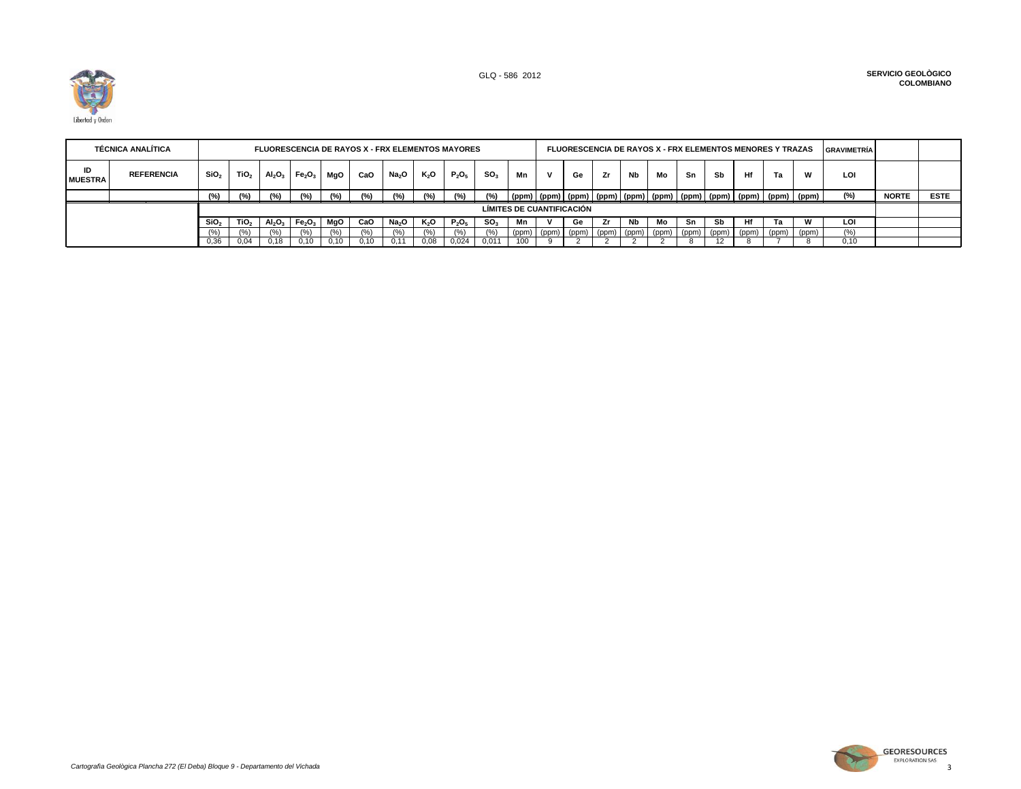

|                      | <b>TÉCNICA ANALÍTICA</b> |                  |                  |                                |                                |      | <b>FLUORESCENCIA DE RAYOS X - FRX ELEMENTOS MAYORES</b> |                   |        |          |                 |                           |       |         |               |           |                                   |    |    |    | <b>FLUORESCENCIA DE RAYOS X - FRX ELEMENTOS MENORES Y TRAZAS</b>                      |       | <b>GRAVIMETRÍA</b> |              |             |
|----------------------|--------------------------|------------------|------------------|--------------------------------|--------------------------------|------|---------------------------------------------------------|-------------------|--------|----------|-----------------|---------------------------|-------|---------|---------------|-----------|-----------------------------------|----|----|----|---------------------------------------------------------------------------------------|-------|--------------------|--------------|-------------|
| ID<br><b>MUESTRA</b> | <b>REFERENCIA</b>        | SiO <sub>2</sub> | TiO <sub>2</sub> | AI <sub>2</sub> O <sub>3</sub> | Fe <sub>2</sub> O <sub>3</sub> | MaO  | CaO                                                     | Na <sub>2</sub> O | $K_2O$ | $P_2O_5$ | SO <sub>3</sub> | Mn                        | v     | Ge      | Zr            | <b>Nb</b> | Mo                                | Sn | Sb | Hf | Ta                                                                                    | W     | LOI                |              |             |
|                      |                          | (°)              | (°/.)            |                                | (9/6)                          | (°/) | (°/.)                                                   | (%)               | (%)    | (%)      | $(\%)$          |                           |       |         |               |           |                                   |    |    |    | (ppm)   (ppm)   (ppm)   (ppm)   (ppm)   (ppm)   (ppm)   (ppm)   (ppm)   (ppm)   (ppm) |       | (%)                | <b>NORTE</b> | <b>ESTE</b> |
|                      |                          |                  |                  |                                |                                |      |                                                         |                   |        |          |                 | LÍMITES DE CUANTIFICACIÓN |       |         |               |           |                                   |    |    |    |                                                                                       |       |                    |              |             |
|                      |                          | SiO <sub>2</sub> | TiO <sub>2</sub> | AI <sub>2</sub> O <sub>3</sub> | Fe <sub>2</sub> O <sub>3</sub> | MgO  | CaO                                                     | Na <sub>2</sub> O | K,O    | $P_2O_5$ | SO.             | Mn                        |       | Ge      | Zr            | Nb        | Mo                                | Sn | Sb | Ηf | Га                                                                                    | w     | LOI                |              |             |
|                      |                          |                  |                  |                                | %)                             | (% ) |                                                         | (%                | (%)    |          | $\frac{10}{6}$  | (ppm)                     | (ppm) | (ppm) I | $ $ (ppm) $ $ |           | $(ppm)$ (ppm) $(ppm)$ (ppm) (ppm) |    |    |    | (ppm) (ppm)                                                                           | (ppm) | (%)                |              |             |
|                      |                          | 0,36             | 0.04             | 0.18                           | 0.10                           | 0,10 | 0.10                                                    | 0.11              | 0,08   | 0,024    | 0.011           | 100                       |       |         |               |           |                                   |    |    |    |                                                                                       |       | 0.10               |              |             |

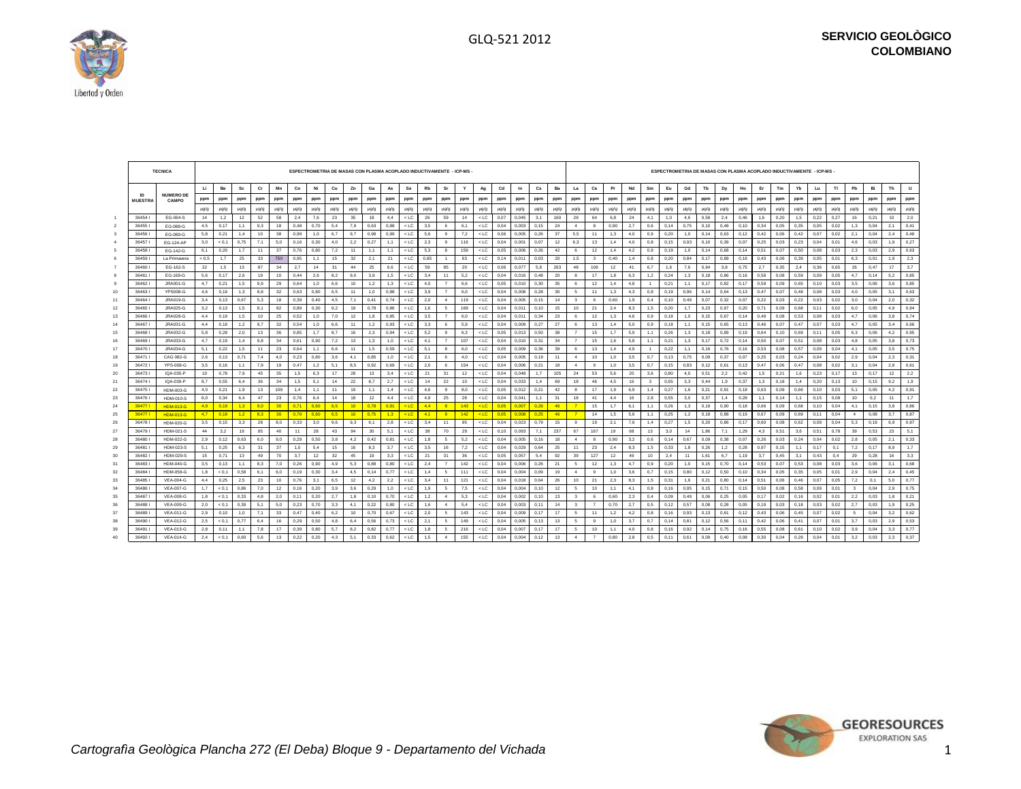┱



 $\sqrt{2}$ 

 $\mathcal{L}$ 

|                |                 | <b>TECNICA</b>              |            |              |            |           |                 |              | ESPECTROMETRIA DE MASAS CON PLASMA ACOPLADO INDUCTIVAMENTE - ICP-MS |            |                 |            |             |                  |            |                         |            |                  |              |                |              |                 |                         |                         |            |            |              |              |            |              |              |              |              | ESPECTROMETRIA DE MASAS CON PLASMA ACOPLADO INDUCTIVAMENTE - ICP-MS - |              |              |              |              |              |            |              |
|----------------|-----------------|-----------------------------|------------|--------------|------------|-----------|-----------------|--------------|---------------------------------------------------------------------|------------|-----------------|------------|-------------|------------------|------------|-------------------------|------------|------------------|--------------|----------------|--------------|-----------------|-------------------------|-------------------------|------------|------------|--------------|--------------|------------|--------------|--------------|--------------|--------------|-----------------------------------------------------------------------|--------------|--------------|--------------|--------------|--------------|------------|--------------|
|                |                 |                             | LL.        | Be           | Sc         | Cr        | Mn              | Co           | Ni                                                                  | Cu         | Zn              | Ga         | As          | Se               | Rb         | Sr                      | Y          | Ag               | Cd           | In             | Cs           | Ba              | La                      | Ce                      | Pr         | Nd         | Sm           | Eu           | Gd         | Tb           | Dy           | Ho           | Er           | Tm                                                                    | Yb           | Lu           | -TI          | Pb           | Bi           | Th         | $\cup$       |
|                | <b>MUESTRA</b>  | <b>NUMERO DE</b><br>CAMPO   | ppm        | ppm          | ppm        | ppm       | ppm             | ppm          | ppm                                                                 | ppm        | ppm             | ppm        | ppm         | ppm              | ppm        | ppm                     | ppm        | ppm              | ppm          | ppm            | ppm          | ppm             | ppm                     | ppm                     | ppm        | ppm        | ppm          | ppm          | ppm        | ppm          | ppm          | ppm          | ppm          | ppm                                                                   | ppm          | ppm          | ppm          | ppm          | ppm          | ppm        | ppm          |
|                |                 |                             | $\mu$ g/g  | $\mu$ g/g    | $\mu$ g/g  | $\mu$ g/g | $\mu$ g/g       | $\mu$ g/g    | µg/g                                                                | $\mu$ g/g  | $\mu$ g/g       | $\mu$ g/g  | µg/g        | $\mu$ g/g        | µg/g       | $\mu$ g/g               | $\mu$ g/g  | $\mu$ g/g        | µg/g         | $\mu$ g/g      | $\mu$ g/g    | $\mu$ g/g       | $\mu$ g/g               | µg/g                    | $\mu$ g/g  | $\mu$ g/g  | $\mu$ g/g    | $\mu$ g/g    | $\mu$ g/g  | $\mu$ g/g    | $\mu$ g/g    | $\mu$ g/g    | $\mu$ g/g    | $\mu$ g/g                                                             | $\mu$ g/g    | $\mu$ g/g    | $\mu$ g/g    | $\mu$ g/g    | $\mu$ g/g    | $\mu$ g/g  | µg/g         |
|                | 36454           | EG-064-S                    | 14         | 1.2          | 12         | 52        | 58              | 2.4          | 7.6                                                                 | 23         | 35              | 18         | 4.4         | $<$ LC           | 26         | 59                      | 14         | $<$ LC           | 0.07         | 0.045          | 3.1          | 160             | 29                      | 64                      | 6.8        | 24         | 4.1          | 1.0          | 4.6        | 0.58         | 2.4          | 0.46         | 1.6          | 0.20                                                                  | 1.5          | 0.22         | 0.27         | 16           | 0.21         | 10         | 2.0          |
| $\overline{2}$ | 364551          | EG-088-G                    | 4.5        | 0.17         | 1.1        | 9.3       | 18              | 0.48         | 0.70                                                                | 5.4        | 7.9             | 0.63       | 0.88        | $<$ LC           | 3.5        | 6                       | 6.1        | $<$ LC           | 0,04         | 0.003          | 0.15         | 24              | $\sim$                  | 8                       | 0.90       | 2.7        | 0.6          | 0.14         | 0.75       | 0.10         | 0.48         | 0.10         | 0.34         | 0.05                                                                  | 0.35         | 0.05         | 0.02         | 1.3          | 0.04         | 2.1        | 0,41         |
| $\mathbf{3}$   | 364561          | EG-089-G                    | 5,8        | 0,21         | 1.4        | 10        | 38              | 0.99         | 1.0                                                                 | 6.7        | 9.7             | 0.98       | 0.99        | $<$ LC           | 5,6        | 9                       | 7,2        | $<$ LC           | 0.06         | 0.005          | 0.26         | 37              | 5,5                     | 11                      | 1.3        | 4.0        | 0.9          | 0.20         | 1.0        | 0.14         | 0.63         | 0.12         | 0.42         | 0.06                                                                  | 0.42         | 0.07         | 0.02         | 2.1          | 0.04         | 2.4        | 0,48         |
|                | 364571          | EG-124-AP                   | 3,0        | < 0.1        | 0,75       | 7,1       | 5,0             | 0,16         | 0,30                                                                | 4.0        | 2,2             | 0,27       | 1.1         | $<$ LC           | 2,3        | 9                       | 116        | $<$ LC           | 0,04         | 0,001          | 0.07         | 12              | 6,3                     | 13                      | 1,4        | 4,0        | 0,8          | 0,15         | 0,93       | 0, 10        | 0,39         | 0,07         | 0,25         | 0,03                                                                  | 0,23         | 0,04         | 0,01         | 4,6          | 0,03         | 1,9        | 0,27         |
|                | 36458           | EG-142-G                    | 6,1        | 0,20         | 1.7        | 11        | 37              | 0,76         | 0.80                                                                | 7,2        | 11              | 1.1        | 1.1         | $<$ LC           | 5,3        | $\mathbf{a}$            | 159        | $<$ LC           | 0,05         | 0.006          | 0,26         | 42              | -6                      | 12                      | 1.4        | 4,2        | 0.9          | 0.19         | 1.0        | 0.14         | 0,68         | 0.14         | 0.51         | 0.07                                                                  | 0,50         | 0,08         | 0.03         | 2,3          | 0,03         | 2,9        | 0,63         |
|                | 364591          | La Primavera                | ${}< 0.5$  | 1,7          | 25         | 33        | 750             | 0,95         | 1,1                                                                 | 15         | 32              | 2,1        | 21          | $<$ LC           | 0,85       | $-1$                    | 63         | $<$ LC           | 0,14         | 0,011          | 0,03         | 20              | 1,5                     | $\overline{\mathbf{3}}$ | 0,40       | 1,4        | 0,8          | 0,20         | 0,84       | 0,17         | 0,89         | 0,16         | 0,43         | 0,06                                                                  | 0,39         | 0,05         | 0,01         | 6,3          | 0,01         | 1,9        | 2,3          |
|                | 36460           | EG-162-S                    | 22         | 1.5          | 13         | 87        | 34              | 2.7          | 14                                                                  | 31         | 44              | 25         | 6.6         | $<$ LC           | 59         | 85                      | 20         | $<$ LC           | 0.06         | 0.077          | 5.8          | 263             | 48                      | 106                     | 12         | 41         | 6.7          | 1.6          | 7.6        | 0.94         | 3,8          | 0.75         | 2.7          | 0.35                                                                  | 2.4          | 0.36         | 0.65         | 26           | 0.47         | 17         | 3.7          |
|                | 36461           | EG-169-G                    | 5.6        | 0.17         | 2,6        | 19        | 10              | 0.44         | 2.6                                                                 | 8.2        | 9.0             | 3.9        | 1.5         | $<$ LC           | 3.4        | 11                      | 5.2        | $<$ LC           | 0.04         | 0.016          | 0.48         | 20              | 8                       | 17                      | 1.8        | 6.3        | 1.2          | 0.24         | 1.3        | 0.18         | 0.86         | 0.16         | 0.58         | 0.08                                                                  | 0.59         | 0.09         | 0.05         | 4.7          | 0.14         | 5.2        | 0.85         |
|                | 364621          | JRA001-G                    | 4,7        | 0,21         | 1,5        | 9.9       | 29              | 0.64         | 1.0                                                                 | 6.6        | 10              | 1,2        | 1.3         | $<$ LC           | 4.0        | $\overline{7}$          | 6.6        | $<$ LC           | 0,05         | 0.010          | 0.30         | 35              | 6                       | 12                      | 1,4        | 4.8        |              | 0.21         | 1.1        | 0.17         | 0.82         | 0.17         | 0.59         | 0.09                                                                  | 0.65         | 0.10         | 0.03         | 3.5          | 0.06         | 3.6        | 0,85         |
| 10             | 364631          | <b>YPS008-G</b>             | 4.6        | 0.19         | 1.3        | 8.8       | 32              | 0.63         | 0.80                                                                | 6.5        | 11              | 1.0        | 0.88        | $<$ LC           | 3.9        | $\overline{7}$          | 6.0        | $<$ LC           | 0.04         | 0.008          | 0.28         | 30 <sup>°</sup> | 5                       | 11                      | 1.3        | 4.3        | 0.8          | 0.19         | 0.96       | 0.14         | 0.64         | 0.13         | 0.47         | 0.07                                                                  | 0.48         | 0.08         | 0.03         | 4.0          | 0.05         | 3.1        | 0.63         |
| 11             | 364641          | <b>JRA019-G</b>             | 3,4        | 0, 13        | 0.67       | 5,3       | 18              | 0,39         | 0.40                                                                | 4,5        | 7,1             | 0,41       | 0.74        | $<$ LC           | 2,0        | $\sim$                  | 119        | $<$ LC           | 0,04         | 0.005          | 0, 15        | 14              | $\overline{\mathbf{3}}$ | 6                       | 0,60       | 1,9        | 0,4          | 0.10         | 0,49       | 0,07         | 0,32         | 0.07         | 0,22         | 0.03                                                                  | 0,22         | 0.03         | 0.02         | 3,0          | 0.04         | 2,0        | 0,32         |
| 12             | 36465           | <b>JRA025-G</b>             | 3,2        | 0,13         | 1,5        | 8.1       | 82              | 0,89         | 0.30                                                                | 9,2        | 19              | 0.78       | 0.86        | $<$ LC           | 1,6        | -5                      | 169        | $<$ LC           | 0,04         | 0,01           | 0, 10        | 15              | 10                      | 21                      | 2,4        | 8.3        | 1.5          | 0,20         | 1.7        | 0,23         | 0,97         | 0,20         | 0,71         | 0,09                                                                  | 0,68         | 0,11         | 0,02         | 6,0          | 0,05         | 4.9        | 0,94         |
| 13             | 364661          | <b>JRA028-G</b>             | 4,4        | 0, 19        | 1,5        | 10        | 25              | 0,52         | 1,0                                                                 | 7,0        | 12              | 1,8        | 0,85        | $<$ LC           | 3,5        | $\overline{7}$          | 6,0        | $<$ LC           | 0,04         | 0,011          | 0,34         | 23<br>27        | 6                       | 12                      | 1,3        | 4,6        | 0,9          | 0,18         | 1,0        | 0,15         | 0,67         | 0,14         | 0,49         | 0.08                                                                  | 0,53         | 0,08         | 0,03         | 4.7          | 0,06         | 3,8        | 0,74         |
| 14             | 364671<br>36468 | <b>JRA031-G</b><br>JRA032-G | 4.4        | 0.18         | 1.2        | 9.7       | 32              | 0.54         | 1.0                                                                 | 6.6        | 11<br>16        | 1.2        | 0.93        | $<$ LC           | 3.3        | 6                       | 5.9        | $<$ LC           | 0.04         | 0.009          | 0.27         |                 | -6<br>$\overline{7}$    | 13                      | 1.4<br>1.7 | 5.0        | 0.9          | 0.18         | 1.1        | 0.15         | 0.65         | 0.13         | 0.46         | 0.07                                                                  | 0.47         | 0.07         | 0.03         | 4.7<br>6.3   | 0.05         | 3.4        | 0.66         |
| 15<br>16       | 364691          | <b>JRA033-G</b>             | 5,8<br>4.7 | 0,28<br>0.19 | 2,0<br>1.4 | 13<br>9.8 | 36<br>34        | 0,85<br>0.61 | 1.7<br>0.90                                                         | 8.7<br>7.2 | 13              | 2.3<br>1.3 | 0.94<br>1.0 | $<$ LC<br>$<$ LC | 5,2<br>4.1 | 9                       | 6,3<br>107 | $<$ LC<br>$<$ LC | 0,05<br>0.04 | 0.013<br>0.010 | 0,50<br>0.31 | 38<br>34        |                         | 15<br>15                | 1.6        | 5.9<br>5.8 | 1.1<br>1.1   | 0,26<br>0.21 | 1.3<br>1.3 | 0.18<br>0.17 | 0,89<br>0.72 | 0.19<br>0.14 | 0.64<br>0.50 | 0.10<br>0.07                                                          | 0.69<br>0.51 | 0.11<br>0.08 | 0.05<br>0.03 | 4.8          | 0,06<br>0.05 | 4.2<br>3.8 | 0,95<br>0,73 |
| 17             | 364701          | JRA034-G                    | 5,1        | 0,22         | 1,5        | 11        | 23              | 0,64         | 1.1                                                                 | 6.6        | 11              | 1,5        | 0,59        | $<$ LC           | 5,1        | 8                       | 6,0        | $<$ LC           | 0,05         | 0.009          | 0,36         | 39              | 6                       | 13                      | 1,4        | 4.9        |              | 0.22         | 1.1        | 0.16         | 0,76         | 0.16         | 0,53         | 0.08                                                                  | 0,57         | 0,09         | 0,04         | 4.1          | 0,05         | 3,5        | 0,75         |
| 18             | 364711          | CAG 082-G                   | 2.6        | 0.13         | 0.71       | 7.4       | 4.0             | 0.23         | 0.80                                                                | 3.6        | 4.1             | 0.85       | 1.0         | $<$ LC           | 2.1        | 6                       | 4.0        | $<$ LC           | 0.04         | 0.005          | 0.19         | 11              | $\mathbf{4}$            | 10                      | 1.0        | 3.5        | 0.7          | 0.13         | 0.75       | 0.09         | 0.37         | 0.07         | 0.25         | 0.03                                                                  | 0.24         | 0.04         | 0.02         | 2.9          | 0.04         | 2.3        | 0,31         |
| 19             | 364721          | YPS-008-G                   | 3,5        | 0, 16        | 1,1        | 7,9       | 19              | 0,47         | 1,2                                                                 | 5,1        | 8,5             | 0,92       | 0,69        | $<$ LC $\,$      | 2,0        | 6                       | 154        | $<$ LC           | 0,04         | 0.006          | 0,21         | 18              | $\mathbf{4}$            | 9                       | 1,0        | 3,5        | 0,7          | 0,15         | 0,83       | 0,12         | 0,61         | 0,13         | 0,47         | 0.06                                                                  | 0,47         | 0,08         | 0,02         | 3,1          | 0,04         | 2,8        | 0,61         |
| 20             | 364731          | IQA-035-P                   | 10         | 0.78         | 7.9        | 45        | 35              | 1.5          | 6.3                                                                 | 17         | 28              | 13         | 3.4         | $<$ LC           | 21         | 31                      | 12         | $<$ LC           | 0.04         | 0.048          | 1.7          | 105             | 24                      | 53                      | 5.6        | 20         | 3.6          | 0.80         | 4.0        | 0.51         | 2,2          | 0.42         | 1.5          | 0.21                                                                  | 1.6          | 0.23         | 0.17         | 13           | 0.17         | 12         | 2,2          |
| 21             | 364741          | IQA-039-P                   | 8.7        | 0.55         | 6.4        | 36        | 34              | 1.5          | 5.1                                                                 | 14         | 22              | 8.7        | 2.7         | $<$ LC           | 14         | 22                      | 10         | $<$ LC           | 0.04         | 0.033          | 1.4          | 69              | 18                      | 46                      | 4.5        | 16         | $\mathbf{3}$ | 0.65         | 3.3        | 0.44         | 1.9          | 0.37         | 1.3          | 0.18                                                                  | 1.4          | 0.20         | 0.13         | 10           | 0.15         | 9.2        | 1.9          |
| 22             | 364751          | <b>HDM-003-G</b>            | 4.0        | 0,21         | 1.9        | 13        | 109             | 1,4          | 1.1                                                                 | 11         | 19              | 1.1        | 1.4         | $<$ LC           | 4.6        | $\mathbf{a}$            | 8.0        | $<$ LC           | 0.05         | 0.012          | 0,21         | 42              | $\mathbf{a}$            | 17                      | 1.9        | 6.9        | 1.4          | 0.27         | 1.6        | 0.21         | 0.91         | 0.18         | 0.63         | 0.09                                                                  | 0.66         | 0.10         | 0.03         | 5.1          | 0.05         | 4.2        | 0,91         |
| 23             | 364761          | <b>HDM-010-S</b>            | 6.0        | 0.34         | 6.4        | 47        | 23              | 0.76         | 6.4                                                                 | 14         | 18              | 12         | 4.4         | $<$ LC           | 4.9        | 25                      | 28         | $<$ LC           | 0.04         | 0.041          | 1.1          | 31              | 18                      | 41                      | 4.4        | 16         | 2.8          | 0.55         | 3.0        | 0.37         | 1,4          | 0.28         | 1.1          | 0.14                                                                  | 1.1          | 0.15         | 0.08         | 10           | 0.2          | 11         | 1.7          |
| 24             | 364771          | <b>HDM-013-G</b>            | 4,9        | 0.19         | 1.3        | 90        | 30              | 0.71         | 0.60                                                                | 6.5        | $-10$           | 0.78       | 0.91        | $<$ LC           | 4.4        | $\mathbf{R}$            | 143        | $<$ LC           | 0.05         | 0.00           | 0.26         | 46              | 7                       | 15                      | 1.7        | 6.1        | 1.1          | 0,26         | 1.3        | 0.19         | 0.90         | 0.18         | 0.66         | 0.09                                                                  | 0.68         | 0.10         | 0.04         | 4.1          | 0,15         | 3.8        | 0,86         |
| 25             | 364771          | <b>HDM-013-G</b>            | 4.7        | 0.18         | 1.2        | 8.3       | 30 <sup>°</sup> | 0.70         | 0.60                                                                | 6.5        | 10 <sup>1</sup> | 0.75       | 1.3         | $<$ LC           | 4.1        | $\overline{\mathbf{a}}$ | $142$      | $<$ LC           | 0.05         | 0.008          | 0.25         | 46              | $-7$                    | 14                      | 1,5        | 5,6        | 1.1          | 0.25         | 1,2        | 0.18         | 0,88         | 0.19         | 0.67         | 0.09                                                                  | 0.69         | 0,11         | 0.04         | $\sim$       | 0,08         | 3.7        | 0,87         |
| 26             | 364781          | HDM-020-G                   | 3,5        | 0, 15        | 3,3        | 28        | 8,0             | 0,33         | 3,0                                                                 | 9,6        | 9,3             | 6,1        | 2,8         | $<$ LC $\,$      | 3,4        | 11                      | 95         | $<$ LC           | 0,04         | 0,023          | 0,79         | 15              | 9                       | 19                      | 2,1        | 7,6        | 1,4          | 0,27         | 1,5        | 0,20         | 0,86         | 0,17         | 0,60         | 0,08                                                                  | 0,62         | 0,09         | 0,04         | 5,3          | 0, 19        | 6,9        | 0,97         |
| 27             | 364791          | HDM-021-S                   | 44         | 3.2          | 19         | 95        | 40              | 11           | 28                                                                  | 43         | 94              | 30         | 5.1         | $<$ LC           | 38         | 70                      | 29         | $<$ LC           | 0.10         | 0.093          | 7.1          | 237             | 67                      | 167                     | 19         | 68         | 13           | 3.0          | 14         | 1.86         | 7.1          | 1.29         | 4.3          | 0.51                                                                  | 3.6          | 0.51         | 0.78         | 39           | 0.53         | 23         | 5.1          |
| 28             | 36480           | <b>HDM-022-G</b>            | 2,9        | 0, 12        | 0,63       | 6.0       | 9.0             | 0,29         | 0.50                                                                | 3.8        | 4.2             | 0,42       | 0.81        | $<$ LC           | 1,8        | -5                      | 5,2        | $<$ LC           | 0,04         | 0.005          | 0.16         | 18              | $\overline{a}$          | 8                       | 0.90       | 3,2        | 0.6          | 0.14         | 0,67       | 0,09         | 0,38         | 0.07         | 0,26         | 0.03                                                                  | 0,24         | 0,04         | 0.02         | 2,8          | 0,05         | 2.1        | 0,33         |
| 29             | 364811          | <b>HDM-023-S</b>            | 5,1        | 0,25         | 6.3        | 31        | 37              | 1,0          | 5,4                                                                 | 15         | 16              | 8,3        | 3,7         | $<$ LC           | 3,5        | 16                      | 7,2        | $<$ LC           | 0,04         | 0,029          | 0,64         | 25              | 11                      | 23                      | 2,4        | 8,3        | 1,5          | 0,33         | 1,8        | 0,26         | 1,2          | 0,28         | 0,97         | 0.15                                                                  | 1,1          | 0,17         | 0.1          | 7,2          | 0.17         | 8,9        | 1,7          |
| 30             | 364821          | <b>HDM-029-S</b>            | 15         | 0.71         | 13         | 49        | 70              | 3.7          | 12                                                                  | 32         | 45              | 19         | 3.3         | $<$ LC           | 21         | 31                      | 36         | $<$ LC           | 0.05         | 0.057          | 5.4          | 92              | 39                      | 127                     | 12         | 46         | 10           | 2.4          | 11         | 1.61         | 6.7          | 1.19         | 3.7          | 0.45                                                                  | 3.1          | 0.43         | 0.4          | 29           | 0.28         | 16         | 3,3          |
| 31             | 364831          | <b>HDM-040-G</b>            | 3.5        | 0.13         | 1.1        | 8.3       | 7.0             | 0,26         | 0.90                                                                | 4.9        | 5.3             | 0.88       | 0.80        | $<$ LC           | 2.4        | $\overline{7}$          | 142        | $<$ LC           | 0.04         | 0.006          | 0.26         | 21              | - 5                     | 12                      | 1.3        | 4.7        | 0.9          | 0.20         | 1.0        | 0.15         | 0.70         | 0.14         | 0.53         | 0.07                                                                  | 0,53         | 0.08         | 0.03         | 3.6          | 0.06         | 3.1        | 0.68         |
| 32             | 36484           | <b>HDM-058-G</b>            | 1,8        | < 0.1        | 0.58       | 6.1       | 6.0             | 0.19         | 0.30                                                                | 3.4        | 4.5             | 0.14       | 0.77        | $<$ LC           | 1.4        | -5                      | 111        | $<$ LC           | 0,04         | 0.004          | 0,09         | 19              | $\sim$                  | 9                       | 1.0        | 3.6        | 0.7          | 0,15         | 0.80       | 0,12         | 0,50         | 0.10         | 0.34         | 0.05                                                                  | 0,35         | 0,05         | 0.01         | 2.9          | 0.04         | 2.4        | 0,45         |
| 33             | 36485           | <b>VEA-004-G</b>            | 4.4        | 0,25         | 2,5        | 23        | 10              | 0.76         | 3.1                                                                 | 6.5        | 12              | 4,2        | 2,2         | $<$ LC           | 3.4        | 11                      | 121        | $<$ LC           | 0,04         | 0.018          | 0.64         | 26              | 10                      | 21                      | 2,3        | 8.3        | 1.5          | 0.31         | 1.6        | 0,21         | 0.80         | 0.14         | 0.51         | 0.06                                                                  | 0.46         | 0,07         | 0.05         | 7,2          | 0.1          | 5.0        | 0,77         |
| 34             | 36486           | <b>VEA-007-G</b>            | 1,7        | < 0.1        | 0,86       | 7.0       | 12              | 0, 16        | 0,20                                                                | 3.9        | 3,6             | 0,29       | 1.0         | $<$ LC           | 1,9        | -5                      | 7,5        | $<$ LC           | 0,04         | 0.004          | 0, 10        | 12              | 5                       | 10                      | 1,1        | 4.1        | 0.8          | 0,16         | 0,95       | 0.15         | 0.71         | 0,15         | 0,50         | 0.08                                                                  | 0,58         | 0,09         | 0.01         | $\mathbf{3}$ | 0.04         | 2,9        | 0,75         |
| 35             | 36487           | <b>VEA-008-G</b>            | 1,8        | < 0.1        | 0,33       | 4.8       | 2,0             | 0.11         | 0.20                                                                | 2.7        | 1,8             | 0.10       | 0.70        | $<$ LC           | 1,2        | $\boldsymbol{A}$        | 5,3        | $<$ LC           | 0.04         | 0.002          | 0.10         | 13              | $\mathbf{3}$            | 6                       | 0,60       | 2,3        | 0.4          | 0.09         | 0,49       | 0,06         | 0,25         | 0,05         | 0.17         | 0.02                                                                  | 0.16         | 0,02         | 0.01         | 2,2          | 0,03         | 1.8        | 0,21         |
| 36             | 364881          | <b>VEA-009-G</b>            | 2,0        | < 0.1        | 0,39       | 5,1       | 5,0             | 0,23         | 0,70                                                                | 3,3        | 4,1             | 0,22       | 0,80        | $<$ LC           | 1,6        | $\sim$                  | 5,4        | $<$ LC           | 0,04         | 0,003          | 0, 11        | 14              | $\mathbf{3}$            | $\overline{7}$          | 0,70       | 2,7        | 0.5          | 0,12         | 0,57       | 0,08         | 0,28         | 0,05         | 0,19         | 0,03                                                                  | 0,18         | 0,03         | 0,02         | 2,7          | 0,03         | 1,9        | 0,25         |
| 37             | 364891          | <b>VEA-011-G</b>            | 2.9        | 0.10         | 1.0        | 7.1       | 33              | 0.47         | 0.40                                                                | 6.2        | 10              | 0.70       | 0.67        | $<$ LC           | 2.0        | 5                       | 143        | $<$ LC           | 0.04         | 0.009          | 0.17         | 17              | -5                      | 11                      | 1.2        | 4.2        | 0.8          | 0.16         | 0.93       | 0.13         | 0.61         | 0.12         | 0.43         | 0.06                                                                  | 0.45         | 0.07         | 0.02         | -5           | 0.04         | 3.2        | 0.62         |
| 38             | 364901          | <b>VEA-012-G</b>            | 2.5        | < 0.1        | 0.77       | 6.4       | 16              | 0.29         | 0.50                                                                | 4.8        | 6.4             | 0.56       | 0.73        | $<$ LC           | 2.1        | 5                       | 149        | $<$ LC           | 0.04         | 0.005          | 0.13         | 13              | 5                       | 9                       | 1,0        | 3.7        | 0.7          | 0.14         | 0.81       | 0.12         | 0.56         | 0.11         | 0.42         | 0.06                                                                  | 0.41         | 0.07         | 0.01         | 3.7          | 0.03         | 2.9        | 0,53         |
| 39             | 36491           | <b>VEA-013-G</b>            | 2.8        | 0.11         | 1.1        | 7.8       | 17              | 0.39         | 0.80                                                                | 5.7        | 8.2             | 0.82       | 0.77        | $<$ LC           | 1.8        | -5                      | 216        | $<$ LC           | 0.04         | 0.007          | 0.17         | 17              | 5                       | 10                      | 1.1        | 4.0        | 0.8          | 0.16         | 0,92       | 0.14         | 0.75         | 0.16         | 0.55         | 0.08                                                                  | 0.61         | 0, 10        | 0.02         | 3.9          | 0.04         | 3.3        | 0,77         |
| 40             | 364921          | <b>VEA-014-G</b>            | 2,4        | < 0.1        | 0,60       | 5,6       | 13              | 0,22         | 0,20                                                                | 4.3        | 5,1             | 0,33       | 0,62        | $<$ LC           | 1,5        | $\sim$                  | 155        | $<$ LC           | 0,04         | 0.004          | 0,12         | 13              | $\sim$                  | $\overline{7}$          | 0,80       | 2,8        | 0.5          | 0.11         | 0,61       | 0,09         | 0.40         | 0.08         | 0,30         | 0.04                                                                  | 0,28         | 0,04         | 0,01         | 3,2          | 0,03         | 2,3        | 0.37         |



 $\overline{\phantom{a}}$ 

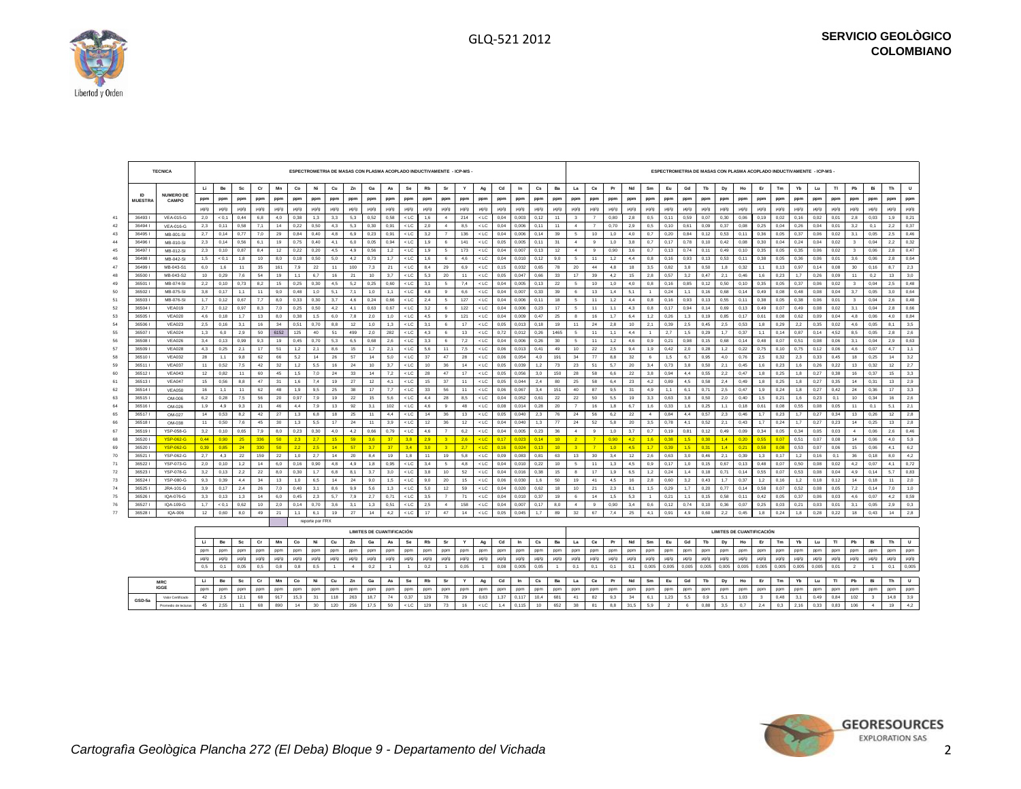

**IGGE GSD-5a**

|    |                      | <b>TECNICA</b>            |           |           |           |           |           |           | ESPECTROMETRIA DE MASAS CON PLASMA ACOPLADO INDUCTIVAMENTE - ICP-MS |           |                |                                  |           |             |           |                 |           |                |           |           |                        |                  |                          |                |                  |           |                |           |                  |           |                                  |           |           |           |           | ESPECTROMETRIA DE MASAS CON PLASMA ACOPLADO INDUCTIVAMENTE - ICP-MS - |           |                         |           |           |           |
|----|----------------------|---------------------------|-----------|-----------|-----------|-----------|-----------|-----------|---------------------------------------------------------------------|-----------|----------------|----------------------------------|-----------|-------------|-----------|-----------------|-----------|----------------|-----------|-----------|------------------------|------------------|--------------------------|----------------|------------------|-----------|----------------|-----------|------------------|-----------|----------------------------------|-----------|-----------|-----------|-----------|-----------------------------------------------------------------------|-----------|-------------------------|-----------|-----------|-----------|
|    |                      |                           | H.        | Be        | Sc        | Cr        | Mn        | Co        | Ni                                                                  | Cu        | Zn             | Ga                               | As        | Se          | <b>Rb</b> | Sr              | Y         | Ag             | Cd        | $\ln$     | $\mathbf{c}\mathbf{s}$ | Ba               | La                       | Ce             | Pr               | Nd        | Sm             | Eu        | Gd               | Tb        | Dy                               | Ho        | Er        | Tm        | Yb        | Lu.                                                                   | T1        | Pb                      | Bi        | Th        | <b>U</b>  |
|    | ID<br><b>MUESTRA</b> | <b>NUMERO DE</b><br>CAMPO | ppm       | ppm       | ppm       | ppm       | ppm       | ppm       | ppm                                                                 | ppm       | ppm            | ppm                              | ppm       | ppm         | ppm       | ppm             | ppm       | ppm            | ppm       | ppm       | ppm                    | ppm              | ppm                      | ppm            | ppm              | ppm       | ppm            | ppm       | ppm              | ppm       | ppm                              | ppm       | ppm       | ppm       | ppm       | ppm                                                                   | ppm       | ppm                     | ppm       | ppm       | ppm       |
|    |                      |                           | $\mu$ g/g | $\mu$ g/g | $\mu$ g/g | $\mu$ g/g | $\mu$ g/g | $\mu$ g/g | $\mu$ g/g                                                           | $\mu$ g/g | $\mu$ g/g      | $\mu$ g/g                        | $\mu$ g/g | $\mu$ g/g   | $\mu$ g/g | $\mu$ g/g       | $\mu$ g/g | $\mu$ g/g      | µg/g      | ug/g      | $\mu$ g/g              | $\mu$ g/g        | $\mu$ g/g                | $\mu$ g/g      | $\mu$ g/g        | $\mu$ g/g | $\mu$ g/g      | $\mu$ g/g | µg/g             | $\mu$ g/g | $\mu$ g/g                        | $\mu$ g/g | $\mu$ g/g | $\mu$ g/g | $\mu$ g/g | $\mu$ g/g                                                             | $\mu$ g/g | $\mu$ g/g               | $\mu$ g/g | $\mu$ g/g | $\mu$ g/g |
| 41 | 364931               | <b>VEA-015-G</b>          | 2,0       | < 0.1     | 0,44      | 6,8       | 4,0       | 0,38      | 1,3                                                                 | 3,3       | 5,3            | 0,52                             | 0,58      | $<$ LC      | 1,6       | $\mathbf{4}$    | 214       | $<$ LC         | 0,04      | 0.003     | 0, 12                  | 11               | $\mathbf{3}$             | $\overline{7}$ | 0,80             | 2,8       | 0,5            | 0,11      | 0,59             | 0,07      | 0,30                             | 0,06      | 0,19      | 0,02      | 0, 16     | 0,02                                                                  | 0,01      | 2,8                     | 0,03      | 1,9       | 0,21      |
| 42 | 36494                | <b>VEA-016-G</b>          | 2,3       | 0,11      | 0,58      | 7,1       | 14        | 0,22      | 0,50                                                                | 4,3       | 5,3            | 0,30                             | 0,91      | $<$ LC      | 2,0       | $\overline{4}$  | 8,5       | $<$ LC         | 0,04      | 0,006     | 0,11                   | 11               | $\overline{4}$           | $\overline{7}$ | 0,70             | 2,9       | 0,5            | 0,10      | 0,61             | 0,09      | 0,37                             | 0,08      | 0,25      | 0,04      | 0,26      | 0,04                                                                  | 0,01      | 3,2                     | 0,1       | 2,2       | 0,37      |
| 43 | 364951               | MB-001-SI                 | 2,7       | 0, 14     | 0,77      | 7,0       | 29        | 0,84      | 0,40                                                                | 4,8       | 6,9            | 0,23                             | 0,91      | $<$ LC      | 3,2       | $\overline{7}$  | 136       | $<$ LC         | 0,04      | 0,006     | 0, 14                  | 39               | $\overline{\phantom{a}}$ | 10             | 1,0              | 4,0       | 0,7            | 0,20      | 0,84             | 0,12      | 0,53                             | 0,11      | 0,36      | 0,05      | 0,37      | 0,06                                                                  | 0,02      | 3,1                     | 0,05      | 2,5       | 0,46      |
| 44 | 364961               | MB-010-SI                 | 2,3       | 0, 14     | 0,56      | 6.1       | 19        | 0,75      | 0,40                                                                | 4,1       | 6,0            | 0,05                             | 0.94      | $<$ LC      | 1,9       | 6               | 141       | $<$ LC $\,$    | 0,05      | 0.005     | 0,11                   | 31               | $\mathbf{4}$             | $\overline{9}$ | 1,0              | 3,8       | 0,7            | 0,17      | 0,78             | 0, 10     | 0,42                             | 0,08      | 0.30      | 0,04      | 0,24      | 0,04                                                                  | 0,02      | $\overline{\mathbf{3}}$ | 0,04      | 2,2       | 0,32      |
| 45 | 364971               | MB-012-SI                 | 2,3       | 0, 10     | 0,87      | 8,4       | 12        | 0,22      | 0,20                                                                | 4,5       | 4.9            | 0,56                             | 1,2       | $<$ LC      | 1,9       | 5               | 173       | $<$ LC         | 0,04      | 0.007     | 0, 13                  | 12               | $\overline{a}$           | 9              | 0,90             | 3,6       | 0.7            | 0,13      | 0,74             | 0,11      | 0,49                             | 0,10      | 0,35      | 0,05      | 0,35      | 0,06                                                                  | 0,02      | $\overline{\mathbf{3}}$ | 0.06      | 2,8       | 0,47      |
| 46 | 364981               | MB-042-SI                 | 1,5       | < 0.1     | 1,8       | 10        | 8,0       | 0.18      | 0,50                                                                | 5,0       | 4,2            | 0,73                             | 1.7       | $<$ LC      | 1,6       | -6              | 4.6       | $<$ LC         | 0,04      | 0.010     | 0, 12                  | 9,0              | -5                       | 11             | 1,2              | 4,4       | 0.8            | 0.16      | 0,93             | 0,13      | 0,53                             | 0.11      | 0.38      | 0,05      | 0,36      | 0,06                                                                  | 0,01      | 3,6                     | 0.06      | 2.8       | 0,64      |
| 47 | 364991               | MB-043-S1                 | 6.0       | 1.6       | 11        | 35        | 161       | 7.9       | 22                                                                  | 11        | 100            | 7.3                              | 21        | $<$ LC      | 8.4       | 29              | 6.9       | $<$ LC         | 0.15      | 0.032     | 0.65                   | 78               | 20                       | 44             | 4.8              | 18        | 3.5            | 0.82      | 3.8              | 0.50      | 1.8                              | 0.32      | 1.1       | 0.13      | 0.97      | 0.14                                                                  | 0.08      | 30                      | 0.16      | 8.7       | 2.3       |
| 48 | 365001               | MB-043-S2                 | 10        | 0,29      | 7,6       | 54        | 19        | 1,1       | 6,7                                                                 | 16        | 21             | 10 <sup>1</sup>                  | 37        | $<$ LC      | 5,3       | 20              | 11        | $<$ LC         | 0,05      | 0.047     | 0.66                   | 33               | 17                       | 39             | 4,2              | 15        | 28             | 0,57      | 3,2              | 0,47      | 2,1                              | 0.46      | 1,6       | 0.25      | 1,7       | 0,26                                                                  | 0,09      | 11                      | 02        | 13        | 3,0       |
| 49 | 365011               | MB-074-SI                 | 2,2       | 0.10      | 0.73      | 8.2       | 15        | 0.25      | 0.30                                                                | 4.5       | 5,2            | 0,25                             | 0.60      | $<$ LC      | 3.1       | -5              | 7.4       | $<$ LC         | 0,04      | 0.005     | 0.13                   | 22               | $5\phantom{.0}$          | 10             | 1,0              | 4,0       | 0.8            | 0.16      | 0.85             | 0,12      | 0.50                             | 0.10      | 0.35      | 0.05      | 0.37      | 0,06                                                                  | 0.02      | $\mathbf{3}$            | 0.04      | 2.5       | 0.48      |
| 50 | 365021               | MB-075-SI                 | 3,8       | 0,17      | 1,1       | 11        | 9,0       | 0,48      | 1,0                                                                 | 5,1       | 7,1            | 1,0                              | 1,1       | $<$ LC      | 4,8       | 9               | 6,6       | $<$ LC         | 0,04      | 0,007     | 0,33                   | 39               | 6                        | 13             | 1,4              | 5,1       | $\overline{1}$ | 0,24      | 1,1              | 0,16      | 0,68                             | 0,14      | 0,49      | 0,08      | 0,48      | 0,08                                                                  | 0,04      | 3,7                     | 0.05      | 3,0       | 0,64      |
| 51 | 365031               | MB-076-SI                 | 1,7       | 0,12      | 0,67      | 7.7       | 8,0       | 0,33      | 0,30                                                                | 3,7       | 4,6            | 0,24                             | 0,66      | $<$ LC      | 2,4       | $5\overline{5}$ | 127       | $<$ LC         | 0,04      | 0,006     | 0, 11                  | 18               | 5                        | 11             | 1,2              | 4,4       | 0,8            | 0,16      | 0,93             | 0,13      | 0,55                             | 0.11      | 0,38      | 0,05      | 0,38      | 0,06                                                                  | 0,01      | $\overline{\mathbf{3}}$ | 0.04      | 2,6       | 0,48      |
| 52 | 365041               | VEA019                    | 2,7       | 0,12      | 0,97      | 8,3       | 7.0       | 0,25      | 0,50                                                                | 4,2       | 4,1            | 0,63                             | 0,67      | $<$ LC $\,$ | 3,2       | -6              | 122       | $<$ LC         | 0,04      | 0,006     | 0,23                   | 17               | 5                        | 11             | 1,1              | 4,3       | 0,8            | 0,17      | 0,94             | 0,14      | 0,69                             | 0,13      | 0,49      | 0,07      | 0,49      | 0,08                                                                  | 0,02      | 3,1                     | 0.04      | 2,8       | 0,66      |
| 53 | 365051               | <b>VEA020</b>             | 4,6       | 0,18      | 1.7       | 13        | 8,0       | 0,38      | 1,5                                                                 | 6,0       | 7,8            | 2,0                              | 1.0       | $<$ LC $\,$ | 4,5       | $\mathbf{a}$    | 121       | $<$ LC         | 0,04      | 0.009     | 0.47                   | 25               | $\mathbf{a}$             | 16             | 1.7              | 6,4       | 1,2            | 0,26      | 1,3              | 0, 19     | 0,85                             | 0.17      | 0.61      | 0,08      | 0,62      | 0,09                                                                  | 0,04      | 4,8                     | 0,06      | 4,0       | 0,84      |
| 54 | 365061               | <b>VEA023</b>             | 2,5       | 0, 16     | 3.1       | 16        | 34        | 0,51      | 0.70                                                                | 8.8       | 12             | 1.0                              | 1.3       | $<$ LC $\,$ | 3.1       | 6.              | 17        | $<$ LC         | 0,05      | 0.013     | 0.18                   | 19               | 11                       | 24             | 2.8              | 10        | 2.1            | 0.39      | 2,5              | 0.45      | 2,5                              | 0.53      | 1.8       | 0.29      | 2,2       | 0,35                                                                  | 0,02      | 4.6                     | 0.05      | 8.1       | 3,5       |
| 55 | 365071               | <b>VEA024</b>             | 1.3       | 6.0       | 2.9       | 50        | 6152      | 125       | 40                                                                  | 51        | 499            | 2.0                              | 282       | $<$ LC      | 4.3       | 6               | 13        | $<$ LC         | 0.72      | 0.012     | 0.26                   | 1465             | $5\phantom{.0}$          | 11             | 1.1              | 4.4       | $\overline{1}$ | 2.7       | 1.5              | 0.29      | 1.7                              | 0.37      | 1.1       | 0.14      | 0.87      | 0.14                                                                  | 4.52      | 8.5                     | 0.05      | 2.8       | 2,6       |
| 56 | 365081               | VFA026                    | 3,4       | 0, 13     | 0,99      | 9,3       | 19        | 0,45      | 0,70                                                                | 5,3       | 6,5            | 0,68                             | 2,6       | $<$ LC      | 3,3       | 6               | 7,2       | $<$ LC         | 0,04      | 0,006     | 0,26                   | 30 <sup>°</sup>  | 5 <sub>5</sub>           | 11             | 1,2              | 4,6       | 0,9            | 0,21      | 0,98             | 0, 15     | 0,68                             | 0.14      | 0.48      | 0.07      | 0,51      | 0,08                                                                  | 0,06      | 31                      | 0,04      | 2,9       | 0,63      |
| 57 | 365091               | <b>VEA028</b>             | 4.3       | 0.25      | 2.1       | 17        | 51        | 1,2       | 2.1                                                                 | 8.6       | 15             | 1.7                              | 2.1       | $<$ LC      | 5,6       | 11              | 7,5       | $<$ LC         | 0.06      | 0.013     | 0.41                   | 49               | 10                       | 22             | 2.5              | 9,4       | 1.9            | 0.42      | 2,0              | 0.28      | 1,2                              | 0.22      | 0.75      | 0.10      | 0.75      | 0.12                                                                  | 0.06      | 4,6                     | 0.07      | 4.7       | 1,1       |
| 58 | 365101               | VFA032                    | 28        | 1,1       | 9,8       | 62        | 66        | 5,2       | 14                                                                  | 26        | 57             | 14                               | 5,0       | $<$ LC      | 37        | 47              | 28        | $<$ LC         | 0,06      | 0,054     | 4,0                    | 191              | 34                       | 77             | 8,8              | 32        | 6              | 1,5       | 6,7              | 0,95      | 4,0                              | 0,76      | 2,5       | 0,32      | 2,3       | 0,33                                                                  | 0,45      | 18                      | 0,25      | 14        | 3,2       |
| 59 | 365111               | <b>VEA037</b>             | 11        | 0,52      | 7,5       | 42        | 32        | 1,2       | 5,5                                                                 | 16        | 24             | 10                               | 3,7       | $<$ LC      | 10        | 36              | 14        | $<$ LC         | 0,05      | 0.039     | 1,2                    | 73               | 23                       | 51             | 5,7              | 20        | 3,4            | 0,73      | 3,8              | 0,50      | 2,1                              | 0,45      | 1,6       | 0.23      | 1,6       | 0,26                                                                  | 0,22      | 13                      | 0,32      | 12        | 2,7       |
| 60 | 365121               | <b>VEA043</b>             | 12        | 0.82      | 11        | 60        | 45        | 1,5       | 7,0                                                                 | 24        | 33             | 14                               | 7,2       | $<$ LC      | 28        | 47              | 17        | $<$ LC         | 0,05      | 0.056     | 3,0                    | 150              | 28                       | 58             | 6,6              | 22        | 3,8            | 0,94      | 4,4              | 0,55      | 2,2                              | 0.47      | 1,8       | 0,25      | 1,8       | 0,27                                                                  | 0,38      | 16                      | 0.37      | 15        | 3,3       |
| 61 | 365131               | <b>VEA047</b>             | 15        | 0.56      | 8,8       | 47        | 31        | 1,6       | 7,4                                                                 | 19        | 27             | 12                               | 41        | $<$ LC      | 15        | 37              | 11        | $<$ LC         | 0,05      | 0.044     | 2,4                    | 80               | 25                       | 58             | 6,4              | 23        | 4,2            | 0,89      | 4,5              | 0,58      | 2,4                              | 0.49      | 1,8       | 0,25      | 1,8       | 0,27                                                                  | 0,35      | 14                      | 0.31      | 13        | 2,9       |
| 62 | 365141               | <b>VEA050</b>             | 16        | 1.1       | 11        | 62        | 48        | 1.9       | 9.5                                                                 | 25        | 38             | 17                               | 7.7       | $<$ LC      | 33        | 56              | 11        | $<$ LC         | 0.06      | 0.067     | 3.4                    | 151              | 40                       | 87             | 9.5              | 31        | 4.9            | 1.1       | 6.1              | 0.71      | 2.5                              | 0.47      | 1.9       | 0.24      | 1.8       | 0,27                                                                  | 0.42      | 24                      | 0.36      | 17        | 3,3       |
| 63 | 365151               | OM-006                    | 6,2       | 0,28      | 7,5       | 56        | 20        | 0,97      | 7,9                                                                 | 19        | 22             | 15                               | 5,6       | $<$ LC      | 4,4       | 28              | 8,5       | $<$ LC         | 0,04      | 0,052     | 0,61                   | $22\,$           | 22                       | 50             | 5,5              | 19        | 3,3            | 0,63      | 3,8              | 0,50      | 2,0                              | 0,40      | 1,5       | 0,21      | 1,6       | 0,23                                                                  | 0,1       | 10                      | 0,34      | 16        | 2,6       |
| 64 | 365161               | OM-026                    | 1,9       | 4.9       | 9.3       | 21        | 46        | 4.4       | 7,9                                                                 | 13        | 92             | 3,1                              | 102       | $<$ LC      | 4.6       | 9               | 48        | $<$ LC         | 0,08      | 0.014     | 0,28                   | 20               | $\overline{7}$           | 16             | 1,8              | 6.7       | 1.6            | 0.33      | 1,6              | 0,25      | 1.1                              | 0.18      | 0.61      | 0.08      | 0.55      | 0,08                                                                  | 0.05      | 11                      | 0.1       | 5.1       | 2,1       |
| 65 | 365171               | OM-027                    | 14        | 0,53      | 8,2       | 42        | 27        | 1,3       | 6,8                                                                 | 18        | 25             | 11                               | 4,4       | $<$ LC      | 14        | 36              | 13        | $<$ LC         | 0,05      | 0,040     | 2,3                    | 76               | 24                       | 56             | 6,2              | 22        | $\mathbf{4}$   | 0,84      | 4,4              | 0,57      | 2,3                              | 0,46      | 1,7       | 0,23      | 1,7       | 0,27                                                                  | 0,34      | 13                      | 0,26      | 12        | 2,8       |
| 66 | 365181               | OM-038                    | 11        | 0,50      | 7.6       | 45        | 30        | 1,3       | 5,5                                                                 | 17        | 24             | 11                               | 3,9       | $<$ LC $\,$ | 12        | 36              | 12        | $<$ LC         | 0,04      | 0,040     | 1,3                    | $77\,$           | 24                       | 52             | 5,8              | 20        | 3,5            | 0,78      | 4,1              | 0,52      | 2,1                              | 0,43      | 1,7       | 0,24      | 1,7       | 0,27                                                                  | 0,23      | 14                      | 0,25      | 13        | 2,8       |
| 67 | 365191               | YSP-058-G                 | 3,2       | 0, 10     | 0,65      | 7,9       | 8,0       | 0,23      | 0,30                                                                | 4,0       | 4,2            | 0,66                             | 0,79      | $<$ LC      | 4,6       | $\overline{7}$  | 6,2       | $<$ LC         | 0,04      | 0,005     | 0,23                   | 36               | $\sim$                   | $\mathbf{a}$   | 1,0              | 3,7       | 0,7            | 0,19      | 0,81             | 0,12      | 0,49                             | 0,09      | 0,34      | 0,05      | 0,34      | 0,05                                                                  | 0,03      | $\mathbf{4}$            | 0,06      | 2,6       | 0,46      |
| 68 | 365201               | <b>YSP-062-G</b>          | 0.44      | 0.90      | 25        | 336       | 50        | 2.3       | 2.7                                                                 | 15        | 59             | 3.6                              | 37        | 3.8         | 2.9       | 3 <sup>1</sup>  | 2.6       | $<$ LC         | 0.17      | 0.023     | 0.14                   | $10 -$           | $\overline{2}$           | $\overline{7}$ | 0.90             | 4,2       | 1.6            | 0.38      | 1.5              | 0.30      | 1.4                              | 0.20      | 0.55      | 0.07      | 0.51      | 0,07                                                                  | 0.08      | 14                      | 0.06      | 4.0       | 5,9       |
| 69 | 365201               | <b>YSP-062-G</b>          | 0.39      | 0.85      | 24        | 330       | 50        | 2,2       | 2,5                                                                 | 14        | 57             | 3.7                              | 37        | 3,4         | 3,0       | 3 <sup>1</sup>  | 2.7       | $<$ LC         | 0.16      | 0.024     | 0.13                   | 10 <sub>10</sub> | 3 <sup>1</sup>           | $\overline{7}$ | 1.0 <sub>1</sub> | 4,5       | 1.7            | 0.39      | 1.5 <sub>1</sub> | 0.31      | 1,4                              | 0.21      | 0.58      | 0.08      | 0.53      | 0.07                                                                  | 0,06      | 15                      | 0.06      | 4.1       | 6,2       |
| 70 | 365211               | YSP-062-G                 | 2,7       | 4,3       | 22        | 159       | 22        | 1,0       | 2,7                                                                 | 14        | 20             | 8,4                              | 19        | 1,8         | 11        | 19              | 5,8       | $<$ LC         | 0,09      | 0,083     | 0,81                   | 63               | 13                       | 30             | 3,4              | 12        | 2,6            | 0,63      | 3,0              | 0,46      | 2,1                              | 0,39      | 1,3       | 0,17      | 1,2       | 0, 16                                                                 | 0,1       | 36                      | 0,18      | 8,0       | 4,2       |
| 71 | 365221               | YSP-073-G                 | 2,0       | 0, 10     | 1,2       | 14        | 6,0       | 0, 16     | 0,90                                                                | 4,8       | 4,9            | 1,8                              | 0,95      | $<$ LC      | 3,4       | 5               | 4,8       | $<$ LC         | 0,04      | 0,010     | 0,22                   | 10               | $5\overline{5}$          | 11             | 1,3              | 4,5       | 0,9            | 0,17      | 1,0              | 0, 15     | 0,67                             | 0,13      | 0,48      | 0,07      | 0,50      | 0,08                                                                  | 0,02      | 4,2                     | 0,07      | 4,1       | 0,72      |
| 72 | 365231               | <b>YSP-078-G</b>          | 3,2       | 0,13      | 2,2       | 22        | 8,0       | 0,30      | 1,7                                                                 | 6,8       | 8,1            | 3,7                              | 3.0       | $<$ LC      | 3,8       | 10              | 52        | $<$ LC         | 0,04      | 0,016     | 0,38                   | 15               | $\mathbf{a}$             | 17             | 1,9              | 6,5       | 1,2            | 0,24      | 1,4              | 0,18      | 0,71                             | 0,14      | 0,55      | 0,07      | 0,53      | 0.08                                                                  | 0,04      | 4,9                     | 0, 14     | 5,7       | 0,83      |
| 73 | 365241               | <b>YSP-080-G</b>          | 9,3       | 0,39      | 4.4       | 34        | 13        | 1,0       | 6,5                                                                 | 14        | 24             | 9,0                              | 1,5       | $<$ LC $\,$ | 9,0       | 20              | 15        | $<$ LC         | 0,06      | 0,030     | 1,6                    | 50               | 19                       | 41             | 4,5              | 16        | 2,8            | 0,60      | 3,2              | 0,43      | 1,7                              | 0,37      | 1,2       | 0,16      | 1,2       | 0, 18                                                                 | 0,12      | 14                      | 0.18      | 11        | 2,0       |
| 74 | 36525                | JRA-101-G                 | 3.9       | 0,17      | 2,4       | 26        | 7,0       | 0.40      | 31                                                                  | 8,6       | 9.9            | 5,6                              | 1,3       | $<$ LC      | 5,0       | 12              | 59        | $<$ LC $\,$    | 0,04      | 0.020     | 0.62                   | 18               | 10                       | 21             | 2,3              | 8,1       | 1,5            | 0,29      | 1,7              | 0,20      | 0,77                             | 0.14      | 0.58      | 0.07      | 0.52      | 0,08                                                                  | 0,05      | 7,2                     | 0.14      | 7,0       | 1,0       |
| 75 | 365261               | IQA-076-G                 | 3.3       | 0.13      | 1.3       | 14        | 6.0       | 0.45      | 2.3                                                                 | 5.7       | 7.9            | 2.7                              | 0.71      | $<$ LC      | 3.5       | $\overline{7}$  | 71        | $<$ LC         | 0.04      | 0.010     | 0.37                   | 19               | 6                        | 14             | 1.5              | 5,3       | $\overline{1}$ | 0.21      | 1.1              | 0.15      | 0.58                             | 0.11      | 0.42      | 0.05      | 0.37      | 0.06                                                                  | 0.03      | 4.6                     | 0.07      | 4.2       | 0.59      |
| 76 | 365271               | IOA-109-G                 | 1,7       | < 0.1     | 0,62      | 10        | 2,0       | 0,14      | 0,70                                                                | 3,6       | 3,1            | 1,3                              | 0,51      | $<$ LC      | 2,5       | $\mathbf{4}$    | 158       | $<$ LC         | 0,04      | 0,007     | 0,17                   | 8,0              | $\mathbf{4}$             | $\mathbf{a}$   | 0,90             | 3,4       | 0,6            | 0,12      | 0,74             | 0, 10     | 0,36                             | 0,07      | 0,25      | 0,03      | 0,21      | 0,03                                                                  | 0,01      | 3,1                     | 0,05      | 2,9       | 0,3       |
| 77 | 365281               | IQA-006                   | 12        | 0.60      | 8,0       | 49        | 21        | 1,1       | 6,1                                                                 | 19        | 27             | 14                               | 4.2       | $<$ LC      | 17        | 47              | 14        | $<$ LC         | 0,05      | 0.045     | 1.7                    | 89               | 32                       | 67             | 7,4              | 25        | 4.1            | 0.91      | 4,9              | 0.60      | 2,2                              | 0.45      | 1,8       | 0.24      | 1,8       | 0,28                                                                  | 0,22      | 18                      | 0.43      | 14        | 2,8       |
|    |                      |                           |           |           |           |           |           |           | reporte por FRX                                                     |           |                |                                  |           |             |           |                 |           |                |           |           |                        |                  |                          |                |                  |           |                |           |                  |           |                                  |           |           |           |           |                                                                       |           |                         |           |           |           |
|    |                      |                           |           |           |           |           |           |           |                                                                     |           |                | <b>LIMITES DE CUANTIFICACIÓN</b> |           |             |           |                 |           |                |           |           |                        |                  |                          |                |                  |           |                |           |                  |           | <b>LIMITES DE CUANTIFICACIÓN</b> |           |           |           |           |                                                                       |           |                         |           |           |           |
|    |                      |                           | LI.       | Be        | Sc        | Cr        | Mn        | Co        | Ni                                                                  | Cu        | Zn             | Ga                               | As        | Se          | Rb        | Sr              | Y         | Ag             | Cd        | In        | $\mathbf{c}\mathbf{s}$ | Ba               | La                       | Сe             | Pr               | Nd        | Sm             | Eu        | Gd               | Tb        | Dy                               | Ho        | Er        | Tm        | Yb        | Lu                                                                    | TI        | Pb                      | Bi        | Th        | U         |
|    |                      |                           | ppm       | ppm       | ppm       | ppm       | ppm       | ppm       | ppm                                                                 | ppm       | ppm            | ppm                              | ppm       | ppm         | ppm       | ppm             | ppm       | ppm            | ppm       | ppm       | ppm                    | ppm              | ppm                      | ppm            | ppm              | ppm       | ppm            | ppm       | ppm              | ppm       | ppm                              | ppm       | ppm       | ppm       | ppm       | ppm                                                                   | ppm       | ppm                     | ppm       | ppm       | ppm       |
|    |                      |                           | $\mu$ g/g | $\mu$ g/g | µg/g      | $\mu$ g/g | $\mu$ g/g | $\mu$ g/g | $\mu$ g/g                                                           | $\mu$ g/g | $\mu$ g/g      | $\mu$ g/g                        | $\mu$ g/g | $\mu$ g/g   | µg/g      | µg/g            | $\mu$ g/g | $\mu$ g/g      | $\mu$ g/g | $\mu$ g/g | $\mu$ g/g              | $\mu$ g/g        | $\mu$ g/g                | $\mu$ g/g      | $\mu$ g/g        | $\mu$ g/g | $\mu$ g/g      | $\mu$ g/g | µg/g             | $\mu$ g/g | $\mu$ g/g                        | µg/g      | µg/g      | µg/g      | $\mu$ g/g | $\mu$ g/g                                                             | $\mu$ g/g | $\mu$ g/g               | µg/g      | $\mu$ g/g | $\mu$ g/g |
|    |                      |                           | 0,5       | 0,1       | 0,05      | 0,5       | 0,8       | 0,8       | 0,5                                                                 |           | $\overline{a}$ | 0,2                              |           | $-1$        | 0,2       |                 | 0,05      | $\overline{1}$ | 0,08      | 0,005     | 0,05                   |                  | 0,1                      | 0,1            | 0,1              | 0,1       | 0,005          | 0,005     | 0,005            | 0,005     | 0,005                            | 0,005     | 0,005     | 0,005     | 0,005     | 0,005                                                                 | 0,01      |                         |           | 0,1       | 0,005     |
|    |                      |                           |           |           |           |           |           |           |                                                                     |           |                |                                  |           |             |           |                 |           |                |           |           |                        |                  |                          |                |                  |           |                |           |                  |           |                                  |           |           |           |           |                                                                       |           |                         |           |           |           |
|    |                      | MRC                       | <b>Li</b> | Be        | Sc        | Cr        | Mn        | Co        | Ni                                                                  | Cu        | Zn             | Ga                               | As        | Se          | Rb        | Sr              | Y         | Ag             | Cd        | In        | $\mathbf{c}\mathbf{s}$ | Ba               | La                       | Сe             | Pr               | Nd        | Sm             | Eu        | Gd               | Tb        | Dy                               | Ho        | Er        | Tm        | Yb        | Lu                                                                    | TI        | Pb                      | Bi        | Th        | $\cup$    |

ppm | ppm | ppm | ppm | ppm | ppm | ppm | ppm | ppm | ppm | ppm | ppm | ppm | ppm | ppm | ppm | ppm | ppm | ppm | ppm | ppm | ppm | ppm | ppm | ppm | ppm | ppm | ppm | ppm | ppm | ppm | ppm | ppm | ppm | ppm | ppm | ppm | Valor Certificado | 42 | 2,5 | 12,1 | 68 | 917 | 15,3 | 31 | 118 | 263 | 18,7 | 74 | 0,37 | 129 | 78 | 29 | 0,63 | 1,37 | 0,117 | 10,4 | 681 | 41 | 82 | 9,3 | 34 | 6,1 | 1,23 | 5,5 | 0,9 | 5,1 | 1,03 | 3 | 0,48 | 3,1 | 0,4 Promedio de lecturas | 45 | 2,55 | 11 | 68 | 890 | 14 | 30 | 120 | 256 | 17,5 | 50 | <LC | 129 | 73 | 16 | <LC | 1,4 | 0,115 | 10 | 652 | 38 | 81 | 8,8 | 31,5 | 5,9 | 2 | 6 | 0,88 | 3,5 | 0,7 | 2,4 | 0,3 | 2,16 | 0,33 | 0,

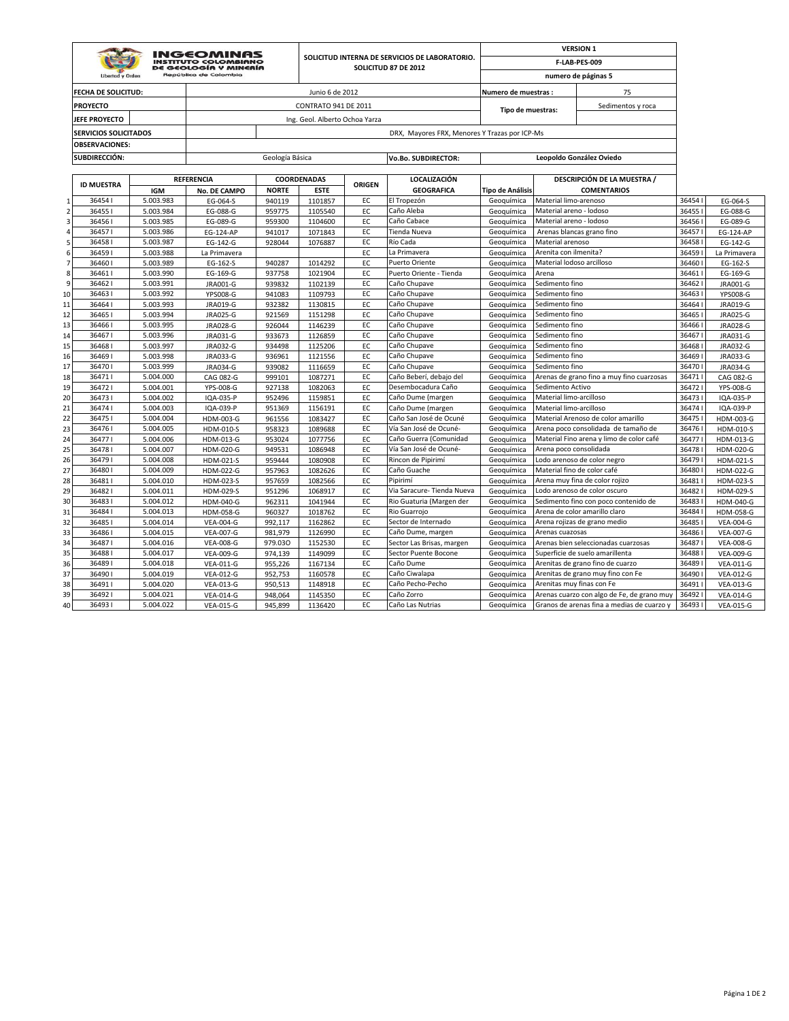|                     |                              |                        |                                                                    |                    |                                |               |                                                |                          |                             | <b>VERSION 1</b>                           |                |                               |
|---------------------|------------------------------|------------------------|--------------------------------------------------------------------|--------------------|--------------------------------|---------------|------------------------------------------------|--------------------------|-----------------------------|--------------------------------------------|----------------|-------------------------------|
|                     |                              |                        | INGEOMINAS<br><b>INSTITUTO COLOMBIANO</b><br>DE GEOLOGÍA Y MINERÍA |                    |                                |               | SOLICITUD INTERNA DE SERVICIOS DE LABORATORIO. |                          |                             | F-LAB-PES-009                              |                |                               |
|                     | <b>Libertad y Order</b>      |                        | República de Colombia                                              |                    |                                |               | SOLICITUD 87 DE 2012                           |                          |                             | numero de páginas 5                        |                |                               |
|                     | FECHA DE SOLICITUD:          |                        |                                                                    |                    | Junio 6 de 2012                |               |                                                | Numero de muestras :     |                             | 75                                         |                |                               |
|                     | <b>PROYECTO</b>              |                        |                                                                    |                    | <b>CONTRATO 941 DE 2011</b>    |               |                                                |                          |                             | Sedimentos y roca                          |                |                               |
|                     |                              |                        |                                                                    |                    |                                |               |                                                | Tipo de muestras:        |                             |                                            |                |                               |
|                     | JEFE PROYECTO                |                        |                                                                    |                    | Ing. Geol. Alberto Ochoa Yarza |               |                                                |                          |                             |                                            |                |                               |
|                     | <b>SERVICIOS SOLICITADOS</b> |                        |                                                                    |                    |                                |               | DRX, Mayores FRX, Menores Y Trazas por ICP-Ms  |                          |                             |                                            |                |                               |
|                     | <b>OBSERVACIONES:</b>        |                        |                                                                    |                    |                                |               |                                                |                          |                             |                                            |                |                               |
|                     | SUBDIRECCIÓN:                |                        |                                                                    | Geología Básica    |                                |               | Vo.Bo. SUBDIRECTOR:                            |                          |                             | Leopoldo González Oviedo                   |                |                               |
|                     |                              |                        |                                                                    |                    |                                |               |                                                |                          |                             |                                            |                |                               |
|                     | <b>ID MUESTRA</b>            |                        | <b>REFERENCIA</b>                                                  |                    | <b>COORDENADAS</b>             | <b>ORIGEN</b> | <b>LOCALIZACIÓN</b>                            |                          |                             | DESCRIPCIÓN DE LA MUESTRA /                |                |                               |
|                     |                              | <b>IGM</b>             | <b>No. DE CAMPO</b>                                                | <b>NORTE</b>       | <b>ESTE</b>                    |               | <b>GEOGRAFICA</b>                              | <b>Tipo de Análisis</b>  |                             | <b>COMENTARIOS</b>                         |                |                               |
| $\mathbf{1}$        | 364541                       | 5.003.983              | EG-064-S                                                           | 940119             | 1101857                        | EC            | El Tropezón                                    | Geoquímica               | Material limo-arenoso       |                                            | 36454          | EG-064-S                      |
| $\overline{2}$<br>3 | 364551                       | 5.003.984              | EG-088-G                                                           | 959775             | 1105540                        | EC            | Caño Aleba                                     | Geoguímica               | Material areno - lodoso     |                                            | 36455          | EG-088-G                      |
|                     | 364561                       | 5.003.985              | EG-089-G                                                           | 959300             | 1104600                        | EC<br>EC      | Caño Cabace                                    | Geoquímica               | Material areno - lodoso     |                                            | 36456          | EG-089-G                      |
| 4<br>5              | 364571                       | 5.003.986              | <b>EG-124-AP</b>                                                   | 941017             | 1071843                        |               | Tienda Nueva<br>Río Cada                       | Geoquímica               | Material arenoso            | Arenas blancas grano fino                  | 36457          | EG-124-AP                     |
| 6                   | 364581<br>364591             | 5.003.987<br>5.003.988 | EG-142-G<br>La Primavera                                           | 928044             | 1076887                        | EC<br>EC      | La Primavera                                   | Geoguímica<br>Geoguímica | Arenita con ilmenita?       |                                            | 36458<br>36459 | EG-142-G<br>La Primavera      |
| $\overline{7}$      | 36460                        | 5.003.989              | EG-162-S                                                           | 940287             | 1014292                        | EC            | Puerto Oriente                                 | Geoquímica               | Material lodoso arcilloso   |                                            | 36460          | EG-162-S                      |
| 8                   | 364611                       | 5.003.990              | EG-169-G                                                           | 937758             | 1021904                        | EC            | Puerto Oriente - Tienda                        | Geoguímica               | Arena                       |                                            | 36461          | EG-169-G                      |
| 9                   | 36462                        | 5.003.991              | JRA001-G                                                           | 939832             | 1102139                        | EC            | Caño Chupave                                   | Geoguímica               | Sedimento fino              |                                            | 36462          | <b>JRA001-G</b>               |
| 10                  | 364631                       | 5.003.992              | <b>YPS008-G</b>                                                    | 941083             | 1109793                        | EC            | Caño Chupave                                   | Geoquímica               | Sedimento fino              |                                            | 36463          | YPS008-G                      |
| 11                  | 364641                       | 5.003.993              | JRA019-G                                                           | 932382             | 1130815                        | EC            | Caño Chupave                                   | Geoguímica               | Sedimento fino              |                                            | 36464          | JRA019-G                      |
| 12                  | 364651                       | 5.003.994              | JRA025-G                                                           | 921569             | 1151298                        | EC            | Caño Chupave                                   | Geoguímica               | Sedimento fino              |                                            | 36465          | JRA025-G                      |
| 13                  | 364661                       | 5.003.995              | <b>JRA028-G</b>                                                    | 926044             | 1146239                        | EC            | Caño Chupave                                   | Geoquímica               | Sedimento fino              |                                            | 36466          | JRA028-G                      |
| 14                  | 364671                       | 5.003.996              | JRA031-G                                                           | 933673             | 1126859                        | EC            | Caño Chupave                                   | Geoguímica               | Sedimento fino              |                                            | 36467          | JRA031-G                      |
| 15                  | 364681                       | 5.003.997              | JRA032-G                                                           | 934498             | 1125206                        | EC            | Caño Chupave                                   | Geoguímica               | Sedimento fino              |                                            | 36468          | JRA032-G                      |
| 16                  | 364691                       | 5.003.998              | JRA033-G                                                           | 936961             | 1121556                        | EC            | Caño Chupave                                   | Geoquímica               | Sedimento fino              |                                            | 36469          | JRA033-G                      |
| 17                  | 364701                       | 5.003.999              | JRA034-G                                                           | 939082             | 1116659                        | EC            | Caño Chupave                                   | Geoquímica               | Sedimento fino              |                                            | 364701         | JRA034-G                      |
| 18                  | 364711                       | 5.004.000              | CAG 082-G                                                          | 999101             | 1087271                        | EC            | Caño Beberí, debajo del                        | Geoguímica               |                             | Arenas de grano fino a muy fino cuarzosas  | 36471          | CAG 082-G                     |
| 19                  | 364721                       | 5.004.001              | YPS-008-G                                                          | 927138             | 1082063                        | EC            | Desembocadura Caño                             | Geoguímica               | Sedimento Activo            |                                            | 36472          | YPS-008-G                     |
| 20                  | 364731                       | 5.004.002              | IQA-035-P                                                          | 952496             | 1159851                        | EC            | Caño Dume (margen                              | Geoquímica               | Material limo-arcilloso     |                                            | 36473          | IQA-035-P                     |
| 21                  | 364741                       | 5.004.003              | IQA-039-P                                                          | 951369             | 1156191                        | EC            | Caño Dume (margen                              | Geoguímica               | Material limo-arcilloso     |                                            | 364741         | IQA-039-P                     |
| 22                  | 364751                       | 5.004.004              | HDM-003-G                                                          | 961556             | 1083427                        | EC            | Caño San José de Ocuné                         | Geoguímica               |                             | Material Arenoso de color amarillo         | 36475          | HDM-003-G                     |
| 23                  | 364761                       | 5.004.005              | HDM-010-S                                                          | 958323             | 1089688                        | EC            | Vía San José de Ocuné-                         | Geoquímica               |                             | Arena poco consolidada de tamaño de        | 36476          | HDM-010-S                     |
| 24                  | 364771                       | 5.004.006              | HDM-013-G                                                          | 953024             | 1077756                        | EC            | Caño Guerra (Comunidad                         | Geoguímica               |                             | Material Fino arena y limo de color café   | 36477          | HDM-013-G                     |
| 25                  | 364781                       | 5.004.007              | HDM-020-G                                                          | 949531             | 1086948                        | EC            | Vía San José de Ocuné-                         | Geoguímica               | Arena poco consolidada      |                                            | 36478          | HDM-020-G                     |
| 26                  | 364791                       | 5.004.008              | HDM-021-S                                                          | 959444             | 1080908                        | EC            | Rincon de Pipirimí                             | Geoquímica               |                             | Lodo arenoso de color negro                | 36479          | HDM-021-S                     |
| 27                  | 364801                       | 5.004.009              | HDM-022-G                                                          | 957963             | 1082626                        | EC            | Caño Guache                                    | Geoquímica               | Material fino de color café |                                            | 36480          | HDM-022-G                     |
| 28                  | 364811                       | 5.004.010              | HDM-023-S                                                          | 957659             | 1082566                        | EC            | Pipirimí                                       | Geoquímica               |                             | Arena muy fina de color rojizo             | 36481          | HDM-023-S                     |
| 29                  | 364821                       | 5.004.011              | HDM-029-S                                                          | 951296             | 1068917                        | EC            | Via Saracure- Tienda Nueva                     | Geoquímica               |                             | Lodo arenoso de color oscuro               | 36482          | HDM-029-S                     |
| 30                  | 364831                       | 5.004.012              | HDM-040-G                                                          | 962311             | 1041944                        | EC            | Rio Guaturia (Margen der                       | Geoquímica               |                             | Sedimento fino con poco contenido de       | 36483          | HDM-040-G                     |
| 31                  | 364841                       | 5.004.013              | HDM-058-G                                                          | 960327             | 1018762                        | EC            | Rio Guarrojo                                   | Geoguímica               |                             | Arena de color amarillo claro              | 36484          | HDM-058-G                     |
| 32                  | 36485                        | 5.004.014              | <b>VEA-004-G</b>                                                   | 992,117            | 1162862                        | EC            | Sector de Internado                            | Geoquímica               |                             | Arena rojizas de grano medio               | 36485          | <b>VEA-004-G</b>              |
| 33                  | 364861                       | 5.004.015              | <b>VEA-007-G</b>                                                   | 981,979            | 1126990                        | EC            | Caño Dume, margen                              | Geoquímica               | Arenas cuazosas             |                                            | 36486          | <b>VEA-007-G</b>              |
| 34                  | 36487                        | 5.004.016              | <b>VEA-008-G</b>                                                   | 979.030            | 1152530                        | EC            | Sector Las Brisas, margen                      | Geoguímica               |                             | Arenas bien seleccionadas cuarzosas        | 36487          | <b>VEA-008-G</b>              |
| 35                  | 364881                       | 5.004.017              | <b>VEA-009-G</b>                                                   | 974,139            | 1149099                        | EC            | Sector Puente Bocone                           | Geoquímica               |                             | Superficie de suelo amarillenta            | 36488          | <b>VEA-009-G</b>              |
| 36                  | 364891                       | 5.004.018              | <b>VEA-011-G</b>                                                   | 955,226            | 1167134                        | EC            | Caño Dume                                      | Geoquímica               |                             | Arenitas de grano fino de cuarzo           | 36489          | <b>VEA-011-G</b>              |
| 37                  | 364901<br>364911             | 5.004.019<br>5.004.020 | <b>VEA-012-G</b>                                                   | 952,753            | 1160578                        | EC<br>EC      | Caño Ciwalapa<br>Caño Pecho-Pecho              | Geoguímica<br>Geoguímica | Arenitas muy finas con Fe   | Arenitas de grano muy fino con Fe          | 36490<br>36491 | <b>VEA-012-G</b>              |
| 38                  | 364921                       | 5.004.021              | <b>VEA-013-G</b><br><b>VEA-014-G</b>                               | 950,513<br>948,064 | 1148918<br>1145350             | EC            | Caño Zorro                                     |                          |                             | Arenas cuarzo con algo de Fe, de grano muy | 36492          | VEA-013-G<br><b>VEA-014-G</b> |
| 39<br>40            | 364931                       | 5.004.022              |                                                                    | 945,899            | 1136420                        | EC            | Caño Las Nutrias                               | Geoguímica<br>Geoquímica |                             | Granos de arenas fina a medias de cuarzo y | 364931         | <b>VEA-015-G</b>              |
|                     |                              |                        | <b>VEA-015-G</b>                                                   |                    |                                |               |                                                |                          |                             |                                            |                |                               |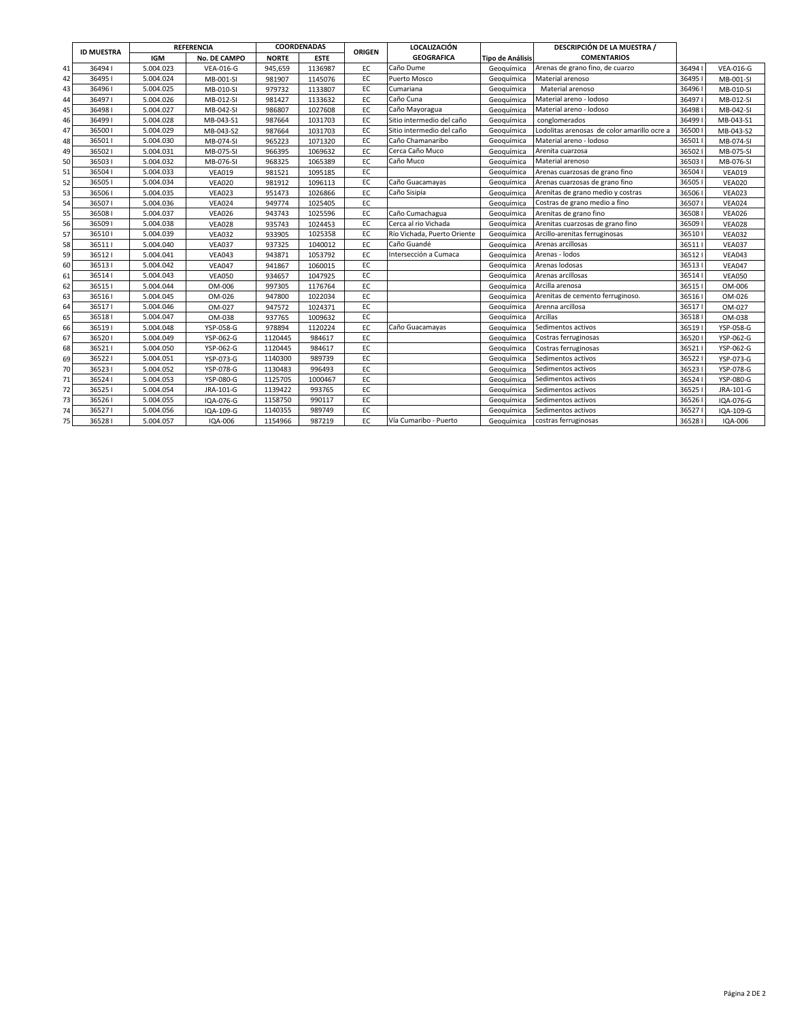|    |                   |            | <b>REFERENCIA</b> |              | COORDENADAS | <b>ORIGEN</b> | <b>LOCALIZACIÓN</b>         |                         | DESCRIPCIÓN DE LA MUESTRA /                 |       |                  |
|----|-------------------|------------|-------------------|--------------|-------------|---------------|-----------------------------|-------------------------|---------------------------------------------|-------|------------------|
|    | <b>ID MUESTRA</b> | <b>IGM</b> | No. DE CAMPO      | <b>NORTE</b> | <b>ESTE</b> |               | <b>GEOGRAFICA</b>           | <b>Tipo de Análisis</b> | <b>COMENTARIOS</b>                          |       |                  |
| 41 | 364941            | 5.004.023  | <b>VEA-016-G</b>  | 945,659      | 1136987     | EC            | Caño Dume                   | Geoguímica              | Arenas de grano fino, de cuarzo             | 36494 | <b>VEA-016-G</b> |
| 42 | 364951            | 5.004.024  | MB-001-SI         | 981907       | 1145076     | EC            | Puerto Mosco                | Geoguímica              | Material arenoso                            | 36495 | MB-001-SI        |
| 43 | 364961            | 5.004.025  | MB-010-SI         | 979732       | 1133807     | EC            | Cumariana                   | Geoguímica              | Material arenoso                            | 36496 | MB-010-SI        |
| 44 | 364971            | 5.004.026  | MB-012-SI         | 981427       | 1133632     | EC            | Caño Cuna                   | Geoguímica              | Material areno - lodoso                     | 36497 | MB-012-SI        |
| 45 | 364981            | 5.004.027  | MB-042-SI         | 986807       | 1027608     | EC            | Caño Mayoragua              | Geoguímica              | Material areno - lodoso                     | 36498 | MB-042-SI        |
| 46 | 364991            | 5.004.028  | MB-043-S1         | 987664       | 1031703     | EC            | Sitio intermedio del caño   | Geoguímica              | conglomerados                               | 36499 | MB-043-S1        |
| 47 | 365001            | 5.004.029  | MB-043-S2         | 987664       | 1031703     | EC            | Sitio intermedio del caño   | Geoguímica              | Lodolitas arenosas de color amarillo ocre a | 36500 | MB-043-S2        |
| 48 | 365011            | 5.004.030  | MB-074-SI         | 965223       | 1071320     | EC            | Caño Chamanaribo            | Geoguímica              | Material areno - lodoso                     | 36501 | MB-074-SI        |
| 49 | 365021            | 5.004.031  | MB-075-SI         | 966395       | 1069632     | EC.           | Cerca Caño Muco             | Geoguímica              | Arenita cuarzosa                            | 36502 | MB-075-SI        |
| 50 | 365031            | 5.004.032  | MB-076-SI         | 968325       | 1065389     | EC            | Caño Muco                   | Geoguímica              | Material arenoso                            | 36503 | MB-076-SI        |
| 51 | 365041            | 5.004.033  | <b>VEA019</b>     | 981521       | 1095185     | EC            |                             | Geoguímica              | Arenas cuarzosas de grano fino              | 36504 | <b>VEA019</b>    |
| 52 | 365051            | 5.004.034  | <b>VEA020</b>     | 981912       | 1096113     | EC            | Caño Guacamayas             | Geoguímica              | Arenas cuarzosas de grano fino              | 36505 | <b>VEA020</b>    |
| 53 | 365061            | 5.004.035  | <b>VEA023</b>     | 951473       | 1026866     | EC            | Caño Sisipia                | Geoquímica              | Arenitas de grano medio y costras           | 36506 | <b>VEA023</b>    |
| 54 | 365071            | 5.004.036  | <b>VEA024</b>     | 949774       | 1025405     | EC            |                             | Geoguímica              | Costras de grano medio a fino               | 36507 | <b>VEA024</b>    |
| 55 | 365081            | 5.004.037  | <b>VEA026</b>     | 943743       | 1025596     | EC            | Caño Cumachagua             | Geoguímica              | Arenitas de grano fino                      | 36508 | <b>VEA026</b>    |
| 56 | 365091            | 5.004.038  | <b>VEA028</b>     | 935743       | 1024453     | EC            | Cerca al rio Vichada        | Geoguímica              | Arenitas cuarzosas de grano fino            | 36509 | <b>VEA028</b>    |
| 57 | 365101            | 5.004.039  | <b>VEA032</b>     | 933905       | 1025358     | EC            | Río Vichada, Puerto Oriente | Geoguímica              | Arcillo-arenitas ferruginosas               | 36510 | <b>VEA032</b>    |
| 58 | 365111            | 5.004.040  | <b>VEA037</b>     | 937325       | 1040012     | EC            | Caño Guandé                 | Geoguímica              | Arenas arcillosas                           | 36511 | <b>VEA037</b>    |
| 59 | 365121            | 5.004.041  | <b>VEA043</b>     | 943871       | 1053792     | EC            | Intersección a Cumaca       | Geoguímica              | Arenas - lodos                              | 36512 | <b>VEA043</b>    |
| 60 | 365131            | 5.004.042  | <b>VEA047</b>     | 941867       | 1060015     | EC            |                             | Geoguímica              | Arenas lodosas                              | 36513 | <b>VEA047</b>    |
| 61 | 365141            | 5.004.043  | <b>VEA050</b>     | 934657       | 1047925     | EC            |                             | Geoguímica              | Arenas arcillosas                           | 36514 | <b>VEA050</b>    |
| 62 | 365151            | 5.004.044  | OM-006            | 997305       | 1176764     | EC            |                             | Geoguímica              | Arcilla arenosa                             | 36515 | OM-006           |
| 63 | 365161            | 5.004.045  | OM-026            | 947800       | 1022034     | EC            |                             | Geoguímica              | Arenitas de cemento ferruginoso.            | 36516 | OM-026           |
| 64 | 365171            | 5.004.046  | OM-027            | 947572       | 1024371     | EC            |                             | Geoguímica              | Arenna arcillosa                            | 36517 | OM-027           |
| 65 | 365181            | 5.004.047  | OM-038            | 937765       | 1009632     | EC            |                             | Geoguímica              | Arcillas                                    | 36518 | OM-038           |
| 66 | 365191            | 5.004.048  | YSP-058-G         | 978894       | 1120224     | EC            | Caño Guacamayas             | Geoguímica              | Sedimentos activos                          | 36519 | YSP-058-G        |
| 67 | 365201            | 5.004.049  | YSP-062-G         | 1120445      | 984617      | EC            |                             | Geoguímica              | Costras ferruginosas                        | 36520 | YSP-062-G        |
| 68 | 365211            | 5.004.050  | YSP-062-G         | 1120445      | 984617      | EC            |                             | Geoguímica              | Costras ferruginosas                        | 36521 | YSP-062-G        |
| 69 | 365221            | 5.004.051  | YSP-073-G         | 1140300      | 989739      | EC            |                             | Geoguímica              | Sedimentos activos                          | 36522 | YSP-073-G        |
| 70 | 365231            | 5.004.052  | YSP-078-G         | 1130483      | 996493      | EC            |                             | Geoguímica              | Sedimentos activos                          | 36523 | YSP-078-G        |
| 71 | 365241            | 5.004.053  | YSP-080-G         | 1125705      | 1000467     | EC            |                             | Geoguímica              | Sedimentos activos                          | 36524 | YSP-080-G        |
| 72 | 365251            | 5.004.054  | JRA-101-G         | 1139422      | 993765      | EC            |                             | Geoguímica              | Sedimentos activos                          | 36525 | JRA-101-G        |
| 73 | 365261            | 5.004.055  | IQA-076-G         | 1158750      | 990117      | EC            |                             | Geoguímica              | Sedimentos activos                          | 36526 | IQA-076-G        |
| 74 | 365271            | 5.004.056  | IQA-109-G         | 1140355      | 989749      | EC            |                             | Geoguímica              | Sedimentos activos                          | 36527 | IQA-109-G        |
| 75 | 365281            | 5.004.057  | IQA-006           | 1154966      | 987219      | EC            | Vía Cumaribo - Puerto       | Geoquímica              | costras ferruginosas                        | 36528 | IQA-006          |